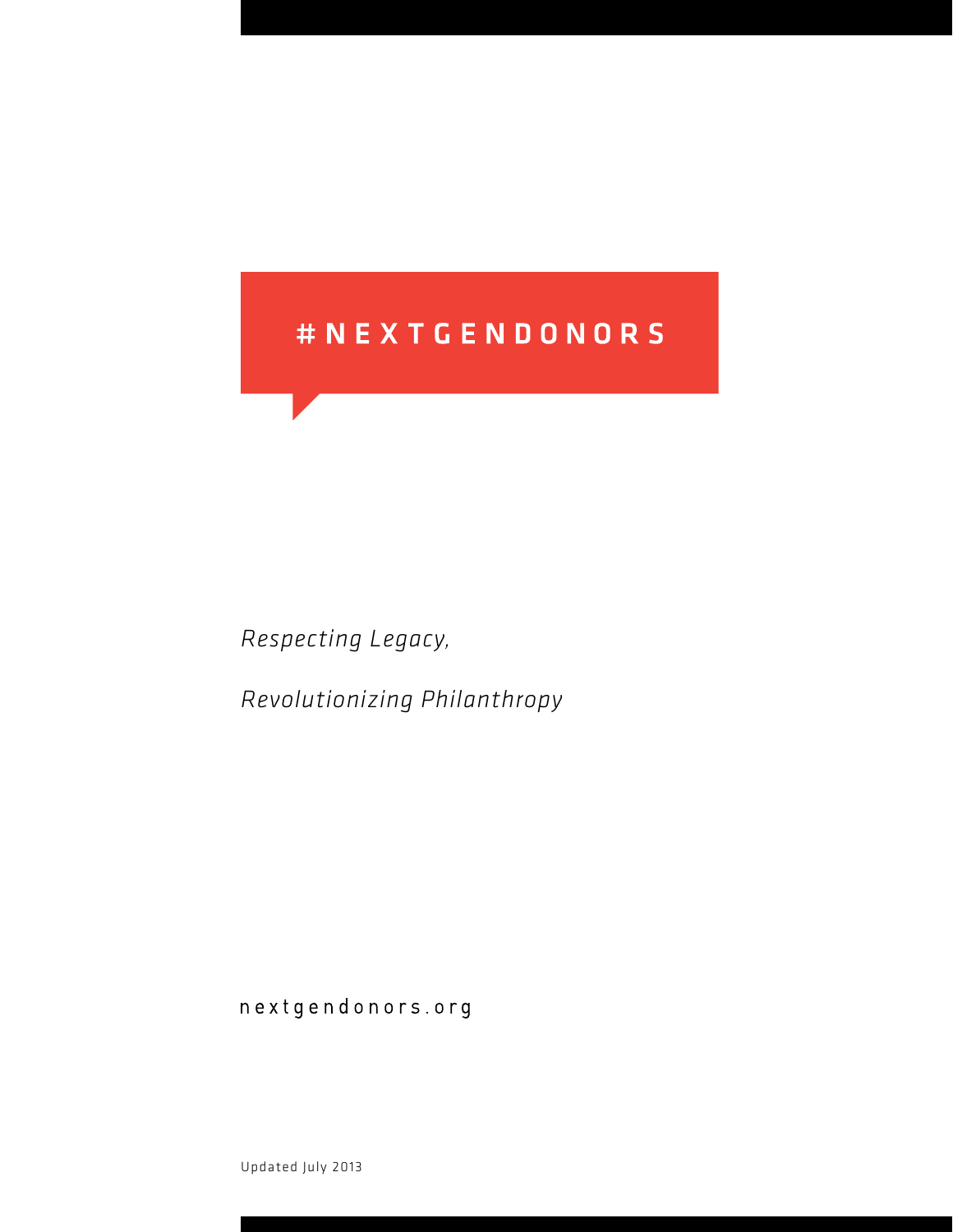# # N E X T G E N D O N O R S

*Respecting Legacy,*

*Revolutionizing Philanthropy*

nextgendonors.org

Updated July 2013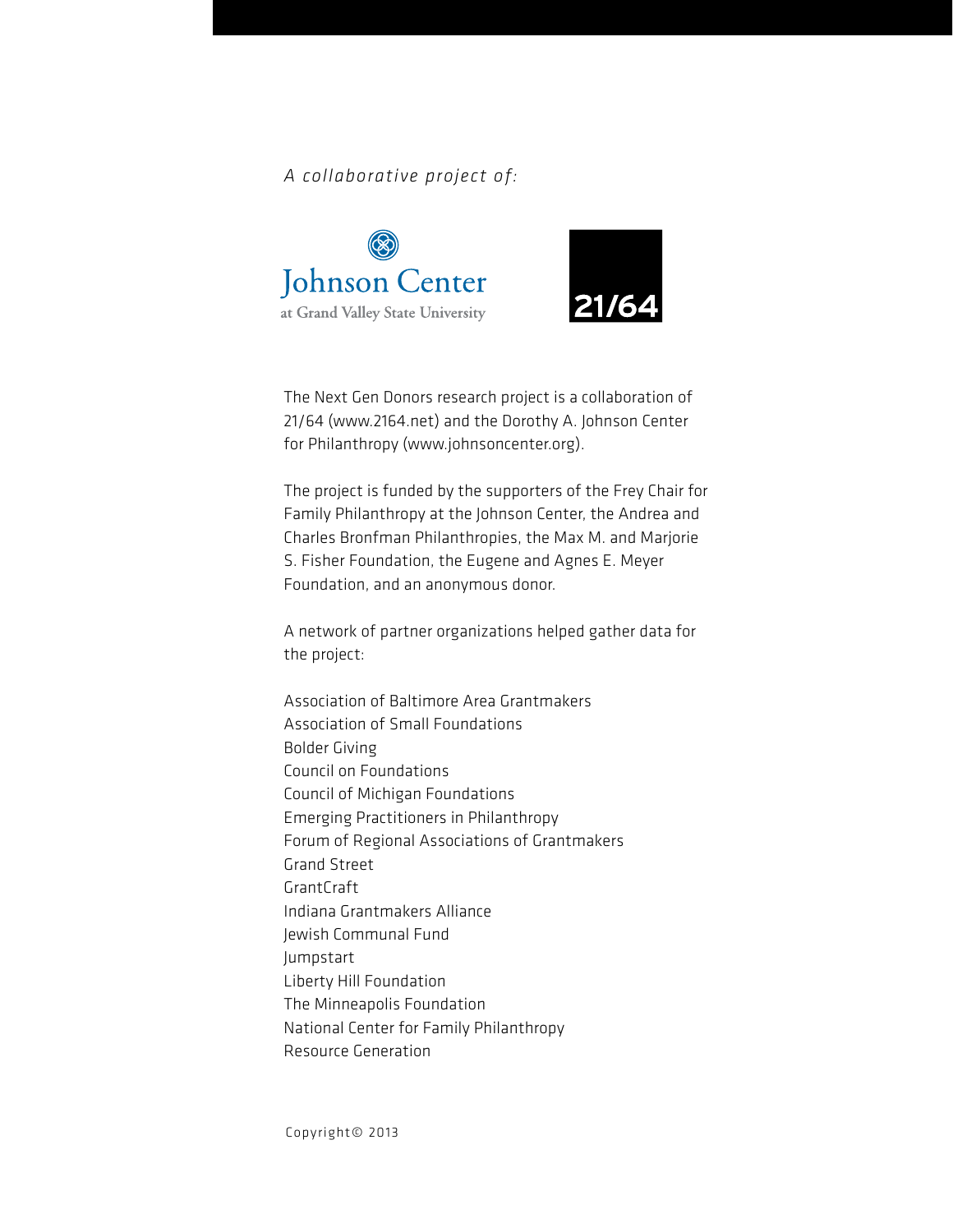*A collaborative project of:*





The Next Gen Donors research project is a collaboration of 21/64 [\(www.2164.net](http://www.2164.net)) and the Dorothy A. Johnson Center for Philanthropy [\(www.johnsoncenter.org\)](http://www.johnsoncenter.org ).

The project is funded by the supporters of the Frey Chair for Family Philanthropy at the Johnson Center, the Andrea and Charles Bronfman Philanthropies, the Max M. and Marjorie S. Fisher Foundation, the Eugene and Agnes E. Meyer Foundation, and an anonymous donor.

A network of partner organizations helped gather data for the project:

Association of Baltimore Area Grantmakers Association of Small Foundations Bolder Giving Council on Foundations Council of Michigan Foundations Emerging Practitioners in Philanthropy Forum of Regional Associations of Grantmakers Grand Street GrantCraft Indiana Grantmakers Alliance Jewish Communal Fund Jumpstart Liberty Hill Foundation The Minneapolis Foundation National Center for Family Philanthropy Resource Generation

Copyright© 2013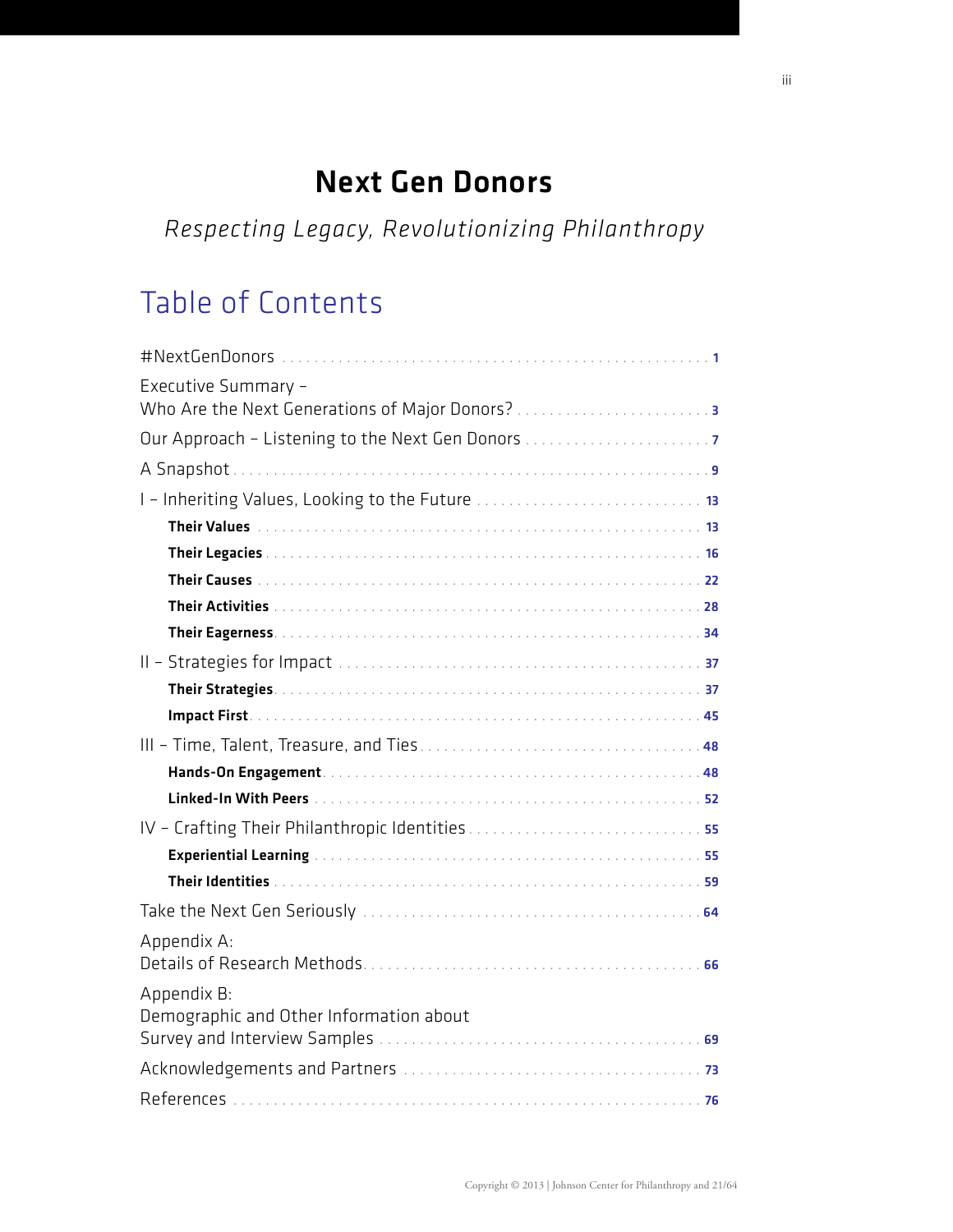# Next Gen Donors

*Respecting Legacy, Revolutionizing Philanthropy*

# Table of Contents

| Executive Summary -<br>Who Are the Next Generations of Major Donors?                                             |
|------------------------------------------------------------------------------------------------------------------|
| Our Approach - Listening to the Next Gen Donors                                                                  |
|                                                                                                                  |
|                                                                                                                  |
| Their Values (1999) 13 (1999) 13 (1999) 13 (1999) 13 (1999) 14 (1999) 14 (1999) 14 (1999) 14 (1999) 14 (1999) 15 |
|                                                                                                                  |
|                                                                                                                  |
|                                                                                                                  |
|                                                                                                                  |
|                                                                                                                  |
|                                                                                                                  |
|                                                                                                                  |
|                                                                                                                  |
|                                                                                                                  |
|                                                                                                                  |
|                                                                                                                  |
|                                                                                                                  |
|                                                                                                                  |
|                                                                                                                  |
| Appendix A:                                                                                                      |
| Appendix B:<br>Demographic and Other Information about                                                           |
|                                                                                                                  |
|                                                                                                                  |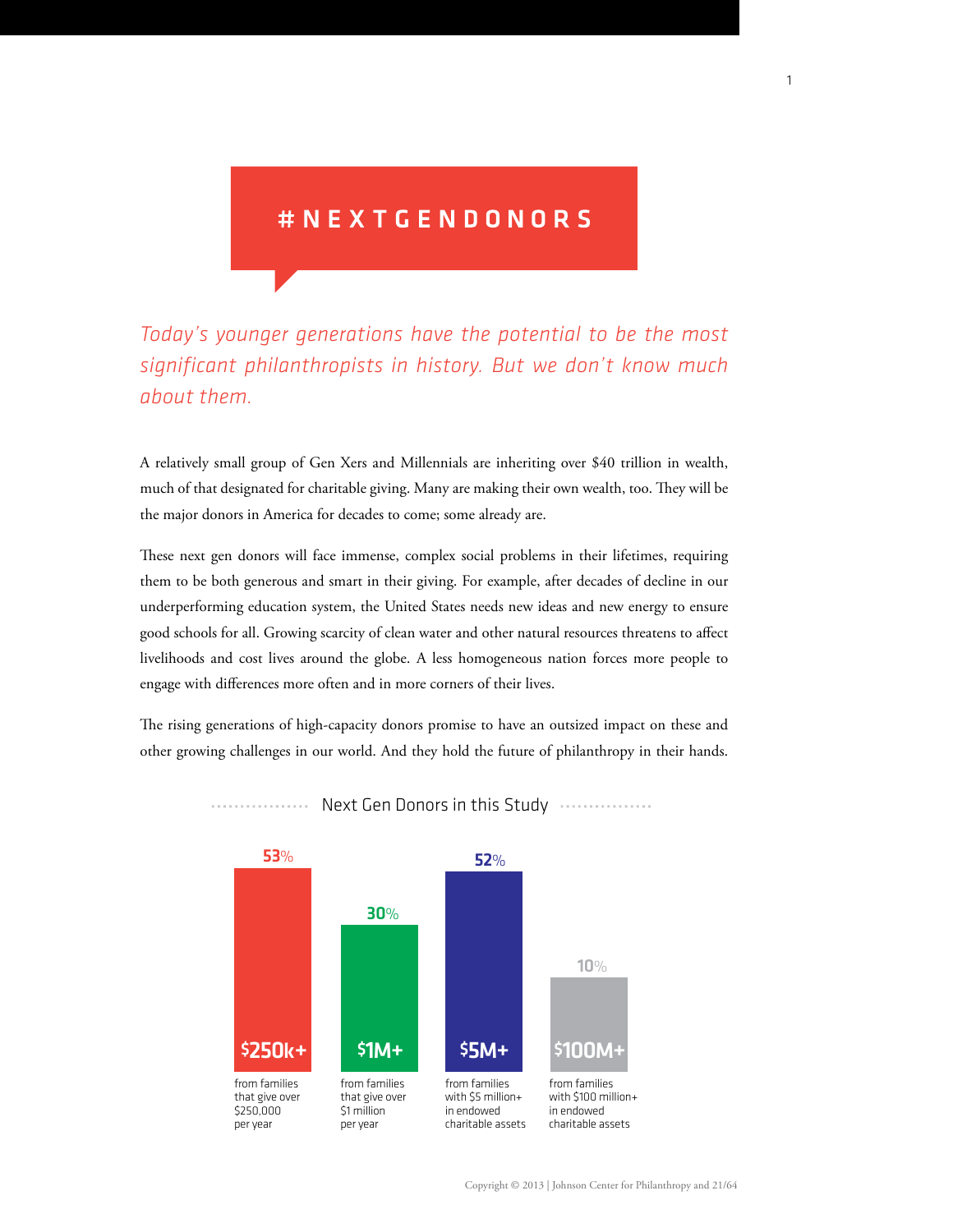## # N E X T G E N D O N O R S

*Today's younger generations have the potential to be the most significant philanthropists in history. But we don't know much about them.*

A relatively small group of Gen Xers and Millennials are inheriting over \$40 trillion in wealth, A telatively sinall group of Gen Aers and Millennials are inheriting over \$40 trinion in wealth,<br>much of that designated for charitable giving. Many are making their own wealth, too. They will be much of that designated for charitable giving. Many are making their<br>the major donors in America for decades to come; some already are.

These next gen donors will face immense, complex social problems in their lifetimes, requiring them to be both generous and smart in their giving. For example, after decades of decline in our underperforming education system, the United States needs new ideas and new energy to ensure good schools for all. Growing scarcity of clean water and other natural resources threatens to affect good schools for all. Growing scarcity of clean water and other natural resources threatens to affect<br>livelihoods and cost lives around the globe. A less homogeneous nation forces more people to engage with differences more often and in more corners of their lives. omj million n donors will face immense, com example, after decades c<br>eds new ideas and new  $\epsilon$ <br>other natural resources th<br>ogeneous nation forces  $\frac{1}{2}$  generi $\frac{1}{2}$  or around the g giving n gener eds new ideas and new<br>other natural resources<br>nogeneous nation force<br>of their lives. ieir lives.

The rising generations of high-capacity donors promise to have an outsized impact on these and other growing challenges in our world. And they hold the future of philanthropy in their hands.



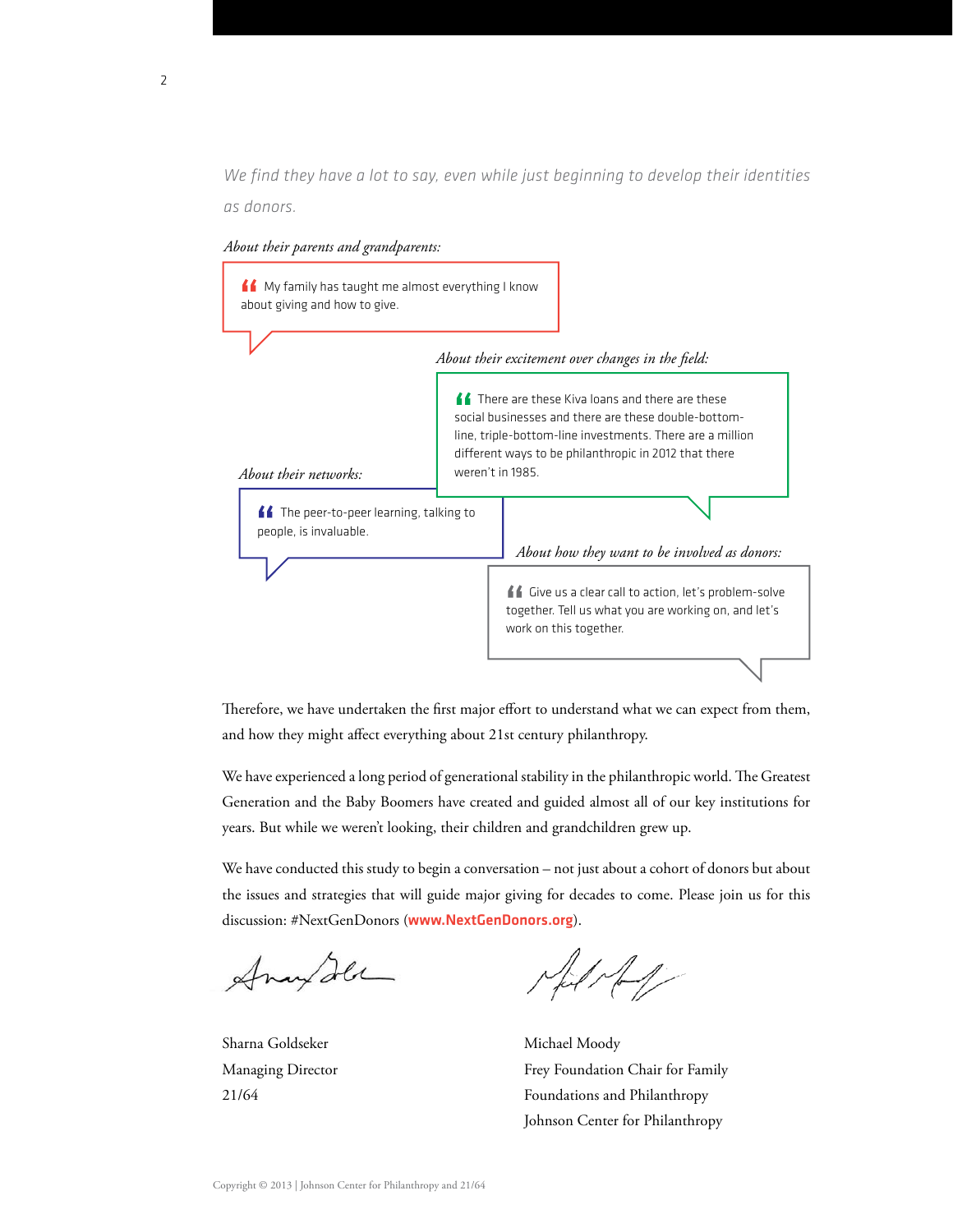*We find they have a lot to say, even while just beginning to develop their identities as donors.*



*About their parents and grandparents:*

Therefore, we have undertaken the first major effort to understand what we can expect from them, and how they might affect everything about 21st century philanthropy.

We have experienced a long period of generational stability in the philanthropic world. The Greatest Generation and the Baby Boomers have created and guided almost all of our key institutions for years. But while we weren't looking, their children and grandchildren grew up.

We have conducted this study to begin a conversation – not just about a cohort of donors but about the issues and strategies that will guide major giving for decades to come. Please join us for this discussion: #NextGenDonors ([www.NextGenDonors.org](http://www.NextGenDonors.org)).

Anan Ila

 $\frac{1}{2}$ 

Sharna Goldseker Michael Moody Managing Director **Frey Foundation Chair for Family** 21/64 Foundations and Philanthropy Johnson Center for Philanthropy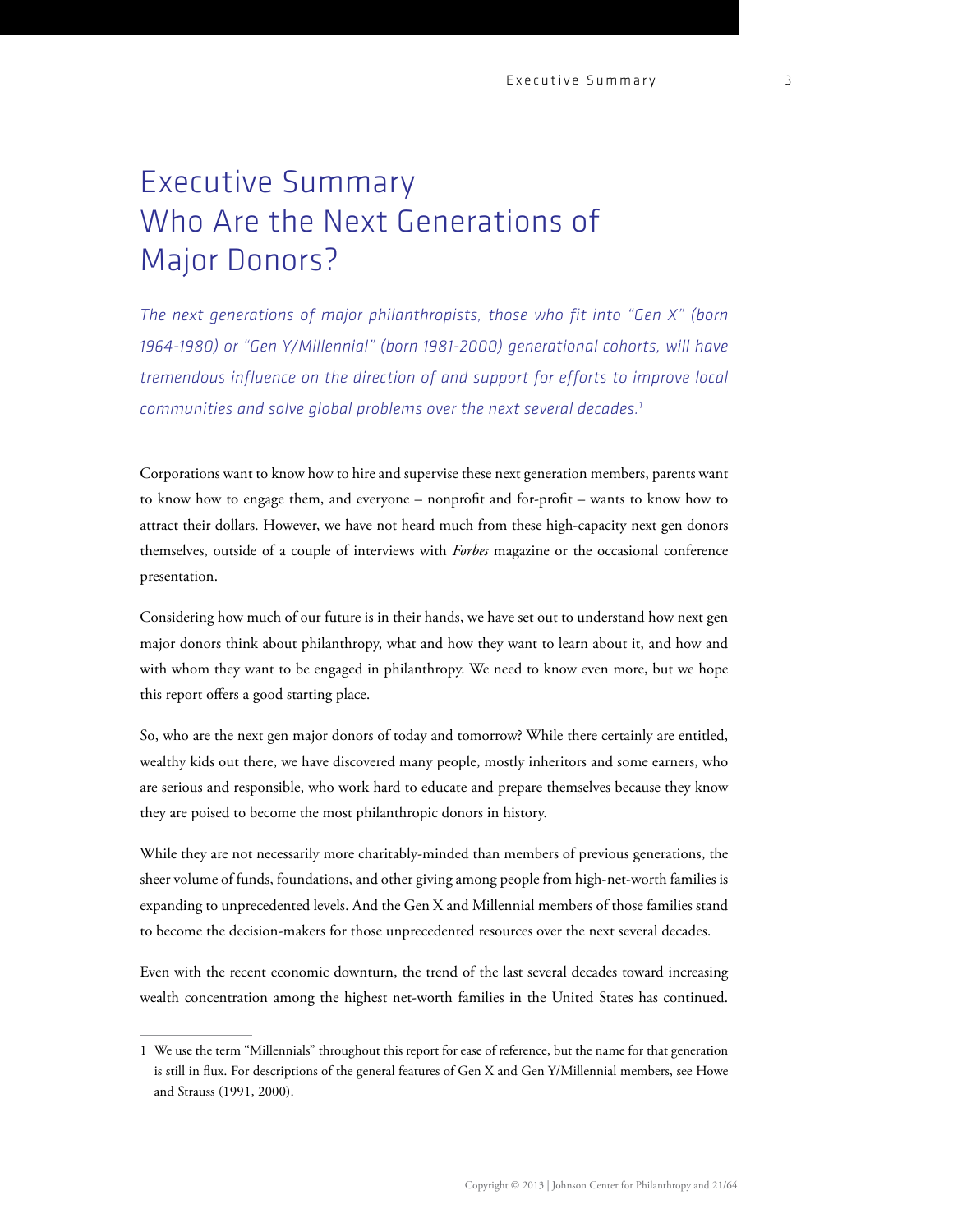# Executive Summary Who Are the Next Generations of Major Donors?

*The next generations of major philanthropists, those who fit into "Gen X" (born 1964-1980) or "Gen Y/Millennial" (born 1981-2000) generational cohorts, will have tremendous influence on the direction of and support for efforts to improve local communities and solve global problems over the next several decades.1*

Corporations want to know how to hire and supervise these next generation members, parents want to know how to engage them, and everyone – nonprofit and for-profit – wants to know how to attract their dollars. However, we have not heard much from these high-capacity next gen donors themselves, outside of a couple of interviews with *Forbes* magazine or the occasional conference presentation.

Considering how much of our future is in their hands, we have set out to understand how next gen major donors think about philanthropy, what and how they want to learn about it, and how and with whom they want to be engaged in philanthropy. We need to know even more, but we hope this report offers a good starting place.

So, who are the next gen major donors of today and tomorrow? While there certainly are entitled, wealthy kids out there, we have discovered many people, mostly inheritors and some earners, who are serious and responsible, who work hard to educate and prepare themselves because they know they are poised to become the most philanthropic donors in history.

While they are not necessarily more charitably-minded than members of previous generations, the sheer volume of funds, foundations, and other giving among people from high-net-worth families is expanding to unprecedented levels. And the Gen X and Millennial members of those families stand to become the decision-makers for those unprecedented resources over the next several decades.

Even with the recent economic downturn, the trend of the last several decades toward increasing wealth concentration among the highest net-worth families in the United States has continued.

<sup>1</sup> We use the term "Millennials" throughout this report for ease of reference, but the name for that generation is still in flux. For descriptions of the general features of Gen X and Gen Y/Millennial members, see Howe and Strauss (1991, 2000).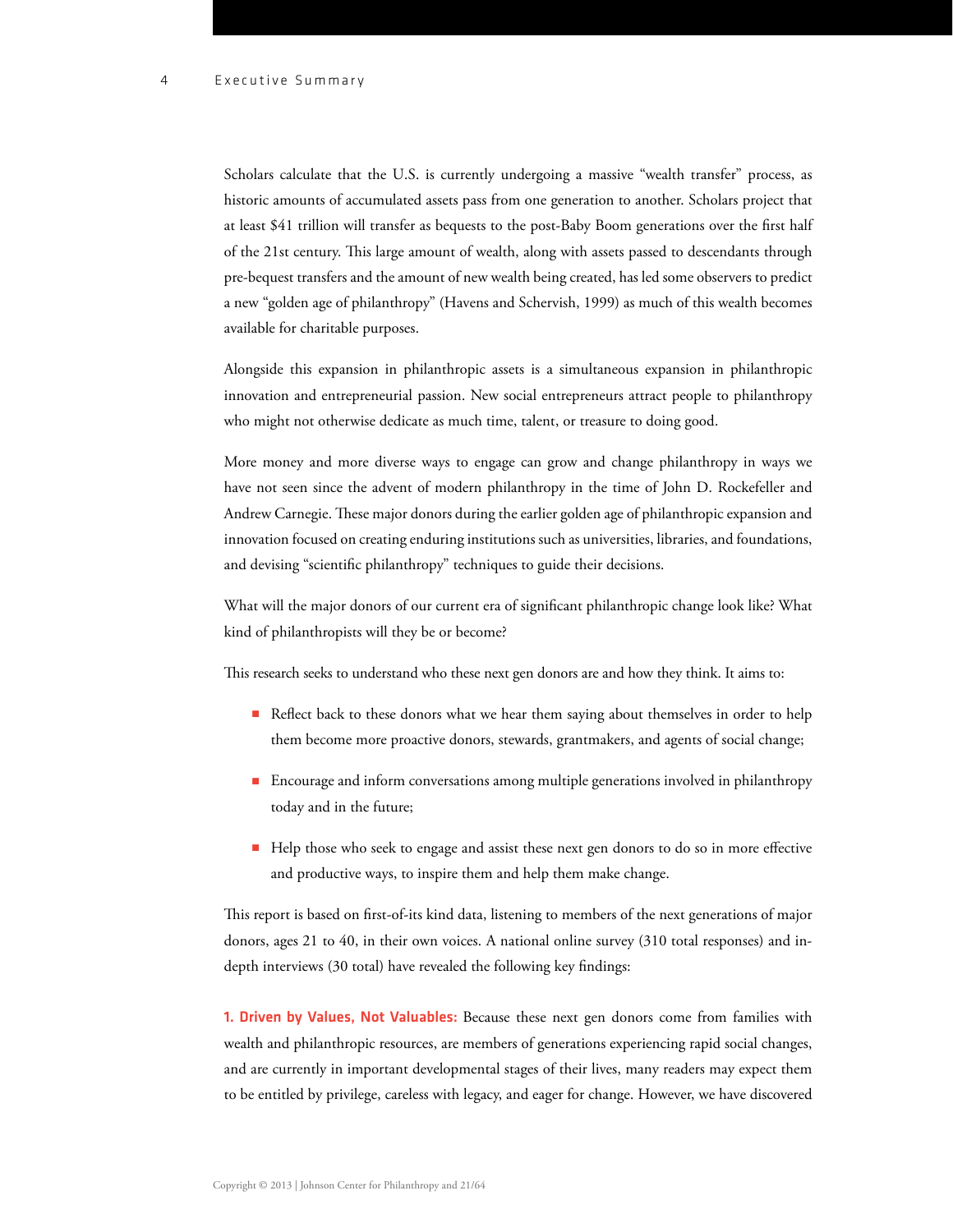Scholars calculate that the U.S. is currently undergoing a massive "wealth transfer" process, as historic amounts of accumulated assets pass from one generation to another. Scholars project that at least \$41 trillion will transfer as bequests to the post-Baby Boom generations over the first half of the 21st century. This large amount of wealth, along with assets passed to descendants through pre-bequest transfers and the amount of new wealth being created, has led some observers to predict a new "golden age of philanthropy" (Havens and Schervish, 1999) as much of this wealth becomes available for charitable purposes.

Alongside this expansion in philanthropic assets is a simultaneous expansion in philanthropic innovation and entrepreneurial passion. New social entrepreneurs attract people to philanthropy who might not otherwise dedicate as much time, talent, or treasure to doing good.

More money and more diverse ways to engage can grow and change philanthropy in ways we have not seen since the advent of modern philanthropy in the time of John D. Rockefeller and Andrew Carnegie. These major donors during the earlier golden age of philanthropic expansion and innovation focused on creating enduring institutions such as universities, libraries, and foundations, and devising "scientific philanthropy" techniques to guide their decisions.

What will the major donors of our current era of significant philanthropic change look like? What kind of philanthropists will they be or become?

This research seeks to understand who these next gen donors are and how they think. It aims to:

- Reflect back to these donors what we hear them saying about themselves in order to help them become more proactive donors, stewards, grantmakers, and agents of social change;
- Encourage and inform conversations among multiple generations involved in philanthropy today and in the future;
- Help those who seek to engage and assist these next gen donors to do so in more effective and productive ways, to inspire them and help them make change.

This report is based on first-of-its kind data, listening to members of the next generations of major donors, ages 21 to 40, in their own voices. A national online survey (310 total responses) and indepth interviews (30 total) have revealed the following key findings:

1. Driven by Values, Not Valuables: Because these next gen donors come from families with wealth and philanthropic resources, are members of generations experiencing rapid social changes, and are currently in important developmental stages of their lives, many readers may expect them to be entitled by privilege, careless with legacy, and eager for change. However, we have discovered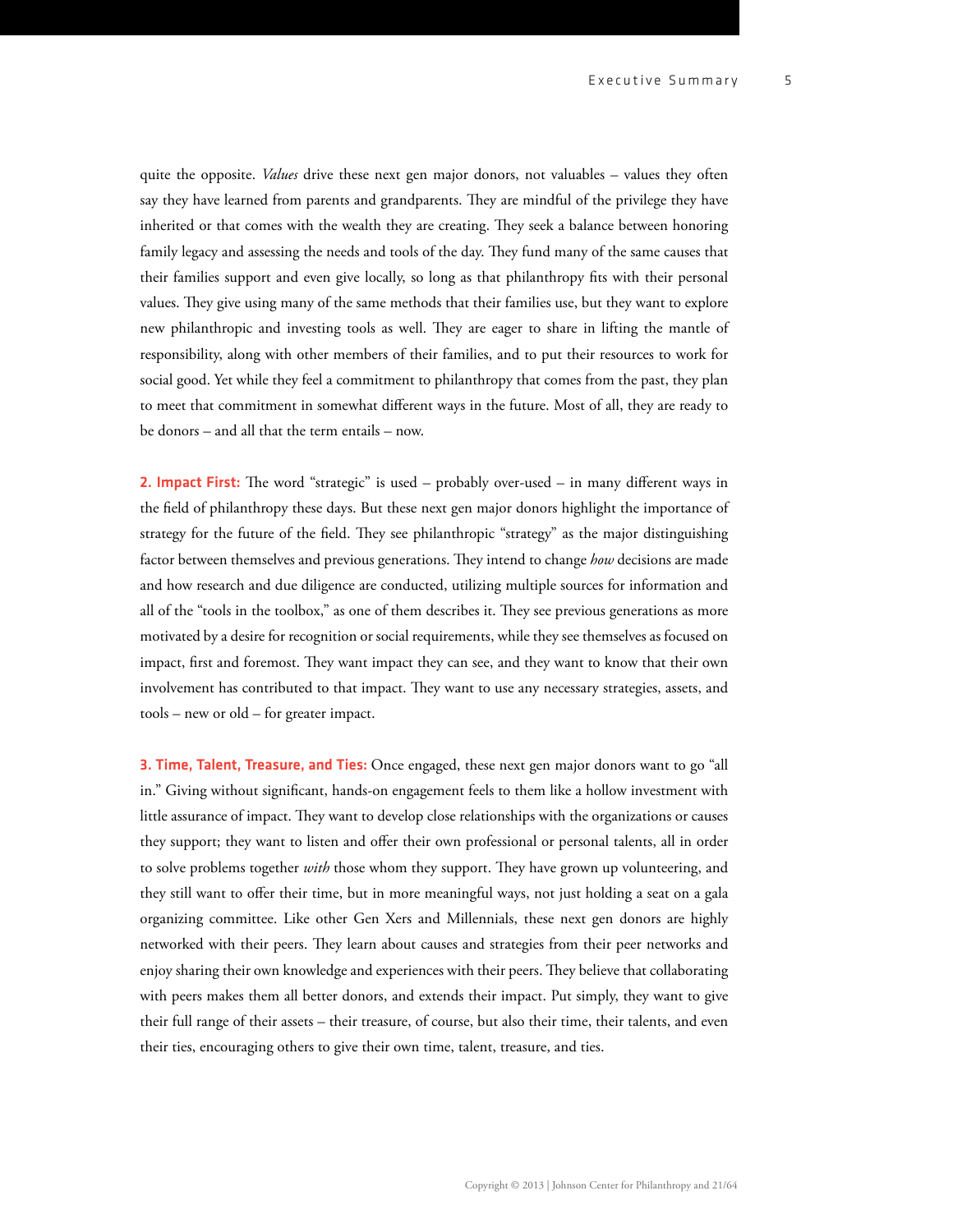5

quite the opposite. *Values* drive these next gen major donors, not valuables – values they often say they have learned from parents and grandparents. They are mindful of the privilege they have inherited or that comes with the wealth they are creating. They seek a balance between honoring family legacy and assessing the needs and tools of the day. They fund many of the same causes that their families support and even give locally, so long as that philanthropy fits with their personal values. They give using many of the same methods that their families use, but they want to explore new philanthropic and investing tools as well. They are eager to share in lifting the mantle of responsibility, along with other members of their families, and to put their resources to work for social good. Yet while they feel a commitment to philanthropy that comes from the past, they plan to meet that commitment in somewhat different ways in the future. Most of all, they are ready to be donors – and all that the term entails – now.

**2. Impact First:** The word "strategic" is used – probably over-used – in many different ways in the field of philanthropy these days. But these next gen major donors highlight the importance of strategy for the future of the field. They see philanthropic "strategy" as the major distinguishing factor between themselves and previous generations. They intend to change *how* decisions are made and how research and due diligence are conducted, utilizing multiple sources for information and all of the "tools in the toolbox," as one of them describes it. They see previous generations as more motivated by a desire for recognition or social requirements, while they see themselves as focused on impact, first and foremost. They want impact they can see, and they want to know that their own involvement has contributed to that impact. They want to use any necessary strategies, assets, and tools – new or old – for greater impact.

3. Time, Talent, Treasure, and Ties: Once engaged, these next gen major donors want to go "all in." Giving without significant, hands-on engagement feels to them like a hollow investment with little assurance of impact. They want to develop close relationships with the organizations or causes they support; they want to listen and offer their own professional or personal talents, all in order to solve problems together *with* those whom they support. They have grown up volunteering, and they still want to offer their time, but in more meaningful ways, not just holding a seat on a gala organizing committee. Like other Gen Xers and Millennials, these next gen donors are highly networked with their peers. They learn about causes and strategies from their peer networks and enjoy sharing their own knowledge and experiences with their peers. They believe that collaborating with peers makes them all better donors, and extends their impact. Put simply, they want to give their full range of their assets – their treasure, of course, but also their time, their talents, and even their ties, encouraging others to give their own time, talent, treasure, and ties.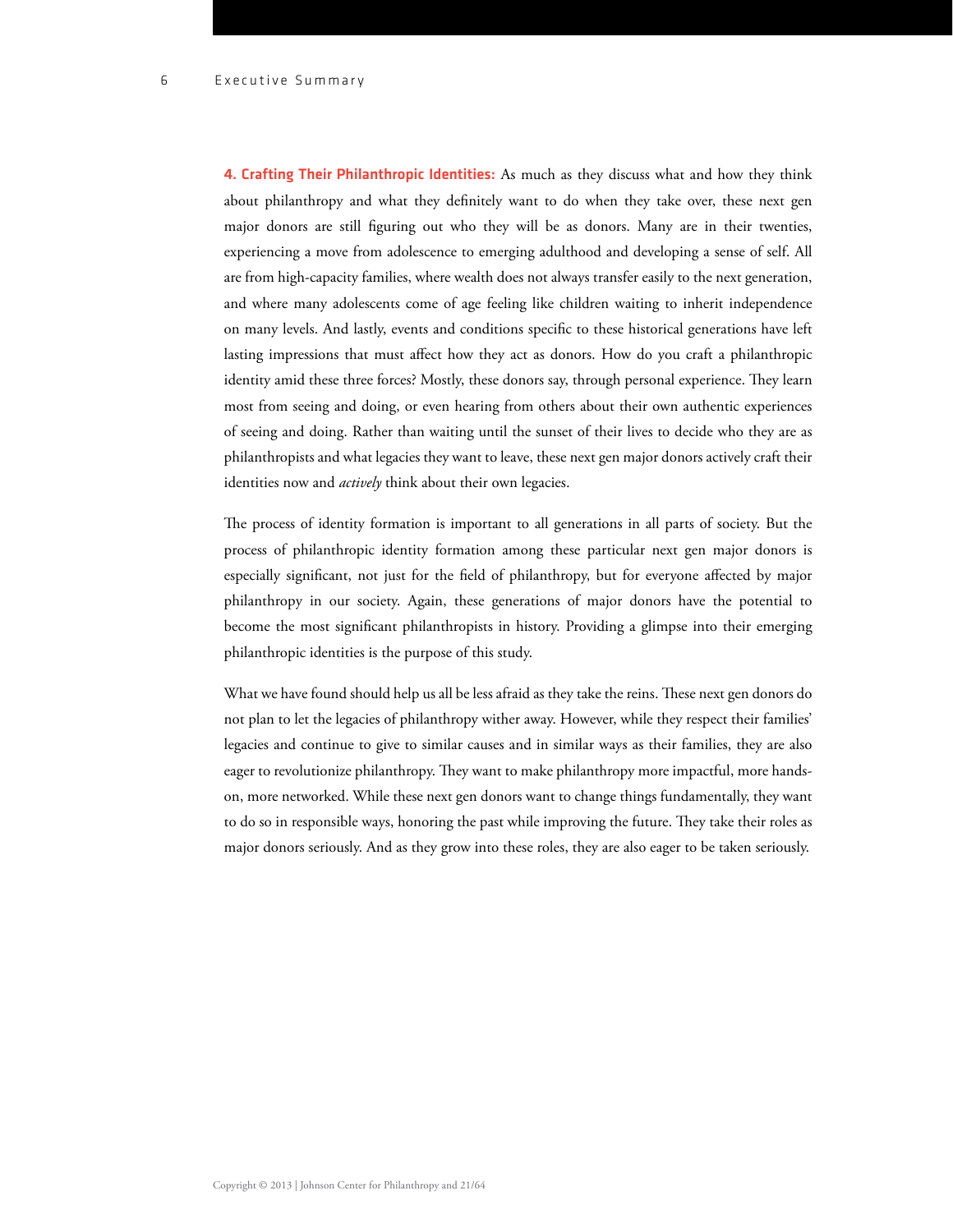4. Crafting Their Philanthropic Identities: As much as they discuss what and how they think about philanthropy and what they definitely want to do when they take over, these next gen major donors are still figuring out who they will be as donors. Many are in their twenties, experiencing a move from adolescence to emerging adulthood and developing a sense of self. All are from high-capacity families, where wealth does not always transfer easily to the next generation, and where many adolescents come of age feeling like children waiting to inherit independence on many levels. And lastly, events and conditions specific to these historical generations have left lasting impressions that must affect how they act as donors. How do you craft a philanthropic identity amid these three forces? Mostly, these donors say, through personal experience. They learn most from seeing and doing, or even hearing from others about their own authentic experiences of seeing and doing. Rather than waiting until the sunset of their lives to decide who they are as philanthropists and what legacies they want to leave, these next gen major donors actively craft their identities now and *actively* think about their own legacies.

The process of identity formation is important to all generations in all parts of society. But the process of philanthropic identity formation among these particular next gen major donors is especially significant, not just for the field of philanthropy, but for everyone affected by major philanthropy in our society. Again, these generations of major donors have the potential to become the most significant philanthropists in history. Providing a glimpse into their emerging philanthropic identities is the purpose of this study.

What we have found should help us all be less afraid as they take the reins. These next gen donors do not plan to let the legacies of philanthropy wither away. However, while they respect their families' legacies and continue to give to similar causes and in similar ways as their families, they are also eager to revolutionize philanthropy. They want to make philanthropy more impactful, more handson, more networked. While these next gen donors want to change things fundamentally, they want to do so in responsible ways, honoring the past while improving the future. They take their roles as major donors seriously. And as they grow into these roles, they are also eager to be taken seriously.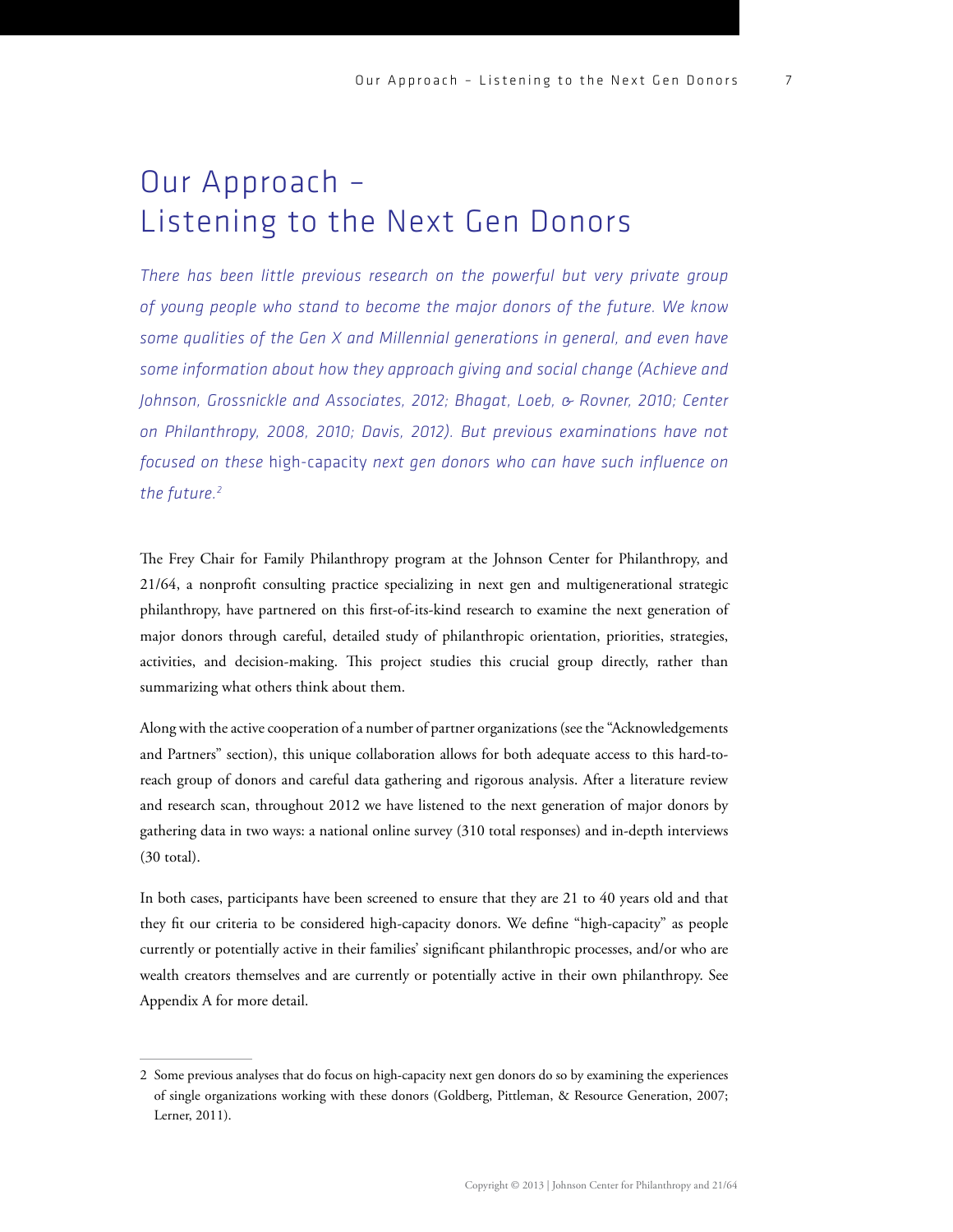7

# Our Approach – Listening to the Next Gen Donors

*There has been little previous research on the powerful but very private group of young people who stand to become the major donors of the future. We know some qualities of the Gen X and Millennial generations in general, and even have some information about how they approach giving and social change (Achieve and Johnson, Grossnickle and Associates, 2012; Bhagat, Loeb, & Rovner, 2010; Center on Philanthropy, 2008, 2010; Davis, 2012). But previous examinations have not focused on these* high-capacity *next gen donors who can have such influence on the future.2*

The Frey Chair for Family Philanthropy program at the Johnson Center for Philanthropy, and 21/64, a nonprofit consulting practice specializing in next gen and multigenerational strategic philanthropy, have partnered on this first-of-its-kind research to examine the next generation of major donors through careful, detailed study of philanthropic orientation, priorities, strategies, activities, and decision-making. This project studies this crucial group directly, rather than summarizing what others think about them.

Along with the active cooperation of a number of partner organizations (see the "Acknowledgements and Partners" section), this unique collaboration allows for both adequate access to this hard-toreach group of donors and careful data gathering and rigorous analysis. After a literature review and research scan, throughout 2012 we have listened to the next generation of major donors by gathering data in two ways: a national online survey (310 total responses) and in-depth interviews (30 total).

In both cases, participants have been screened to ensure that they are 21 to 40 years old and that they fit our criteria to be considered high-capacity donors. We define "high-capacity" as people currently or potentially active in their families' significant philanthropic processes, and/or who are wealth creators themselves and are currently or potentially active in their own philanthropy. See Appendix A for more detail.

<sup>2</sup> Some previous analyses that do focus on high-capacity next gen donors do so by examining the experiences of single organizations working with these donors (Goldberg, Pittleman, & Resource Generation, 2007; Lerner, 2011).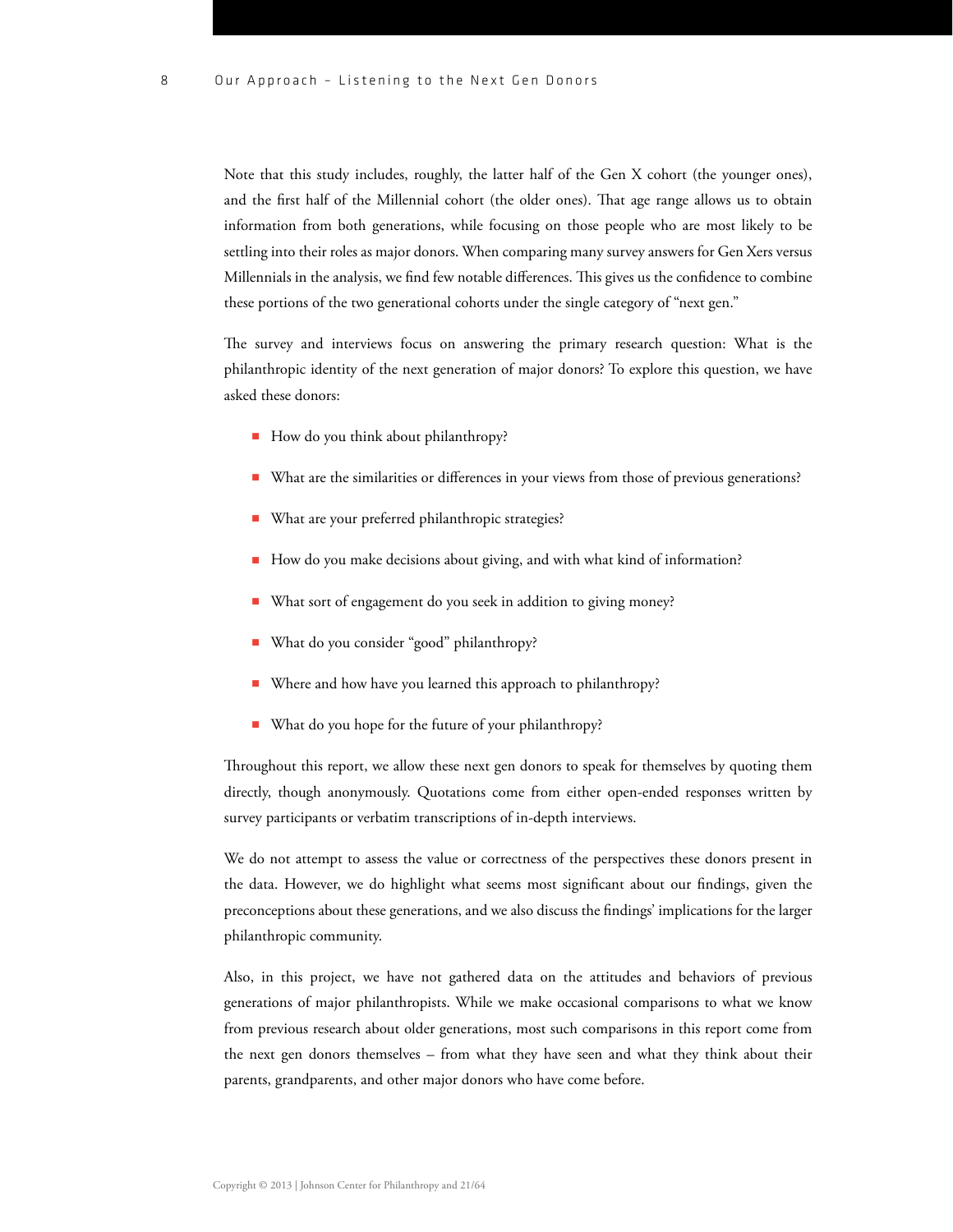Note that this study includes, roughly, the latter half of the Gen X cohort (the younger ones), and the first half of the Millennial cohort (the older ones). That age range allows us to obtain information from both generations, while focusing on those people who are most likely to be settling into their roles as major donors. When comparing many survey answers for Gen Xers versus Millennials in the analysis, we find few notable differences. This gives us the confidence to combine these portions of the two generational cohorts under the single category of "next gen."

The survey and interviews focus on answering the primary research question: What is the philanthropic identity of the next generation of major donors? To explore this question, we have asked these donors:

- How do you think about philanthropy?
- What are the similarities or differences in your views from those of previous generations?
- What are your preferred philanthropic strategies?
- How do you make decisions about giving, and with what kind of information?
- What sort of engagement do you seek in addition to giving money?
- What do you consider "good" philanthropy?
- Where and how have you learned this approach to philanthropy?
- What do you hope for the future of your philanthropy?

Throughout this report, we allow these next gen donors to speak for themselves by quoting them directly, though anonymously. Quotations come from either open-ended responses written by survey participants or verbatim transcriptions of in-depth interviews.

We do not attempt to assess the value or correctness of the perspectives these donors present in the data. However, we do highlight what seems most significant about our findings, given the preconceptions about these generations, and we also discuss the findings' implications for the larger philanthropic community.

Also, in this project, we have not gathered data on the attitudes and behaviors of previous generations of major philanthropists. While we make occasional comparisons to what we know from previous research about older generations, most such comparisons in this report come from the next gen donors themselves – from what they have seen and what they think about their parents, grandparents, and other major donors who have come before.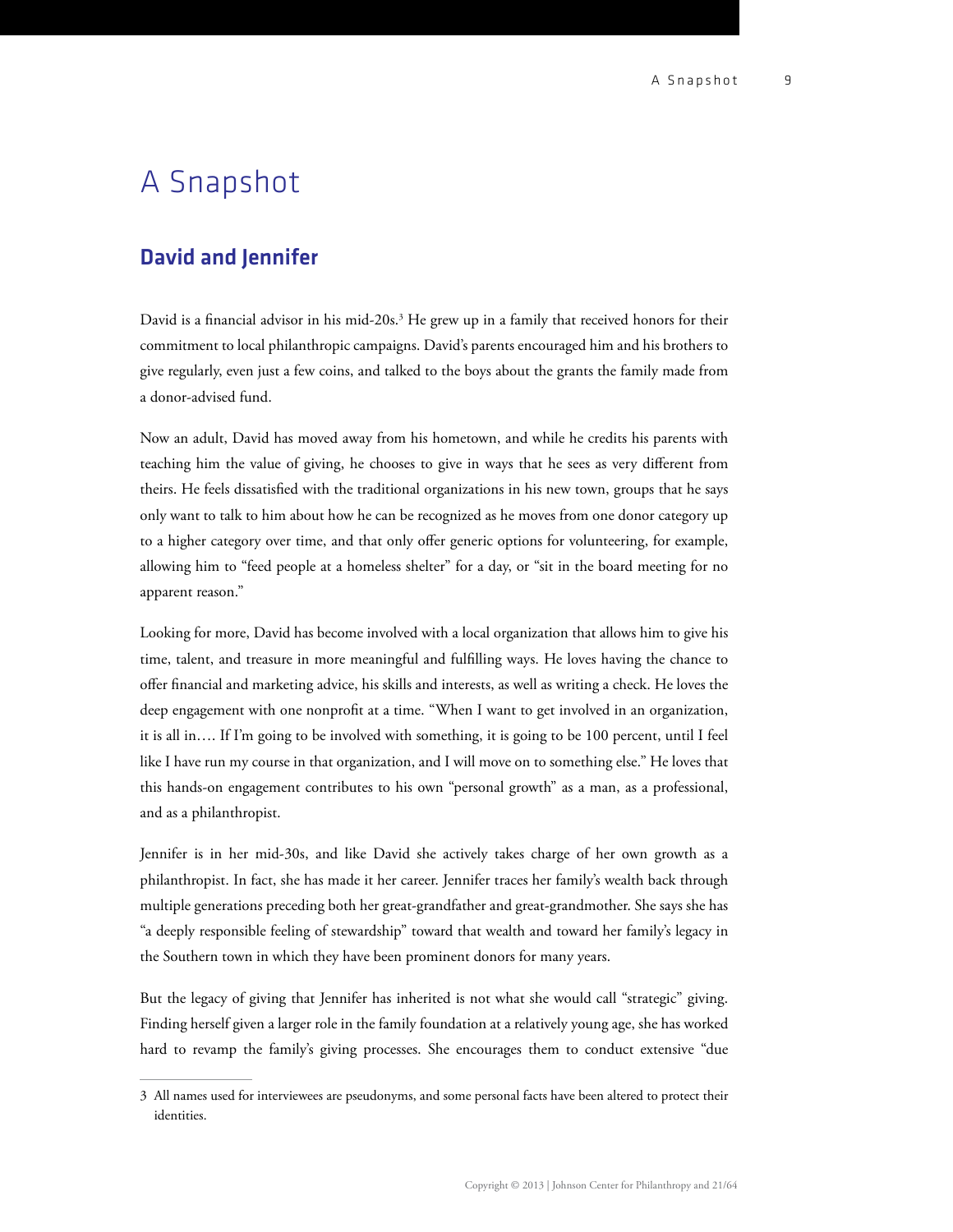## A Snapshot

## David and Jennifer

David is a financial advisor in his mid-20s.<sup>3</sup> He grew up in a family that received honors for their commitment to local philanthropic campaigns. David's parents encouraged him and his brothers to give regularly, even just a few coins, and talked to the boys about the grants the family made from a donor-advised fund.

Now an adult, David has moved away from his hometown, and while he credits his parents with teaching him the value of giving, he chooses to give in ways that he sees as very different from theirs. He feels dissatisfied with the traditional organizations in his new town, groups that he says only want to talk to him about how he can be recognized as he moves from one donor category up to a higher category over time, and that only offer generic options for volunteering, for example, allowing him to "feed people at a homeless shelter" for a day, or "sit in the board meeting for no apparent reason."

Looking for more, David has become involved with a local organization that allows him to give his time, talent, and treasure in more meaningful and fullling ways. He loves having the chance to offer financial and marketing advice, his skills and interests, as well as writing a check. He loves the deep engagement with one nonprofit at a time. "When I want to get involved in an organization, it is all in…. If I'm going to be involved with something, it is going to be 100 percent, until I feel like I have run my course in that organization, and I will move on to something else." He loves that this hands-on engagement contributes to his own "personal growth" as a man, as a professional, and as a philanthropist.

Jennifer is in her mid-30s, and like David she actively takes charge of her own growth as a philanthropist. In fact, she has made it her career. Jennifer traces her family's wealth back through multiple generations preceding both her great-grandfather and great-grandmother. She says she has "a deeply responsible feeling of stewardship" toward that wealth and toward her family's legacy in the Southern town in which they have been prominent donors for many years.

But the legacy of giving that Jennifer has inherited is not what she would call "strategic" giving. Finding herself given a larger role in the family foundation at a relatively young age, she has worked hard to revamp the family's giving processes. She encourages them to conduct extensive "due

<sup>3</sup> All names used for interviewees are pseudonyms, and some personal facts have been altered to protect their identities.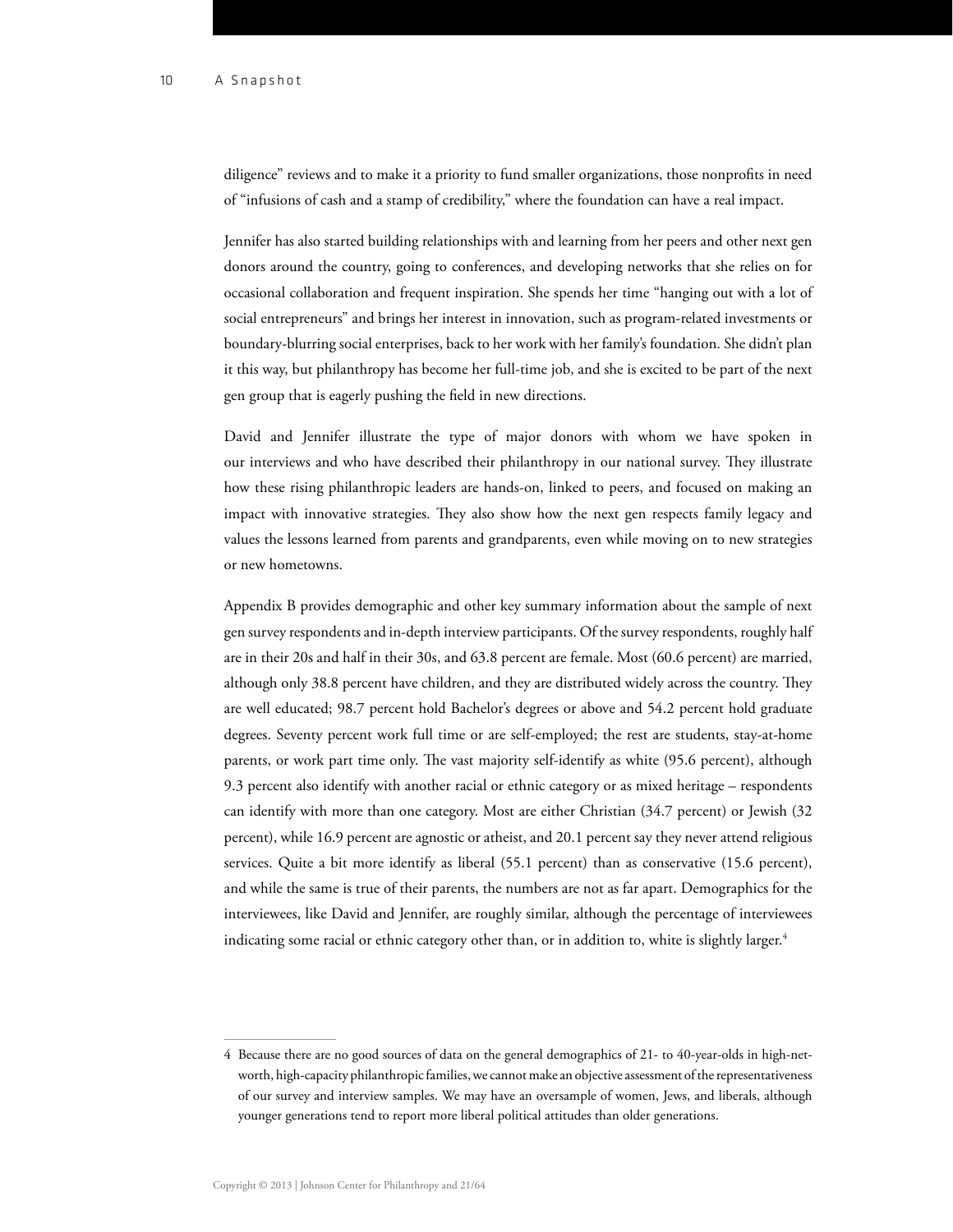diligence" reviews and to make it a priority to fund smaller organizations, those nonprofits in need of "infusions of cash and a stamp of credibility," where the foundation can have a real impact.

Jennifer has also started building relationships with and learning from her peers and other next gen donors around the country, going to conferences, and developing networks that she relies on for occasional collaboration and frequent inspiration. She spends her time "hanging out with a lot of social entrepreneurs" and brings her interest in innovation, such as program-related investments or boundary-blurring social enterprises, back to her work with her family's foundation. She didn't plan it this way, but philanthropy has become her full-time job, and she is excited to be part of the next gen group that is eagerly pushing the field in new directions.

David and Jennifer illustrate the type of major donors with whom we have spoken in our interviews and who have described their philanthropy in our national survey. They illustrate how these rising philanthropic leaders are hands-on, linked to peers, and focused on making an impact with innovative strategies. They also show how the next gen respects family legacy and values the lessons learned from parents and grandparents, even while moving on to new strategies or new hometowns.

Appendix B provides demographic and other key summary information about the sample of next gen survey respondents and in-depth interview participants. Of the survey respondents, roughly half are in their 20s and half in their 30s, and 63.8 percent are female. Most (60.6 percent) are married, although only 38.8 percent have children, and they are distributed widely across the country. They are well educated; 98.7 percent hold Bachelor's degrees or above and 54.2 percent hold graduate degrees. Seventy percent work full time or are self-employed; the rest are students, stay-at-home parents, or work part time only. The vast majority self-identify as white (95.6 percent), although 9.3 percent also identify with another racial or ethnic category or as mixed heritage – respondents can identify with more than one category. Most are either Christian (34.7 percent) or Jewish (32 percent), while 16.9 percent are agnostic or atheist, and 20.1 percent say they never attend religious services. Quite a bit more identify as liberal (55.1 percent) than as conservative (15.6 percent), and while the same is true of their parents, the numbers are not as far apart. Demographics for the interviewees, like David and Jennifer, are roughly similar, although the percentage of interviewees indicating some racial or ethnic category other than, or in addition to, white is slightly larger.<sup>4</sup>

<sup>4</sup> Because there are no good sources of data on the general demographics of 21- to 40-year-olds in high-networth, high-capacity philanthropic families, we cannot make an objective assessment of the representativeness of our survey and interview samples. We may have an oversample of women, Jews, and liberals, although younger generations tend to report more liberal political attitudes than older generations.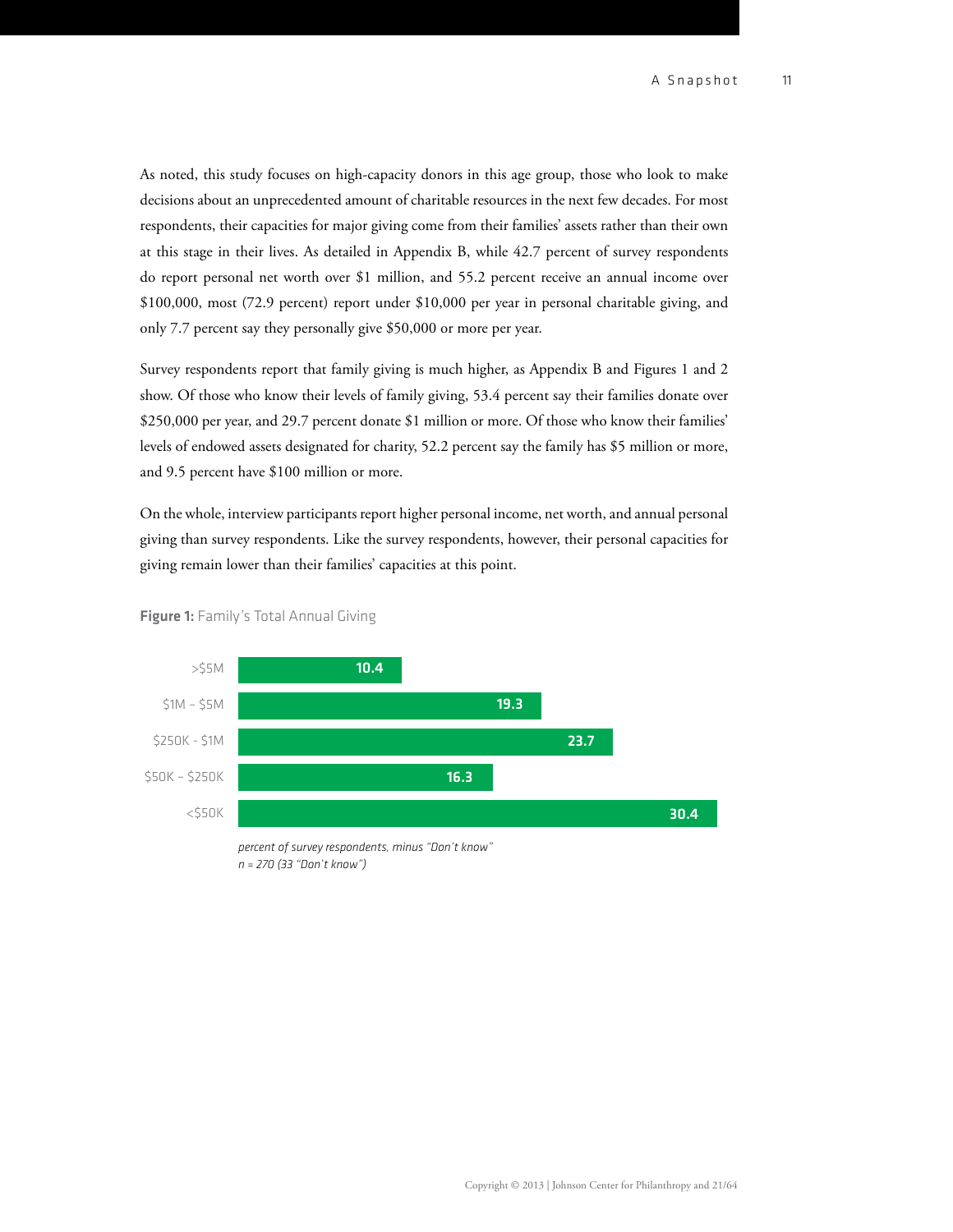As noted, this study focuses on high-capacity donors in this age group, those who look to make decisions about an unprecedented amount of charitable resources in the next few decades. For most respondents, their capacities for major giving come from their families' assets rather than their own at this stage in their lives. As detailed in Appendix B, while 42.7 percent of survey respondents do report personal net worth over \$1 million, and 55.2 percent receive an annual income over \$100,000, most (72.9 percent) report under \$10,000 per year in personal charitable giving, and only 7.7 percent say they personally give \$50,000 or more per year.

Survey respondents report that family giving is much higher, as Appendix B and Figures 1 and 2 show. Of those who know their levels of family giving, 53.4 percent say their families donate over \$250,000 per year, and 29.7 percent donate \$1 million or more. Of those who know their families' levels of endowed assets designated for charity, 52.2 percent say the family has \$5 million or more, and 9.5 percent have \$100 million or more.

On the whole, interview participants report higher personal income, net worth, and annual personal giving than survey respondents. Like the survey respondents, however, their personal capacities for giving remain lower than their families' capacities at this point.



Figure 1: Family's Total Annual Giving

*percent of survey respondents, minus "Don't know" n = 270 (33 "Don't know")*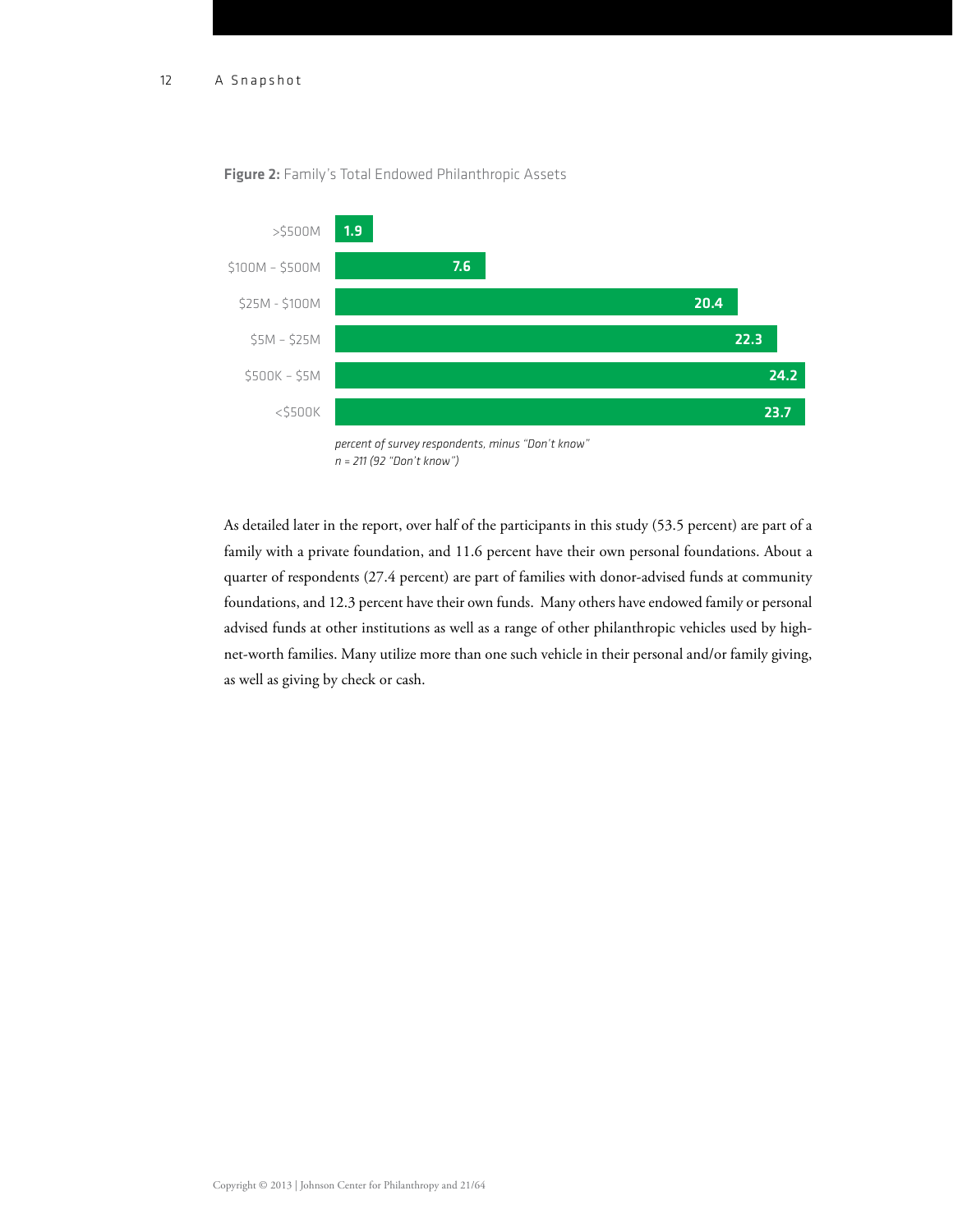

#### Figure 2: Family's Total Endowed Philanthropic Assets

As detailed later in the report, over half of the participants in this study (53.5 percent) are part of a family with a private foundation, and 11.6 percent have their own personal foundations. About a quarter of respondents (27.4 percent) are part of families with donor-advised funds at community foundations, and 12.3 percent have their own funds. Many others have endowed family or personal advised funds at other institutions as well as a range of other philanthropic vehicles used by highnet-worth families. Many utilize more than one such vehicle in their personal and/or family giving, as well as giving by check or cash.

*percent of survey respondents, minus "Don't know" n = 211 (92 "Don't know")*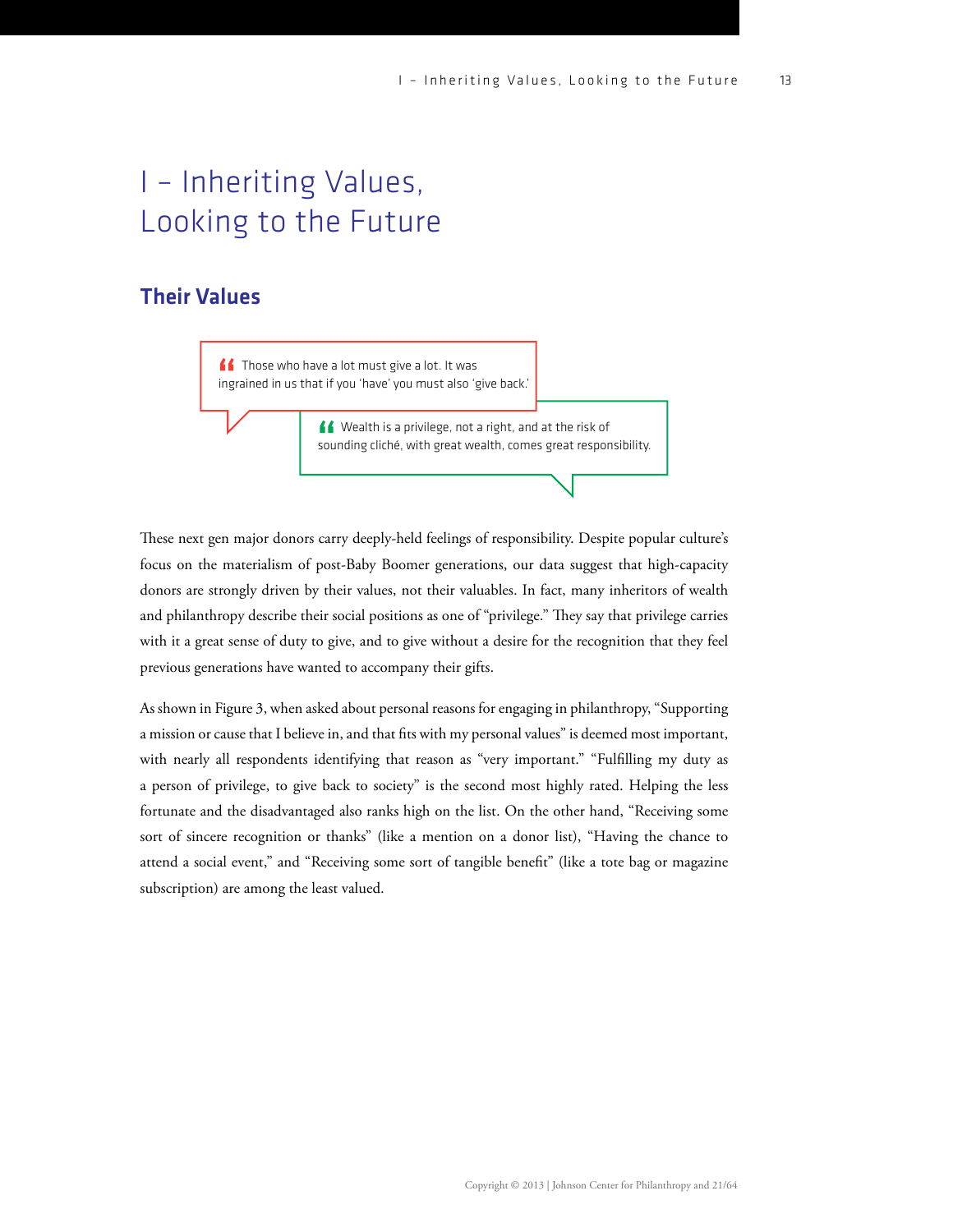# I – Inheriting Values, Looking to the Future

## Their Values

<u>f</u>f Those who have a lot must give a lot. It was ingrained in us that if you 'have' you must also 'give back.'

> Wealth is a privilege, not a right, and at the risk of sounding cliché, with great wealth, comes great responsibility.

These next gen major donors carry deeply-held feelings of responsibility. Despite popular culture's focus on the materialism of post-Baby Boomer generations, our data suggest that high-capacity donors are strongly driven by their values, not their valuables. In fact, many inheritors of wealth and philanthropy describe their social positions as one of "privilege." They say that privilege carries with it a great sense of duty to give, and to give without a desire for the recognition that they feel previous generations have wanted to accompany their gifts.

As shown in Figure 3, when asked about personal reasons for engaging in philanthropy, "Supporting a mission or cause that I believe in, and that fits with my personal values" is deemed most important, with nearly all respondents identifying that reason as "very important." "Fulfilling my duty as a person of privilege, to give back to society" is the second most highly rated. Helping the less fortunate and the disadvantaged also ranks high on the list. On the other hand, "Receiving some sort of sincere recognition or thanks" (like a mention on a donor list), "Having the chance to attend a social event," and "Receiving some sort of tangible benefit" (like a tote bag or magazine subscription) are among the least valued.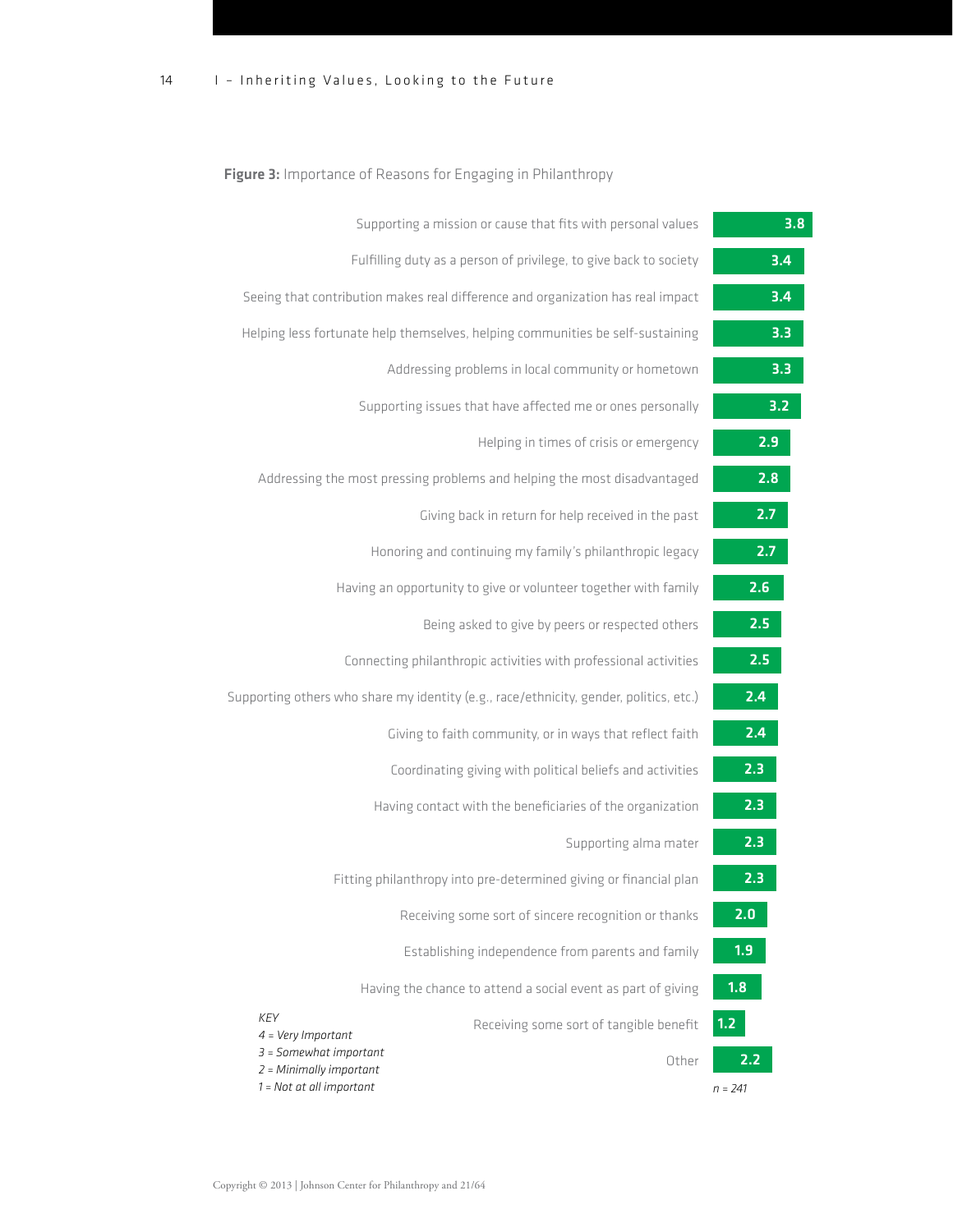### Figure 3: Importance of Reasons for Engaging in Philanthropy

| 3.8              | Supporting a mission or cause that fits with personal values                             |
|------------------|------------------------------------------------------------------------------------------|
| $\overline{3.4}$ | Fulfilling duty as a person of privilege, to give back to society                        |
| 3.4              | Seeing that contribution makes real difference and organization has real impact          |
| 3.3              | Helping less fortunate help themselves, helping communities be self-sustaining           |
| 3.3              | Addressing problems in local community or hometown                                       |
| 3.2              | Supporting issues that have affected me or ones personally                               |
| 2.9              | Helping in times of crisis or emergency                                                  |
| 2.8              | Addressing the most pressing problems and helping the most disadvantaged                 |
| 2.7              | Giving back in return for help received in the past                                      |
| 2.7              | Honoring and continuing my family's philanthropic legacy                                 |
| 2.6              | Having an opportunity to give or volunteer together with family                          |
| 2.5              | Being asked to give by peers or respected others                                         |
| 2.5              | Connecting philanthropic activities with professional activities                         |
| 2.4              | Supporting others who share my identity (e.g., race/ethnicity, gender, politics, etc.)   |
| 2.4              | Giving to faith community, or in ways that reflect faith                                 |
| 2.3              | Coordinating giving with political beliefs and activities                                |
| 2.3              | Having contact with the beneficiaries of the organization                                |
| 2.3              | Supporting alma mater                                                                    |
| 2.3              | Fitting philanthropy into pre-determined giving or financial plan                        |
| 2.0              | Receiving some sort of sincere recognition or thanks                                     |
| 1.9              | Establishing independence from parents and family                                        |
| 1.8              | Having the chance to attend a social event as part of giving                             |
| 1.2              | <b>KEY</b><br>Receiving some sort of tangible benefit<br>$4 = Very$ Important            |
| 2.2              | $3 =$ Somewhat important<br>Other<br>2 = Minimally important<br>1 = Not at all important |
| $n = 241$        |                                                                                          |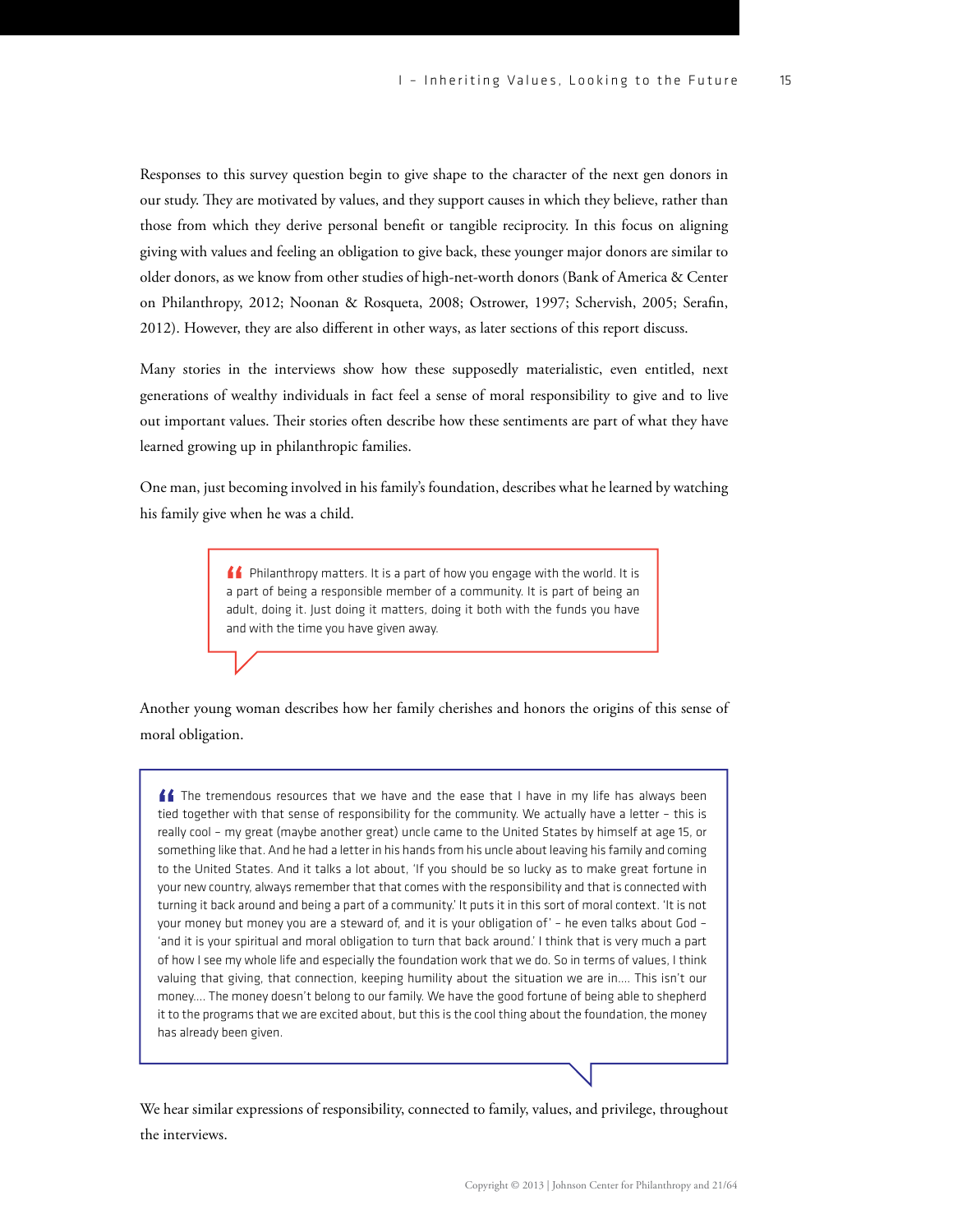Responses to this survey question begin to give shape to the character of the next gen donors in our study. They are motivated by values, and they support causes in which they believe, rather than those from which they derive personal benefit or tangible reciprocity. In this focus on aligning giving with values and feeling an obligation to give back, these younger major donors are similar to older donors, as we know from other studies of high-net-worth donors (Bank of America & Center on Philanthropy, 2012; Noonan & Rosqueta, 2008; Ostrower, 1997; Schervish, 2005; Serafin, 2012). However, they are also different in other ways, as later sections of this report discuss.

Many stories in the interviews show how these supposedly materialistic, even entitled, next generations of wealthy individuals in fact feel a sense of moral responsibility to give and to live out important values. Their stories often describe how these sentiments are part of what they have learned growing up in philanthropic families.

One man, just becoming involved in his family's foundation, describes what he learned by watching his family give when he was a child.

> **ff** Philanthropy matters. It is a part of how you engage with the world. It is a part of being a responsible member of a community. It is part of being an adult, doing it. Just doing it matters, doing it both with the funds you have and with the time you have given away.

Another young woman describes how her family cherishes and honors the origins of this sense of moral obligation.

ff The tremendous resources that we have and the ease that I have in my life has always been tied together with that sense of responsibility for the community. We actually have a letter – this is really cool – my great (maybe another great) uncle came to the United States by himself at age 15, or something like that. And he had a letter in his hands from his uncle about leaving his family and coming to the United States. And it talks a lot about, 'If you should be so lucky as to make great fortune in your new country, always remember that that comes with the responsibility and that is connected with turning it back around and being a part of a community.' It puts it in this sort of moral context. 'It is not your money but money you are a steward of, and it is your obligation of' – he even talks about God – 'and it is your spiritual and moral obligation to turn that back around.' I think that is very much a part of how I see my whole life and especially the foundation work that we do. So in terms of values, I think valuing that giving, that connection, keeping humility about the situation we are in…. This isn't our money…. The money doesn't belong to our family. We have the good fortune of being able to shepherd it to the programs that we are excited about, but this is the cool thing about the foundation, the money has already been given.

We hear similar expressions of responsibility, connected to family, values, and privilege, throughout the interviews.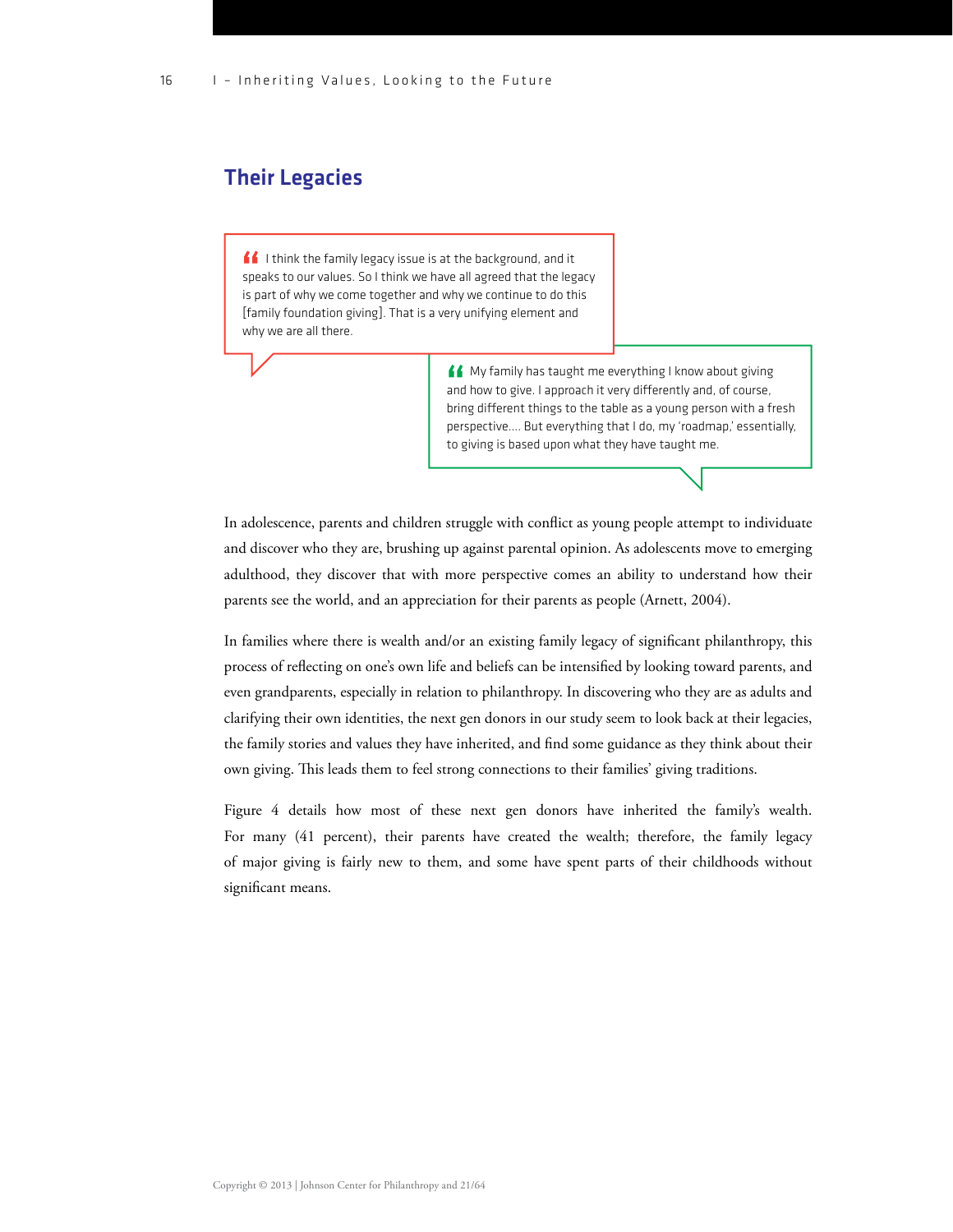## Their Legacies

 $\blacksquare$  I think the family legacy issue is at the background, and it speaks to our values. So I think we have all agreed that the legacy is part of why we come together and why we continue to do this [family foundation giving]. That is a very unifying element and why we are all there.

> K My family has taught me everything I know about giving and how to give. I approach it very differently and, of course, bring different things to the table as a young person with a fresh perspective…. But everything that I do, my 'roadmap,' essentially, to giving is based upon what they have taught me.

In adolescence, parents and children struggle with conflict as young people attempt to individuate and discover who they are, brushing up against parental opinion. As adolescents move to emerging adulthood, they discover that with more perspective comes an ability to understand how their parents see the world, and an appreciation for their parents as people (Arnett, 2004).

In families where there is wealth and/or an existing family legacy of significant philanthropy, this process of reflecting on one's own life and beliefs can be intensified by looking toward parents, and even grandparents, especially in relation to philanthropy. In discovering who they are as adults and clarifying their own identities, the next gen donors in our study seem to look back at their legacies, the family stories and values they have inherited, and find some guidance as they think about their own giving. This leads them to feel strong connections to their families' giving traditions.

Figure 4 details how most of these next gen donors have inherited the family's wealth. For many (41 percent), their parents have created the wealth; therefore, the family legacy of major giving is fairly new to them, and some have spent parts of their childhoods without significant means.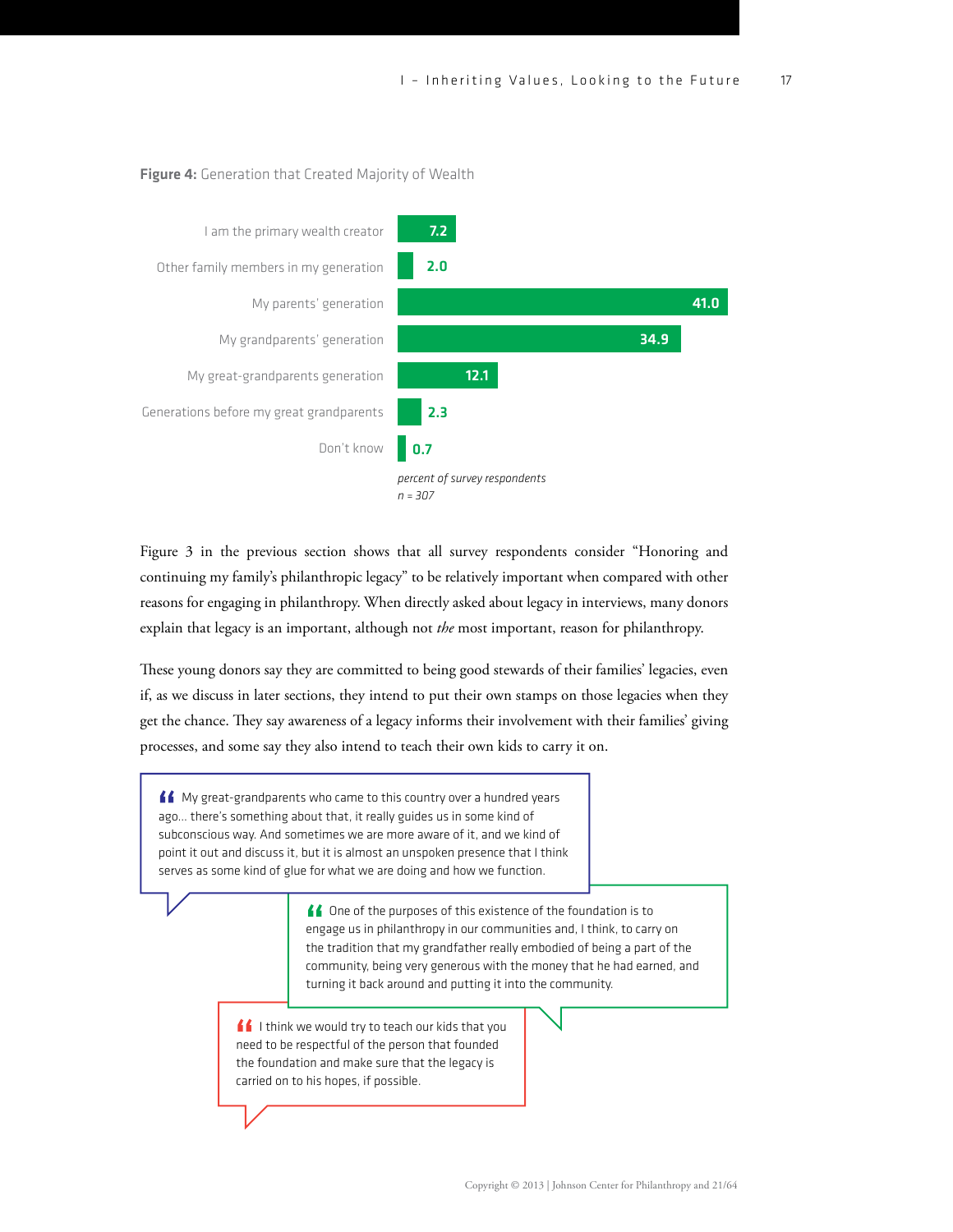



Figure 3 in the previous section shows that all survey respondents consider "Honoring and continuing my family's philanthropic legacy" to be relatively important when compared with other reasons for engaging in philanthropy. When directly asked about legacy in interviews, many donors explain that legacy is an important, although not *the* most important, reason for philanthropy.

These young donors say they are committed to being good stewards of their families' legacies, even if, as we discuss in later sections, they intend to put their own stamps on those legacies when they get the chance. They say awareness of a legacy informs their involvement with their families' giving processes, and some say they also intend to teach their own kids to carry it on.

K My great-grandparents who came to this country over a hundred years ago… there's something about that, it really guides us in some kind of subconscious way. And sometimes we are more aware of it, and we kind of point it out and discuss it, but it is almost an unspoken presence that I think serves as some kind of glue for what we are doing and how we function.

> ▲ One of the purposes of this existence of the foundation is to engage us in philanthropy in our communities and, I think, to carry on the tradition that my grandfather really embodied of being a part of the community, being very generous with the money that he had earned, and turning it back around and putting it into the community.

I I think we would try to teach our kids that you need to be respectful of the person that founded the foundation and make sure that the legacy is carried on to his hopes, if possible.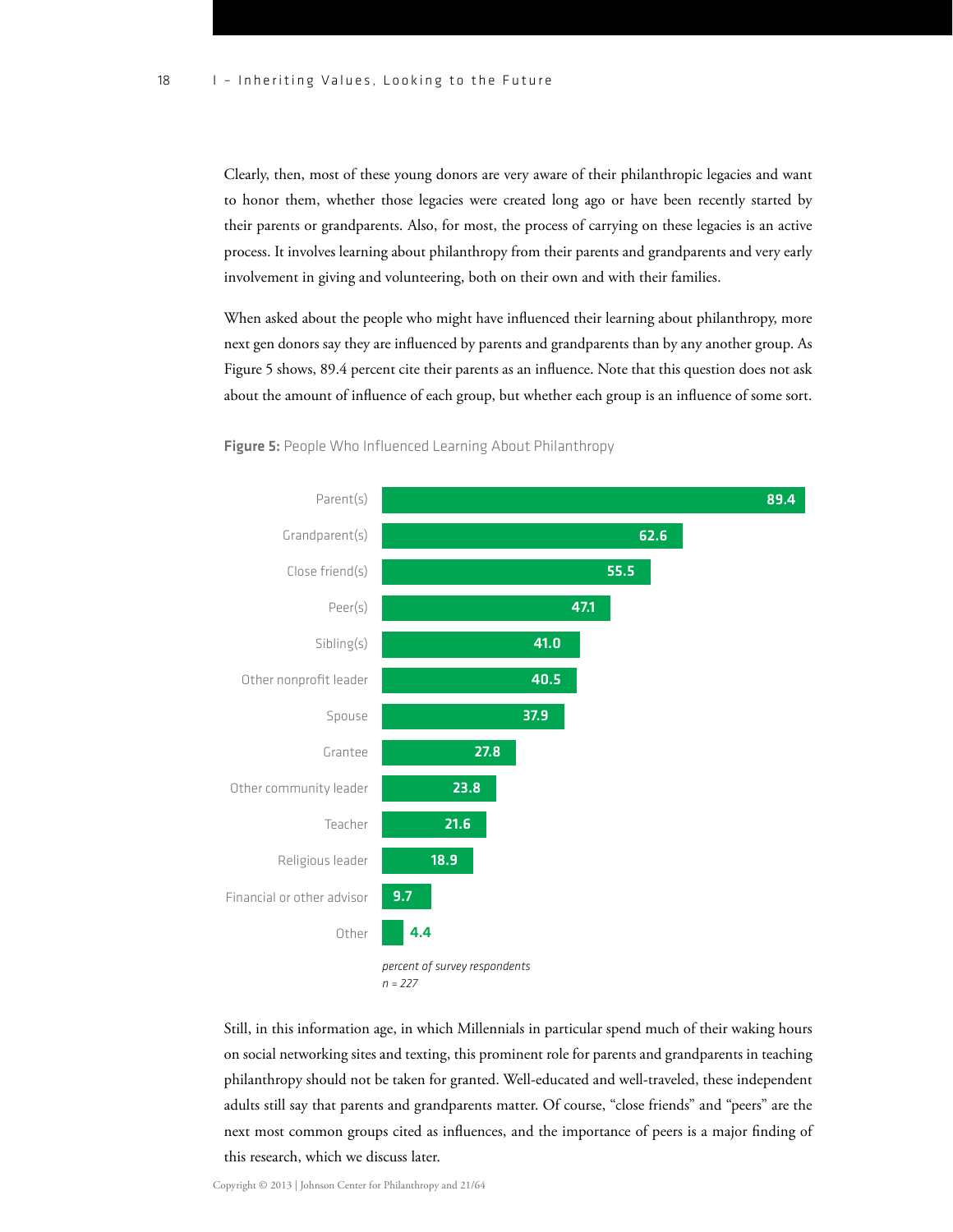Clearly, then, most of these young donors are very aware of their philanthropic legacies and want to honor them, whether those legacies were created long ago or have been recently started by their parents or grandparents. Also, for most, the process of carrying on these legacies is an active process. It involves learning about philanthropy from their parents and grandparents and very early involvement in giving and volunteering, both on their own and with their families.

When asked about the people who might have influenced their learning about philanthropy, more next gen donors say they are influenced by parents and grandparents than by any another group. As Figure 5 shows, 89.4 percent cite their parents as an influence. Note that this question does not ask about the amount of influence of each group, but whether each group is an influence of some sort.



Figure 5: People Who Influenced Learning About Philanthropy

Still, in this information age, in which Millennials in particular spend much of their waking hours on social networking sites and texting, this prominent role for parents and grandparents in teaching philanthropy should not be taken for granted. Well-educated and well-traveled, these independent adults still say that parents and grandparents matter. Of course, "close friends" and "peers" are the next most common groups cited as influences, and the importance of peers is a major finding of this research, which we discuss later.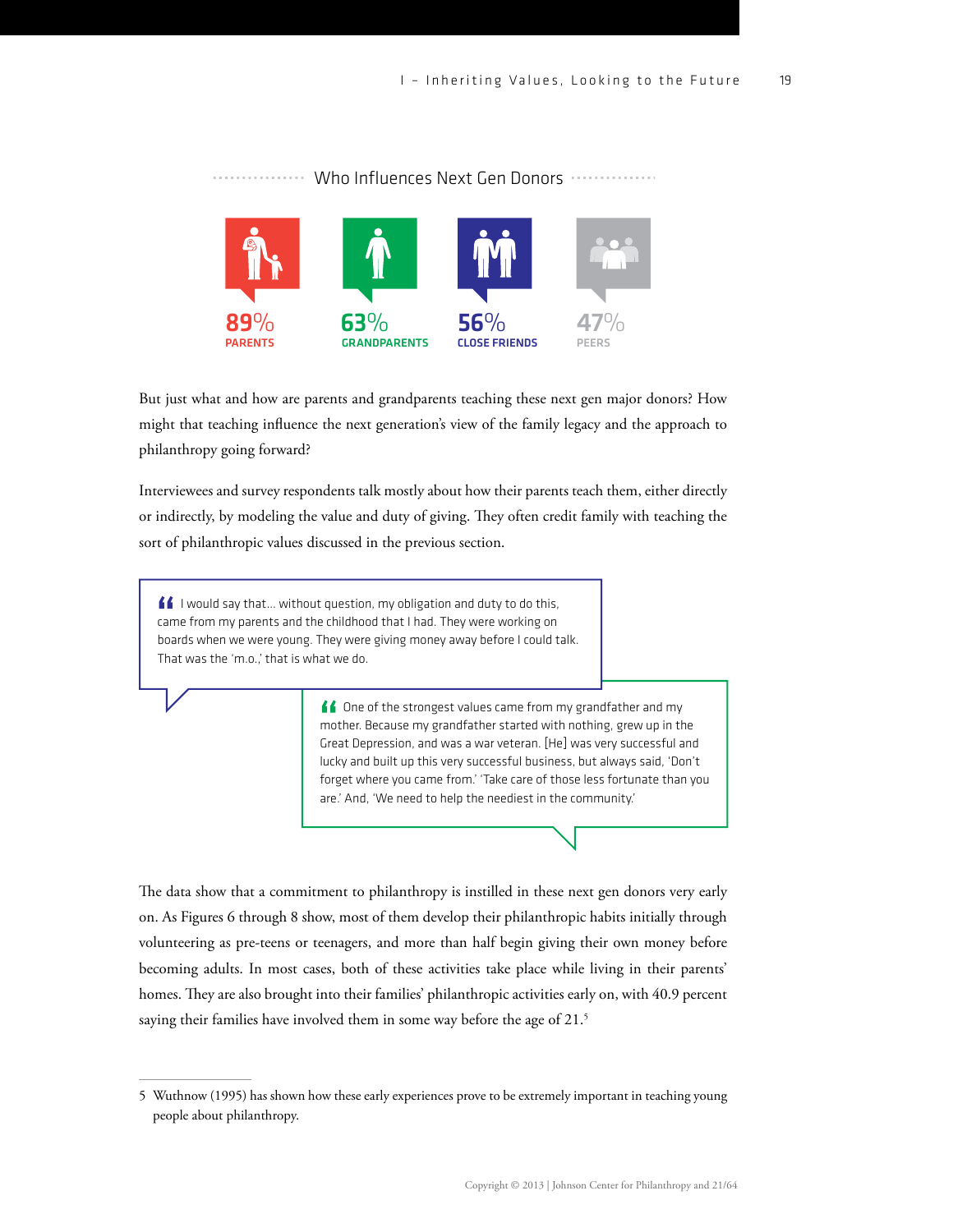

. . . . . . . . . . . . . . . Who Influences Next Gen Donors **With Allences** 

organization's website

But just what and how are parents and grandparents teaching these next gen major donors? How might that teaching influence the next generation's view of the family legacy and the approach to philanthropy going forward?

Interviewees and survey respondents talk mostly about how their parents teach them, either directly or indirectly, by modeling the value and duty of giving. They often credit family with teaching the sort of philanthropic values discussed in the previous section.

 $\blacksquare\spadesuit$  I would say that... without question, my obligation and duty to do this, came from my parents and the childhood that I had. They were working on boards when we were young. They were giving money away before I could talk. That was the 'm.o.,' that is what we do.

> ▲ One of the strongest values came from my grandfather and my mother. Because my grandfather started with nothing, grew up in the Great Depression, and was a war veteran. [He] was very successful and lucky and built up this very successful business, but always said, 'Don't forget where you came from.' 'Take care of those less fortunate than you are.' And, 'We need to help the neediest in the community.'

The data show that a commitment to philanthropy is instilled in these next gen donors very early on. As Figures 6 through 8 show, most of them develop their philanthropic habits initially through volunteering as pre-teens or teenagers, and more than half begin giving their own money before becoming adults. In most cases, both of these activities take place while living in their parents' homes. They are also brought into their families' philanthropic activities early on, with 40.9 percent saying their families have involved them in some way before the age of 21.<sup>5</sup>

<sup>5</sup> Wuthnow (1995) has shown how these early experiences prove to be extremely important in teaching young people about philanthropy.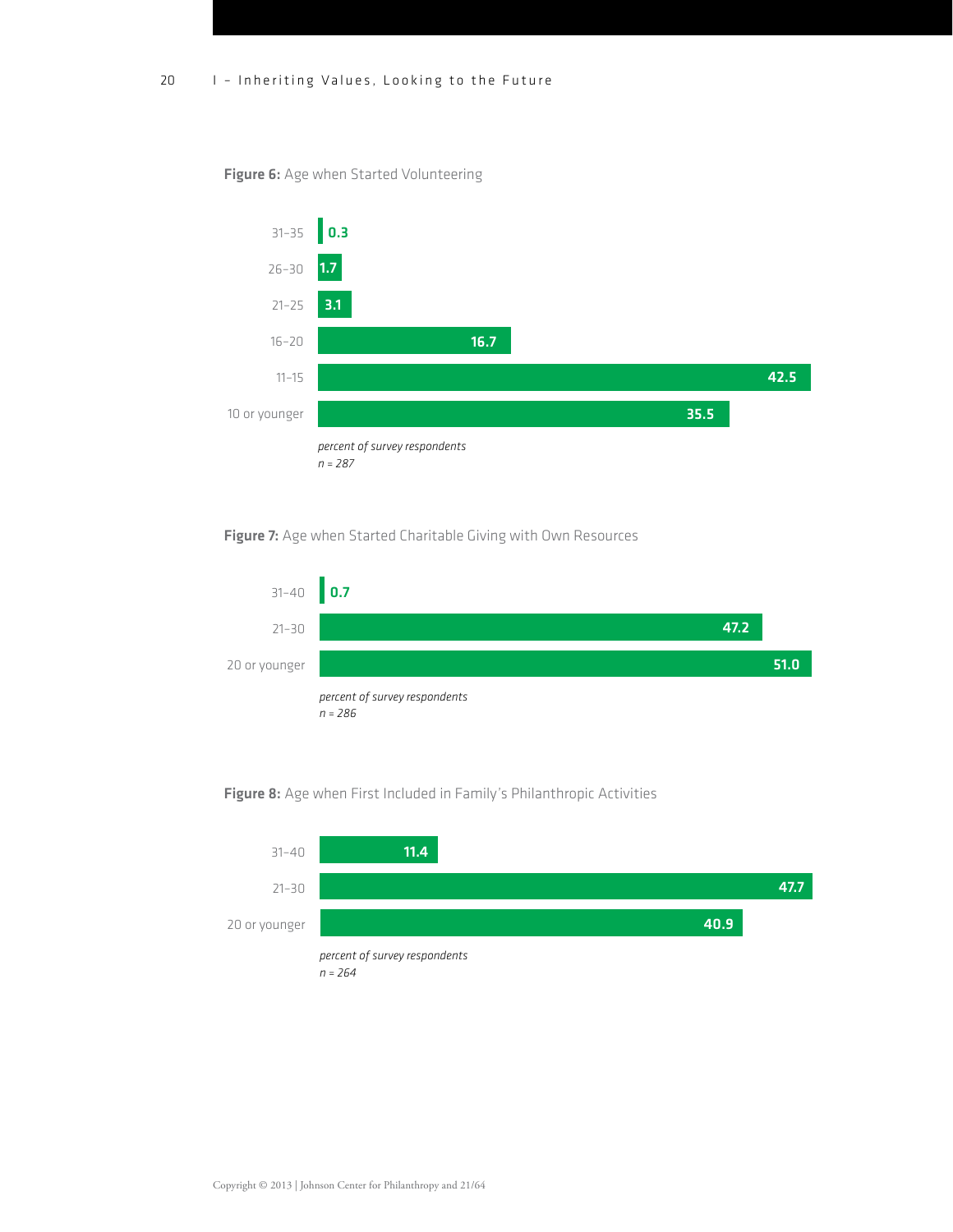#### Figure 6: Age when Started Volunteering



### Figure 7: Age when Started Charitable Giving with Own Resources



#### Figure 8: Age when First Included in Family's Philanthropic Activities

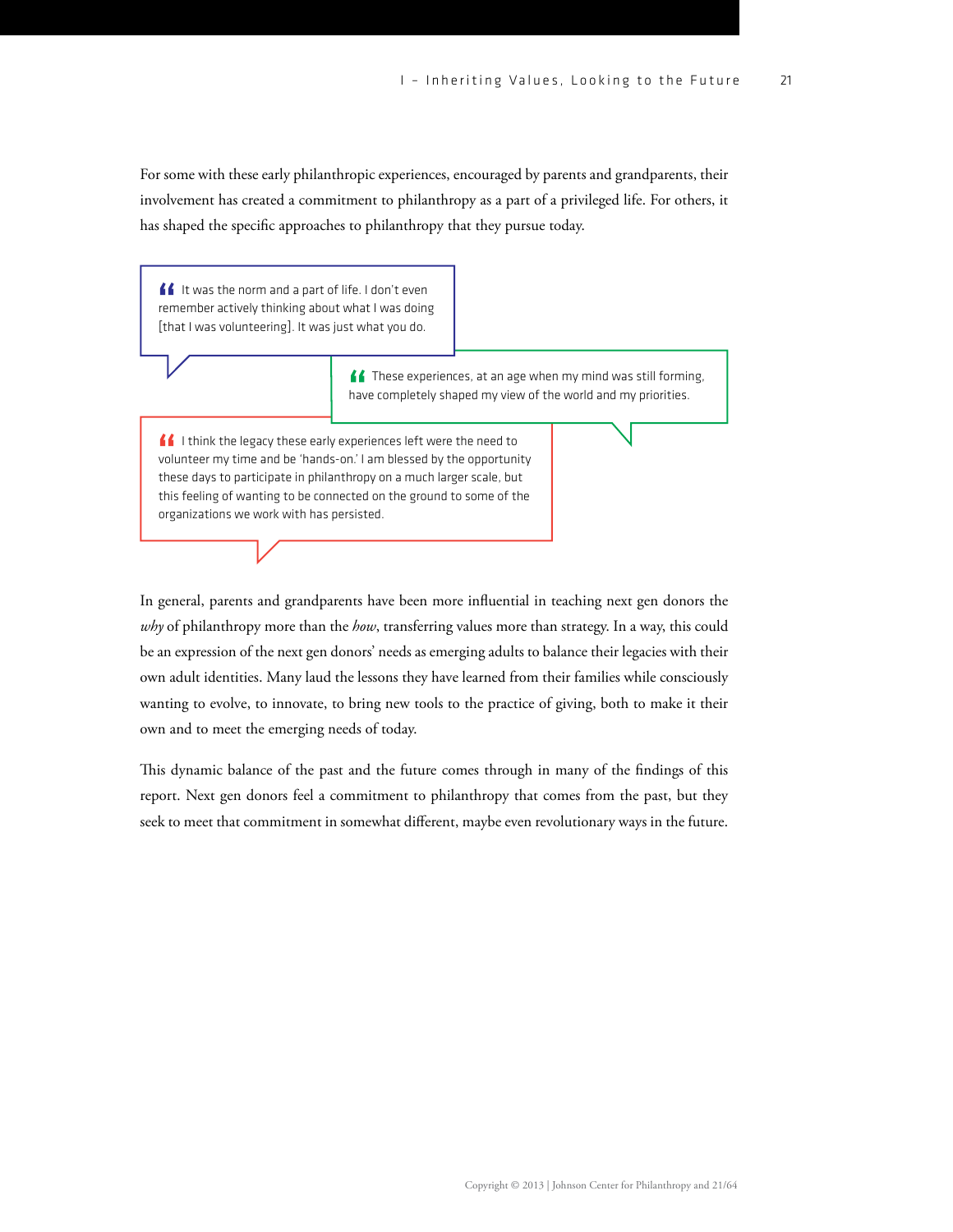For some with these early philanthropic experiences, encouraged by parents and grandparents, their involvement has created a commitment to philanthropy as a part of a privileged life. For others, it has shaped the specific approaches to philanthropy that they pursue today.

If It was the norm and a part of life. I don't even remember actively thinking about what I was doing [that I was volunteering]. It was just what you do.

> **ff** These experiences, at an age when my mind was still forming, have completely shaped my view of the world and my priorities.

I ithink the legacy these early experiences left were the need to volunteer my time and be 'hands-on.' I am blessed by the opportunity these days to participate in philanthropy on a much larger scale, but this feeling of wanting to be connected on the ground to some of the organizations we work with has persisted.

In general, parents and grandparents have been more influential in teaching next gen donors the *why* of philanthropy more than the *how*, transferring values more than strategy. In a way, this could be an expression of the next gen donors' needs as emerging adults to balance their legacies with their own adult identities. Many laud the lessons they have learned from their families while consciously wanting to evolve, to innovate, to bring new tools to the practice of giving, both to make it their own and to meet the emerging needs of today.

This dynamic balance of the past and the future comes through in many of the findings of this report. Next gen donors feel a commitment to philanthropy that comes from the past, but they seek to meet that commitment in somewhat different, maybe even revolutionary ways in the future.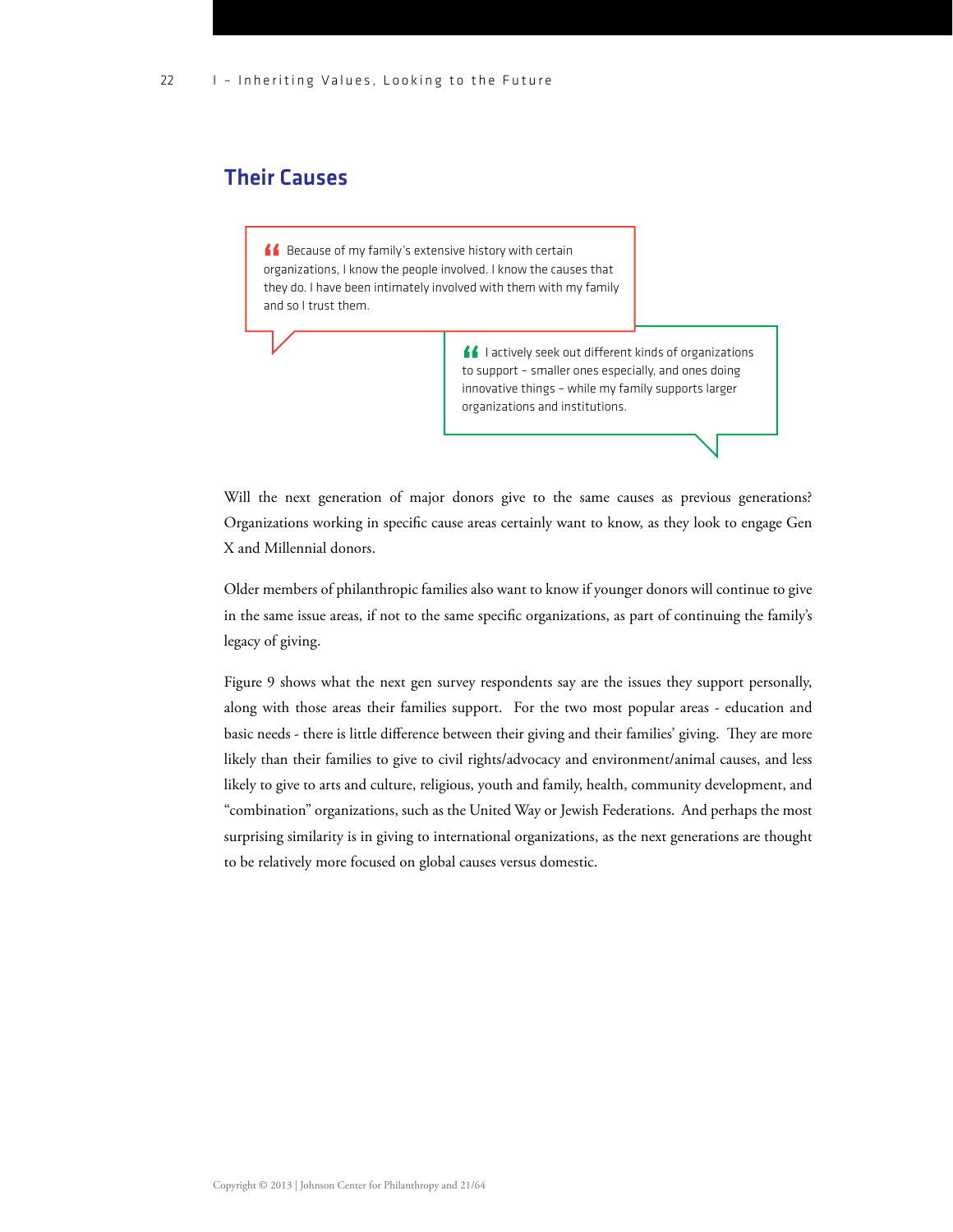## Their Causes

**AC** Because of my family's extensive history with certain organizations, I know the people involved. I know the causes that they do. I have been intimately involved with them with my family and so I trust them.

> $\blacksquare$  I actively seek out different kinds of organizations to support – smaller ones especially, and ones doing innovative things – while my family supports larger organizations and institutions.

Will the next generation of major donors give to the same causes as previous generations? Organizations working in specific cause areas certainly want to know, as they look to engage Gen X and Millennial donors.

Older members of philanthropic families also want to know if younger donors will continue to give in the same issue areas, if not to the same specific organizations, as part of continuing the family's legacy of giving.

Figure 9 shows what the next gen survey respondents say are the issues they support personally, along with those areas their families support. For the two most popular areas - education and basic needs - there is little difference between their giving and their families' giving. They are more likely than their families to give to civil rights/advocacy and environment/animal causes, and less likely to give to arts and culture, religious, youth and family, health, community development, and "combination" organizations, such as the United Way or Jewish Federations. And perhaps the most surprising similarity is in giving to international organizations, as the next generations are thought to be relatively more focused on global causes versus domestic.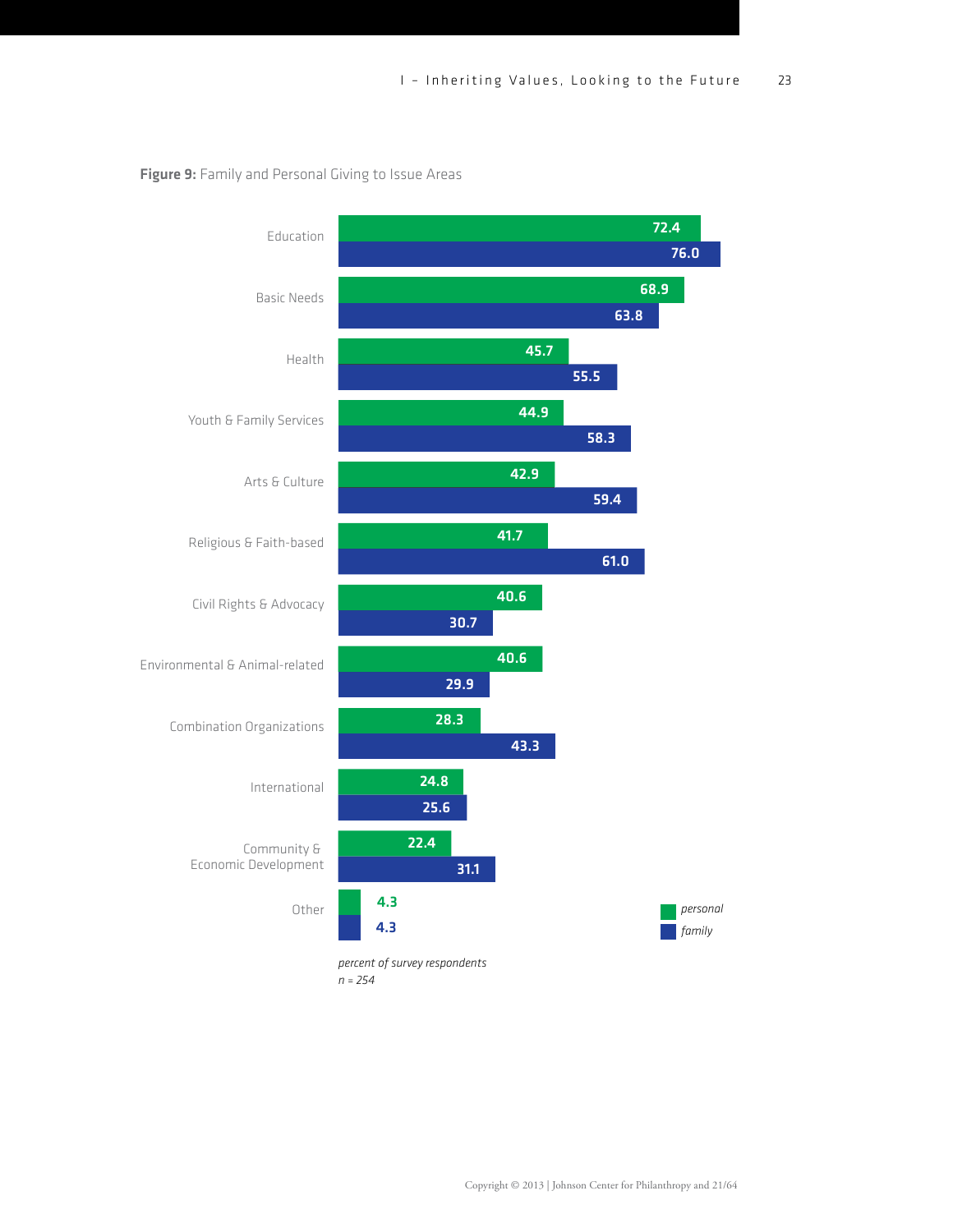

Figure 9: Family and Personal Giving to Issue Areas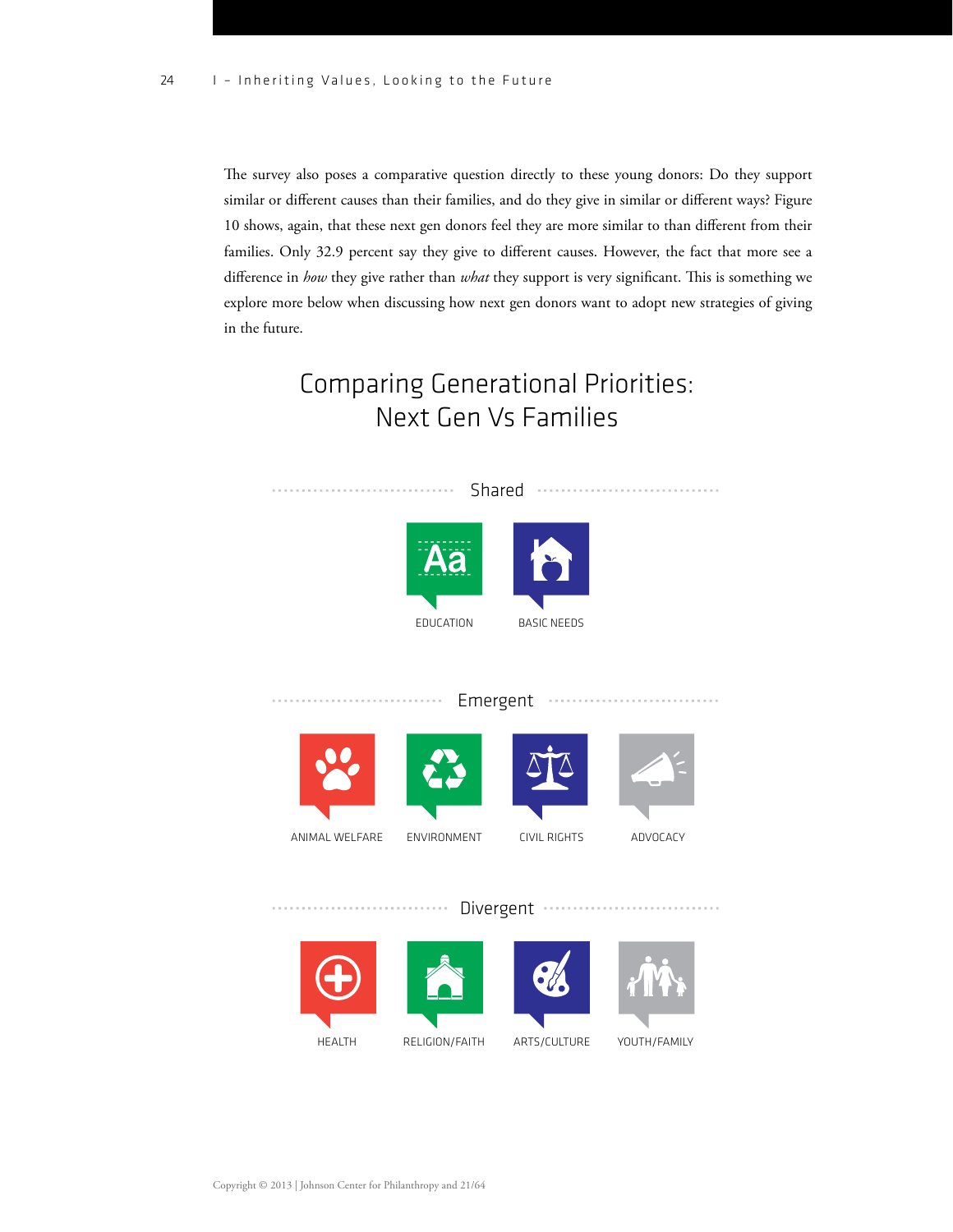The survey also poses a comparative question directly to these young donors: Do they support similar or different causes than their families, and do they give in similar or different ways? Figure 10 shows, again, that these next gen donors feel they are more similar to than different from their families. Only 32.9 percent say they give to different causes. However, the fact that more see a difference in *how* they give rather than *what* they support is very significant. This is something we explore more below when discussing how next gen donors want to adopt new strategies of giving in the future.

## Comparing Generational Priorities: Next Gen Vs Families

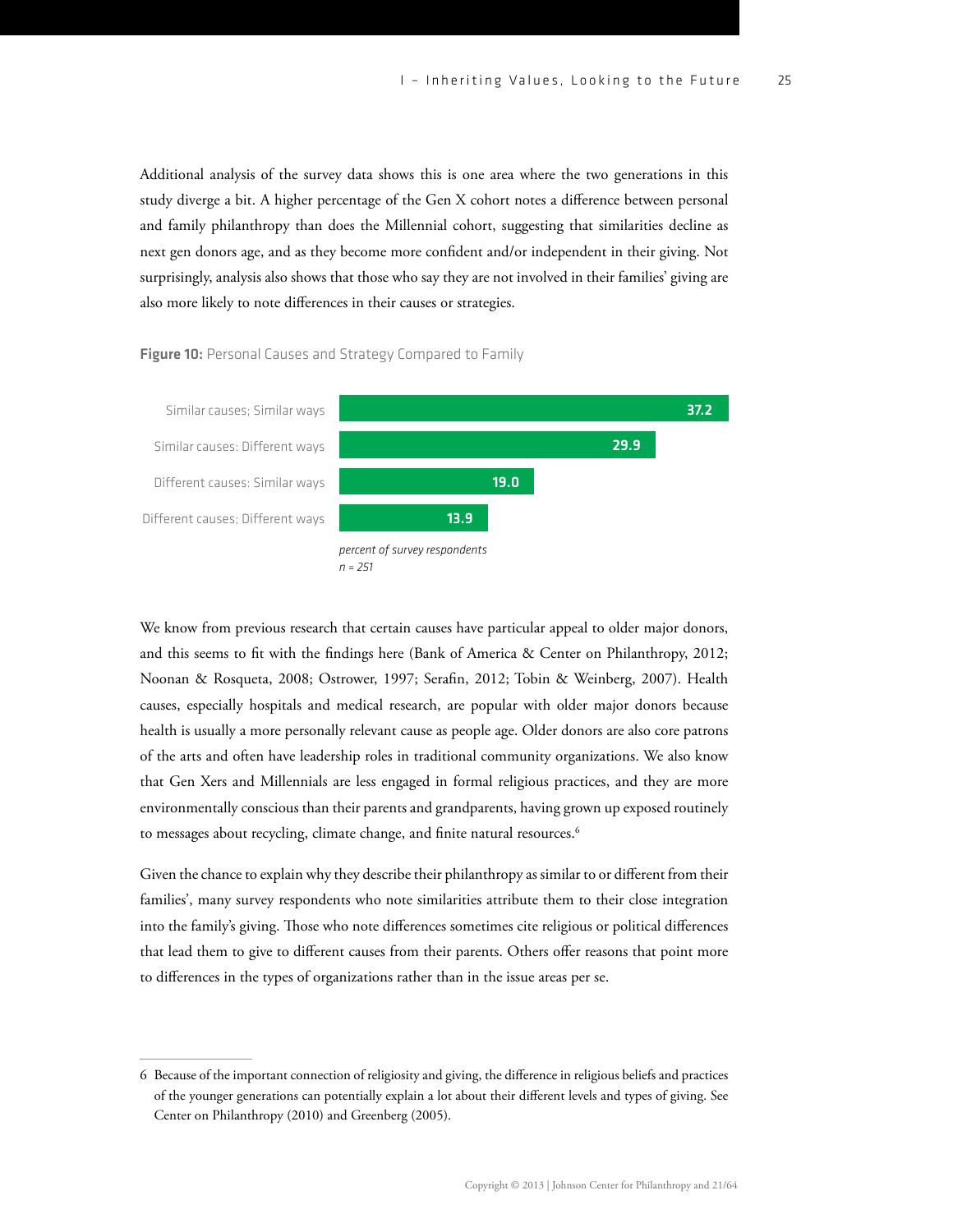Additional analysis of the survey data shows this is one area where the two generations in this study diverge a bit. A higher percentage of the Gen X cohort notes a difference between personal and family philanthropy than does the Millennial cohort, suggesting that similarities decline as next gen donors age, and as they become more condent and/or independent in their giving. Not surprisingly, analysis also shows that those who say they are not involved in their families' giving are also more likely to note differences in their causes or strategies.

#### Figure 10: Personal Causes and Strategy Compared to Family



We know from previous research that certain causes have particular appeal to older major donors, and this seems to fit with the findings here (Bank of America & Center on Philanthropy, 2012; Noonan & Rosqueta, 2008; Ostrower, 1997; Serafin, 2012; Tobin & Weinberg, 2007). Health causes, especially hospitals and medical research, are popular with older major donors because health is usually a more personally relevant cause as people age. Older donors are also core patrons of the arts and often have leadership roles in traditional community organizations. We also know that Gen Xers and Millennials are less engaged in formal religious practices, and they are more environmentally conscious than their parents and grandparents, having grown up exposed routinely to messages about recycling, climate change, and finite natural resources.<sup>6</sup>

Given the chance to explain why they describe their philanthropy as similar to or different from their families', many survey respondents who note similarities attribute them to their close integration into the family's giving. Those who note differences sometimes cite religious or political differences that lead them to give to different causes from their parents. Others offer reasons that point more to differences in the types of organizations rather than in the issue areas per se.

<sup>6</sup> Because of the important connection of religiosity and giving, the difference in religious beliefs and practices of the younger generations can potentially explain a lot about their dierent levels and types of giving. See Center on Philanthropy (2010) and Greenberg (2005).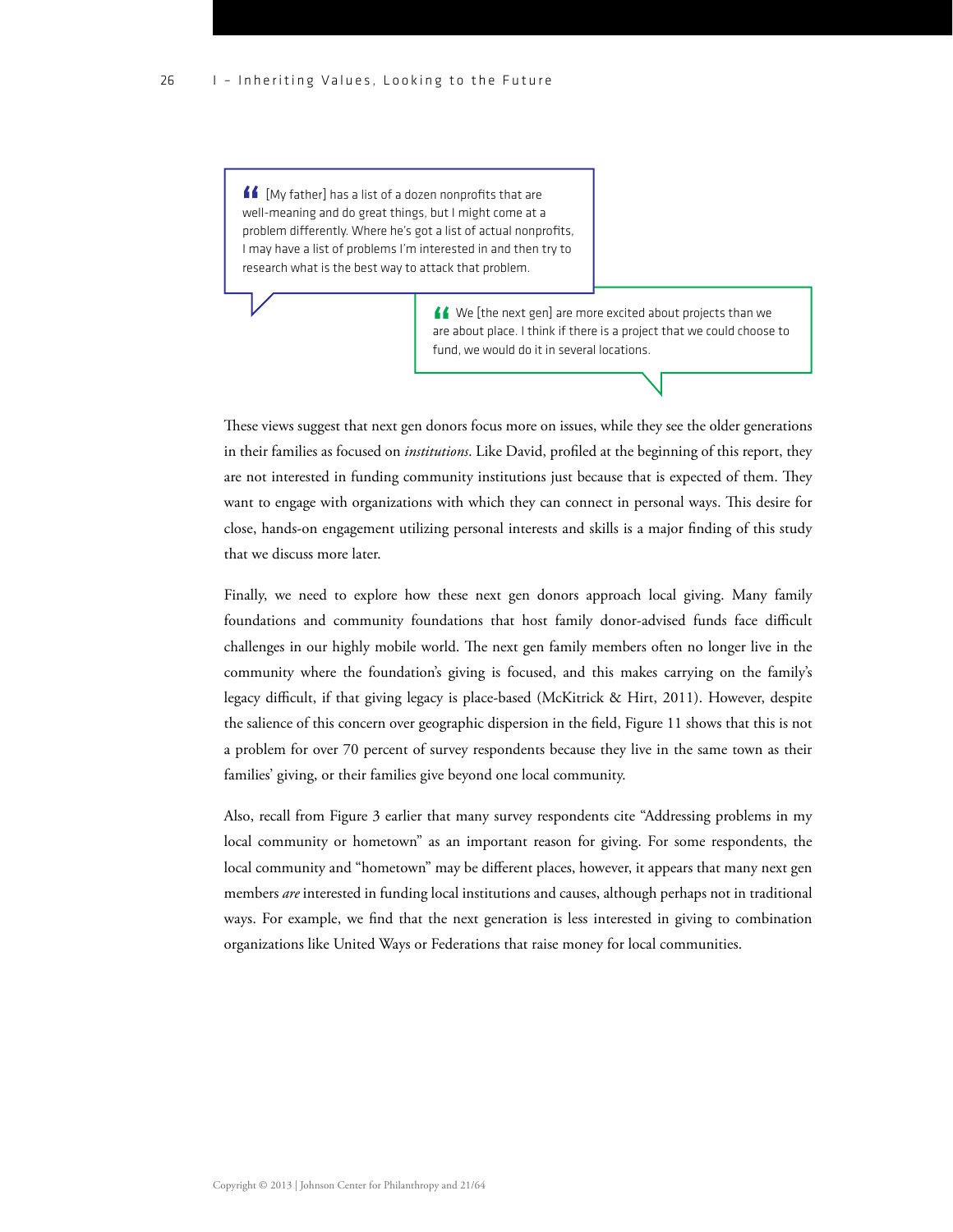$\blacksquare$  [My father] has a list of a dozen nonprofits that are well-meaning and do great things, but I might come at a problem differently. Where he's got a list of actual nonprofits, I may have a list of problems I'm interested in and then try to research what is the best way to attack that problem.

> K We [the next gen] are more excited about projects than we are about place. I think if there is a project that we could choose to fund, we would do it in several locations.

These views suggest that next gen donors focus more on issues, while they see the older generations in their families as focused on *institutions*. Like David, profiled at the beginning of this report, they are not interested in funding community institutions just because that is expected of them. They want to engage with organizations with which they can connect in personal ways. This desire for close, hands-on engagement utilizing personal interests and skills is a major finding of this study that we discuss more later.

Finally, we need to explore how these next gen donors approach local giving. Many family foundations and community foundations that host family donor-advised funds face difficult challenges in our highly mobile world. The next gen family members often no longer live in the community where the foundation's giving is focused, and this makes carrying on the family's legacy difficult, if that giving legacy is place-based (McKitrick & Hirt, 2011). However, despite the salience of this concern over geographic dispersion in the field, Figure 11 shows that this is not a problem for over 70 percent of survey respondents because they live in the same town as their families' giving, or their families give beyond one local community.

Also, recall from Figure 3 earlier that many survey respondents cite "Addressing problems in my local community or hometown" as an important reason for giving. For some respondents, the local community and "hometown" may be different places, however, it appears that many next gen members *are* interested in funding local institutions and causes, although perhaps not in traditional ways. For example, we find that the next generation is less interested in giving to combination organizations like United Ways or Federations that raise money for local communities.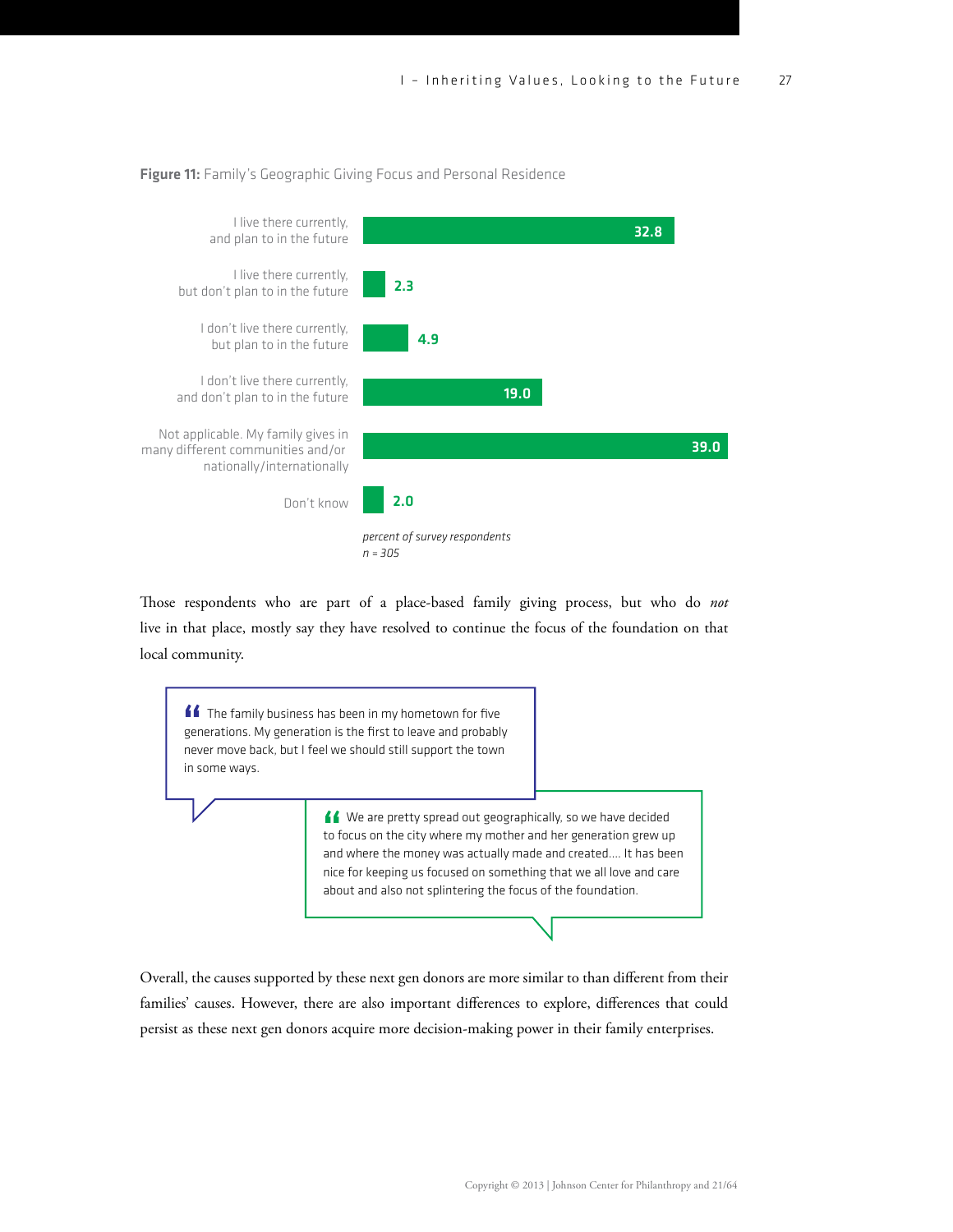#### Figure 11: Family's Geographic Giving Focus and Personal Residence



Those respondents who are part of a place-based family giving process, but who do *not* live in that place, mostly say they have resolved to continue the focus of the foundation on that local community.



Overall, the causes supported by these next gen donors are more similar to than different from their families' causes. However, there are also important differences to explore, differences that could persist as these next gen donors acquire more decision-making power in their family enterprises.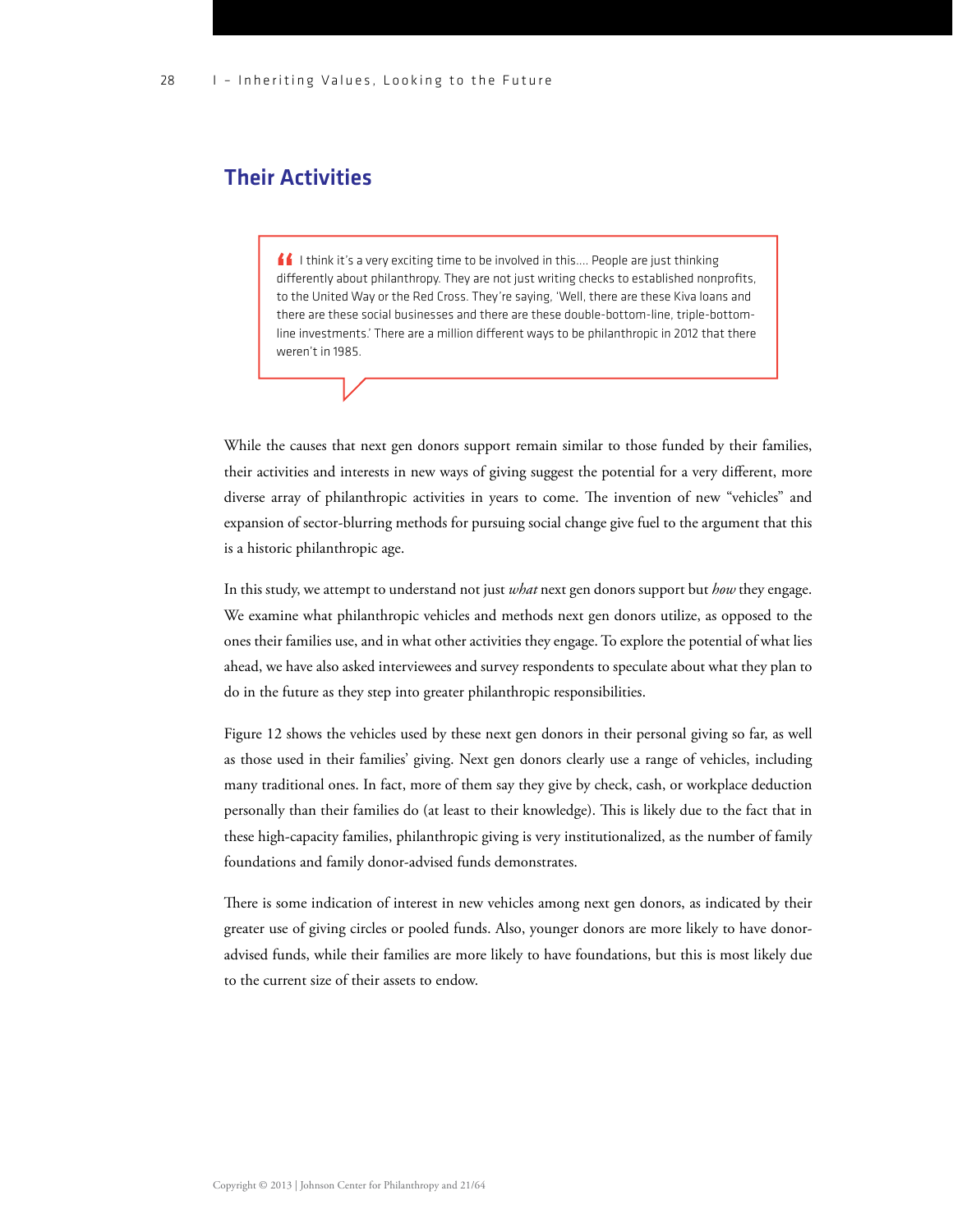## Their Activities

**If** I think it's a very exciting time to be involved in this.... People are just thinking differently about philanthropy. They are not just writing checks to established nonprofits, to the United Way or the Red Cross. They're saying, 'Well, there are these Kiva loans and there are these social businesses and there are these double-bottom-line, triple-bottomline investments.' There are a million different ways to be philanthropic in 2012 that there weren't in 1985.

While the causes that next gen donors support remain similar to those funded by their families, their activities and interests in new ways of giving suggest the potential for a very different, more diverse array of philanthropic activities in years to come. The invention of new "vehicles" and expansion of sector-blurring methods for pursuing social change give fuel to the argument that this is a historic philanthropic age.

In this study, we attempt to understand not just *what* next gen donors support but *how* they engage. We examine what philanthropic vehicles and methods next gen donors utilize, as opposed to the ones their families use, and in what other activities they engage. To explore the potential of what lies ahead, we have also asked interviewees and survey respondents to speculate about what they plan to do in the future as they step into greater philanthropic responsibilities.

Figure 12 shows the vehicles used by these next gen donors in their personal giving so far, as well as those used in their families' giving. Next gen donors clearly use a range of vehicles, including many traditional ones. In fact, more of them say they give by check, cash, or workplace deduction personally than their families do (at least to their knowledge). This is likely due to the fact that in these high-capacity families, philanthropic giving is very institutionalized, as the number of family foundations and family donor-advised funds demonstrates.

There is some indication of interest in new vehicles among next gen donors, as indicated by their greater use of giving circles or pooled funds. Also, younger donors are more likely to have donoradvised funds, while their families are more likely to have foundations, but this is most likely due to the current size of their assets to endow.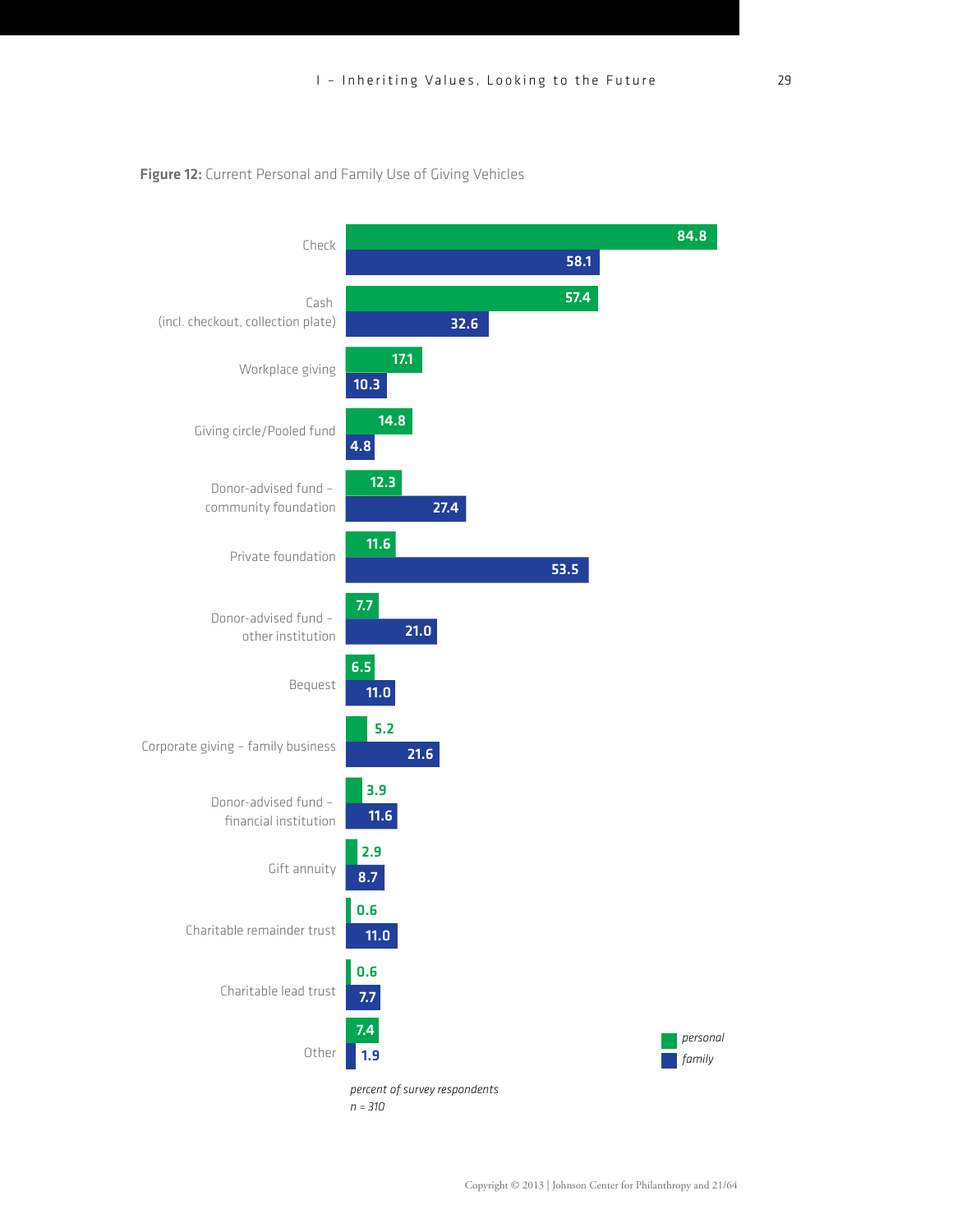#### Figure 12: Current Personal and Family Use of Giving Vehicles



*n = 310*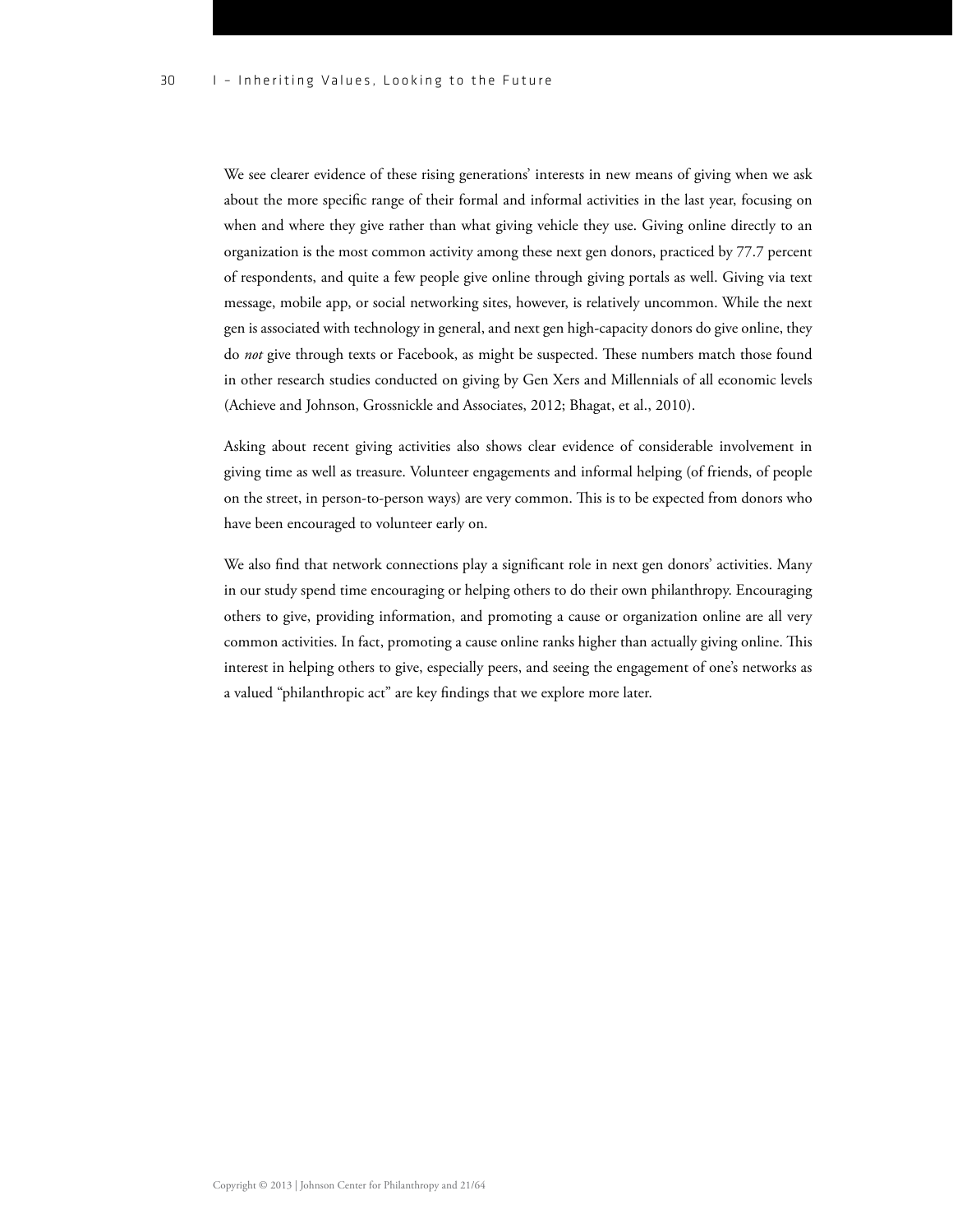We see clearer evidence of these rising generations' interests in new means of giving when we ask about the more specific range of their formal and informal activities in the last year, focusing on when and where they give rather than what giving vehicle they use. Giving online directly to an organization is the most common activity among these next gen donors, practiced by 77.7 percent of respondents, and quite a few people give online through giving portals as well. Giving via text message, mobile app, or social networking sites, however, is relatively uncommon. While the next gen is associated with technology in general, and next gen high-capacity donors do give online, they do *not* give through texts or Facebook, as might be suspected. These numbers match those found in other research studies conducted on giving by Gen Xers and Millennials of all economic levels (Achieve and Johnson, Grossnickle and Associates, 2012; Bhagat, et al., 2010).

Asking about recent giving activities also shows clear evidence of considerable involvement in giving time as well as treasure. Volunteer engagements and informal helping (of friends, of people on the street, in person-to-person ways) are very common. This is to be expected from donors who have been encouraged to volunteer early on.

We also find that network connections play a significant role in next gen donors' activities. Many in our study spend time encouraging or helping others to do their own philanthropy. Encouraging others to give, providing information, and promoting a cause or organization online are all very common activities. In fact, promoting a cause online ranks higher than actually giving online. This interest in helping others to give, especially peers, and seeing the engagement of one's networks as a valued "philanthropic act" are key findings that we explore more later.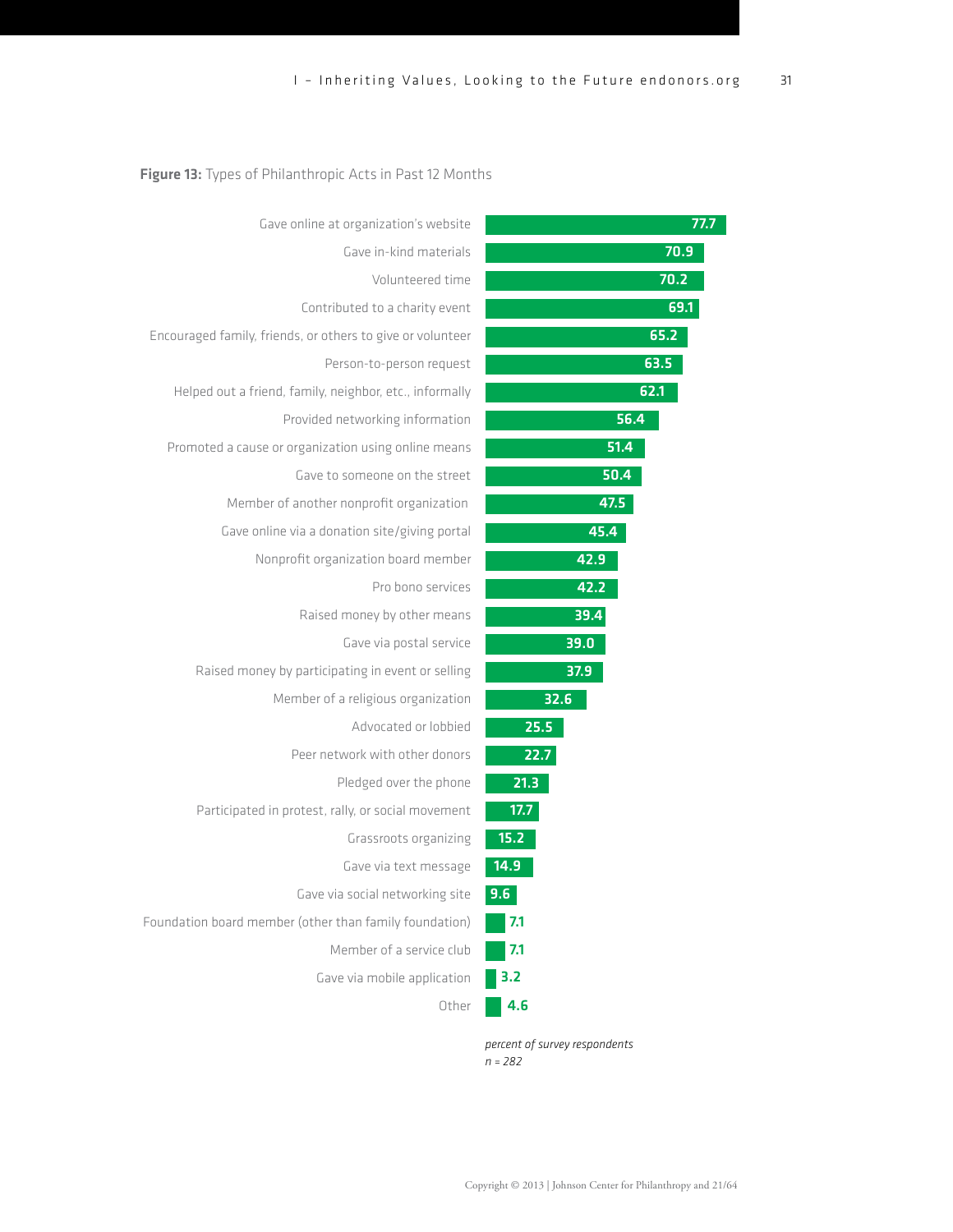| 77.7 | Gave online at organization's website                      |
|------|------------------------------------------------------------|
| 70.9 | Gave in-kind materials                                     |
| 70.2 | Volunteered time                                           |
| 69.1 | Contributed to a charity event                             |
| 65.2 | Encouraged family, friends, or others to give or volunteer |
| 63.5 | Person-to-person request                                   |
| 62.1 | Helped out a friend, family, neighbor, etc., informally    |
| 56.4 | Provided networking information                            |
| 51.4 | Promoted a cause or organization using online means        |
| 50.4 | Gave to someone on the street                              |
| 47.5 | Member of another nonprofit organization                   |
| 45.4 | Gave online via a donation site/giving portal              |
| 42.9 | Nonprofit organization board member                        |
| 42.2 | Pro bono services                                          |
| 39.4 | Raised money by other means                                |
| 39.0 | Gave via postal service                                    |
| 37.9 | Raised money by participating in event or selling          |
| 32.6 | Member of a religious organization                         |
| 25.5 | Advocated or lobbied                                       |
| 22.7 | Peer network with other donors                             |
| 21.3 | Pledged over the phone                                     |
| 17.7 | Participated in protest, rally, or social movement         |
| 15.2 | Grassroots organizing                                      |
| 14.9 | Gave via text message                                      |
| 9.6  | Gave via social networking site                            |
| 7.1  | Foundation board member (other than family foundation)     |
| 7.1  | Member of a service club                                   |
| 3.2  | Gave via mobile application                                |
| 4.6  | Other                                                      |

*percent of survey respondents n = 282*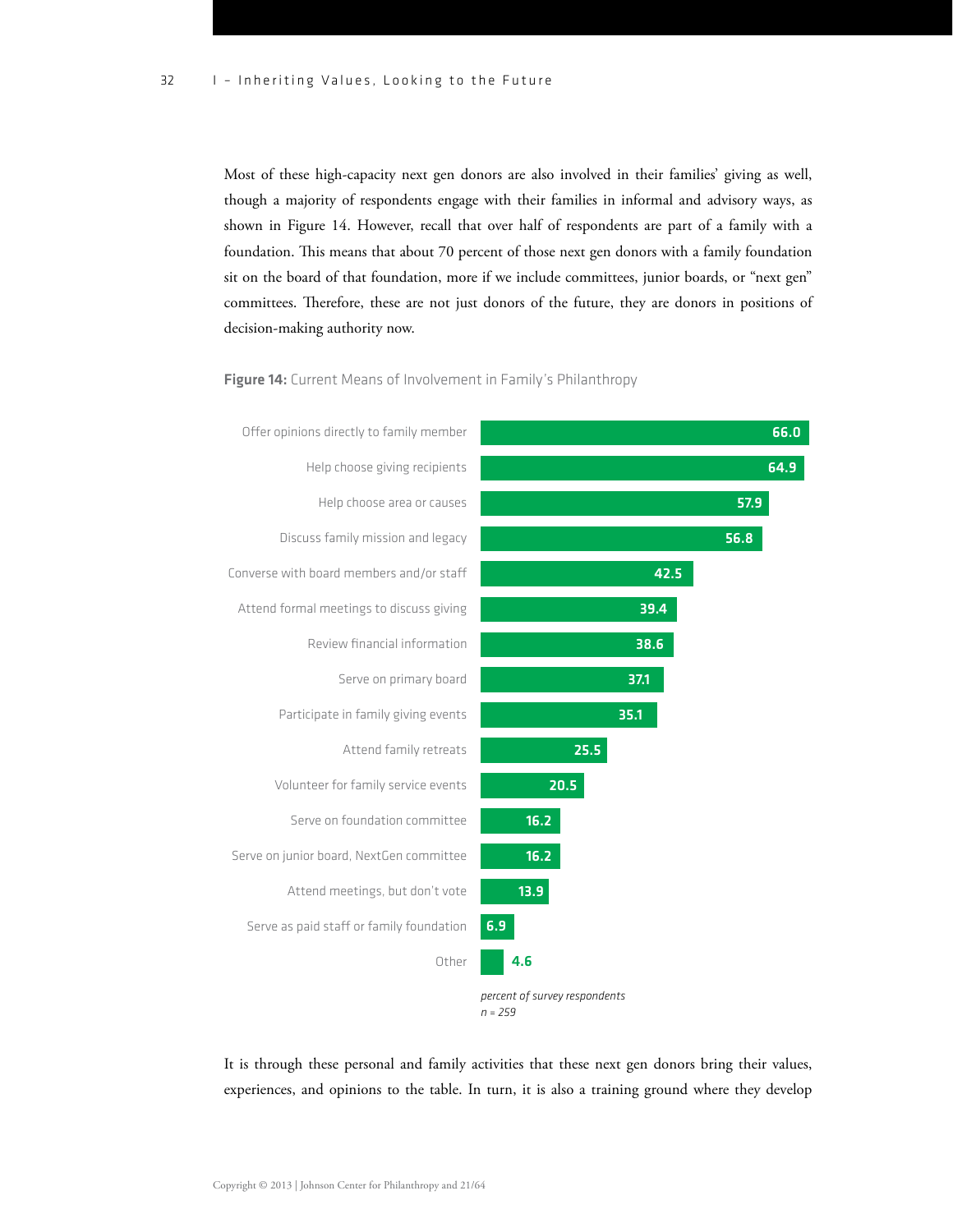Most of these high-capacity next gen donors are also involved in their families' giving as well, though a majority of respondents engage with their families in informal and advisory ways, as shown in Figure 14. However, recall that over half of respondents are part of a family with a foundation. This means that about 70 percent of those next gen donors with a family foundation sit on the board of that foundation, more if we include committees, junior boards, or "next gen" committees. Therefore, these are not just donors of the future, they are donors in positions of decision-making authority now.

Figure 14: Current Means of Involvement in Family's Philanthropy



*n = 259*

It is through these personal and family activities that these next gen donors bring their values, experiences, and opinions to the table. In turn, it is also a training ground where they develop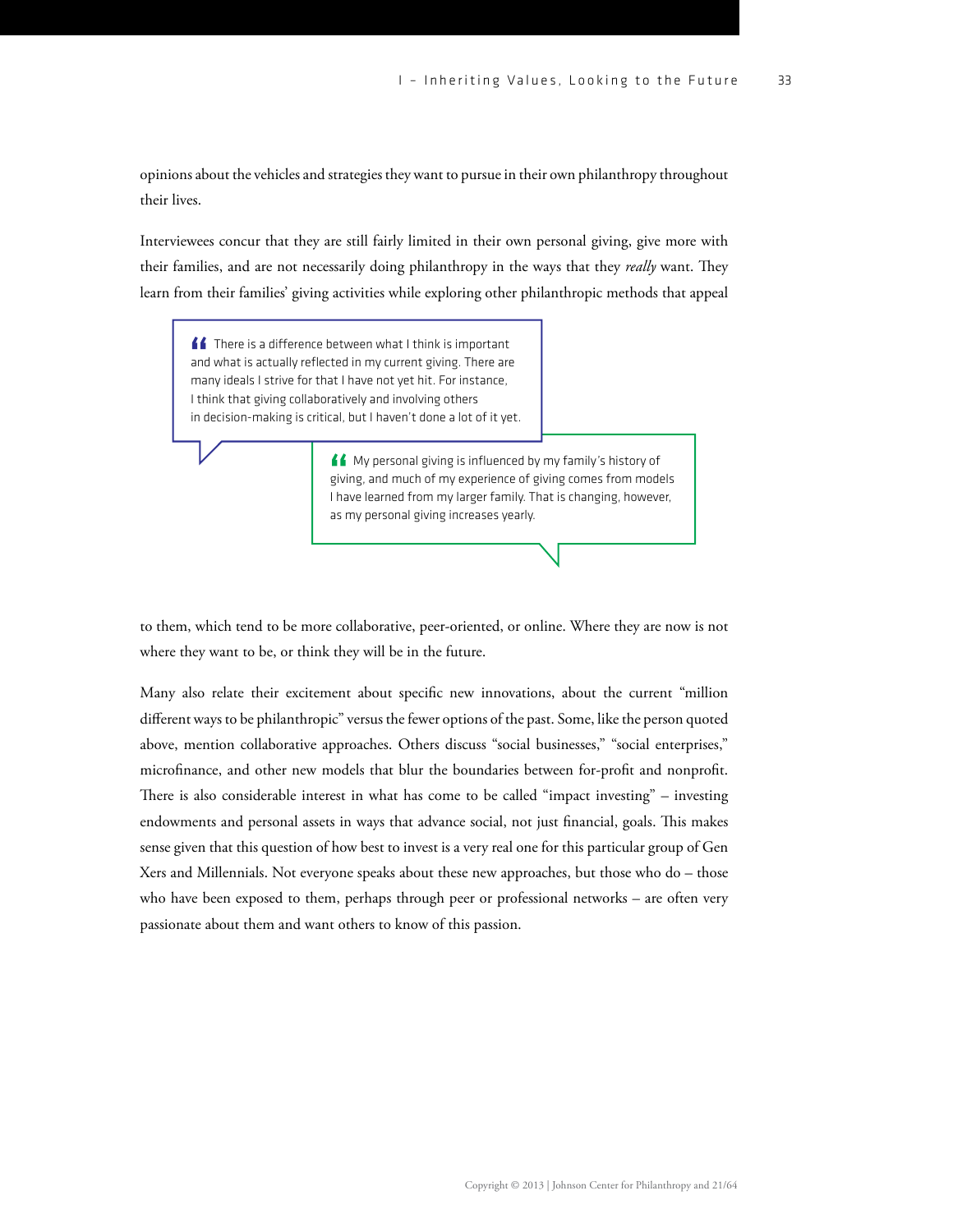opinions about the vehicles and strategies they want to pursue in their own philanthropy throughout their lives.

Interviewees concur that they are still fairly limited in their own personal giving, give more with their families, and are not necessarily doing philanthropy in the ways that they *really* want. They learn from their families' giving activities while exploring other philanthropic methods that appeal

 $\blacksquare$  There is a difference between what I think is important and what is actually reflected in my current giving. There are many ideals I strive for that I have not yet hit. For instance, I think that giving collaboratively and involving others in decision-making is critical, but I haven't done a lot of it yet.

> My personal giving is influenced by my family's history of giving, and much of my experience of giving comes from models I have learned from my larger family. That is changing, however, as my personal giving increases yearly.

to them, which tend to be more collaborative, peer-oriented, or online. Where they are now is not where they want to be, or think they will be in the future.

Many also relate their excitement about specific new innovations, about the current "million different ways to be philanthropic" versus the fewer options of the past. Some, like the person quoted above, mention collaborative approaches. Others discuss "social businesses," "social enterprises," microfinance, and other new models that blur the boundaries between for-profit and nonprofit. There is also considerable interest in what has come to be called "impact investing" – investing endowments and personal assets in ways that advance social, not just financial, goals. This makes sense given that this question of how best to invest is a very real one for this particular group of Gen Xers and Millennials. Not everyone speaks about these new approaches, but those who do – those who have been exposed to them, perhaps through peer or professional networks – are often very passionate about them and want others to know of this passion.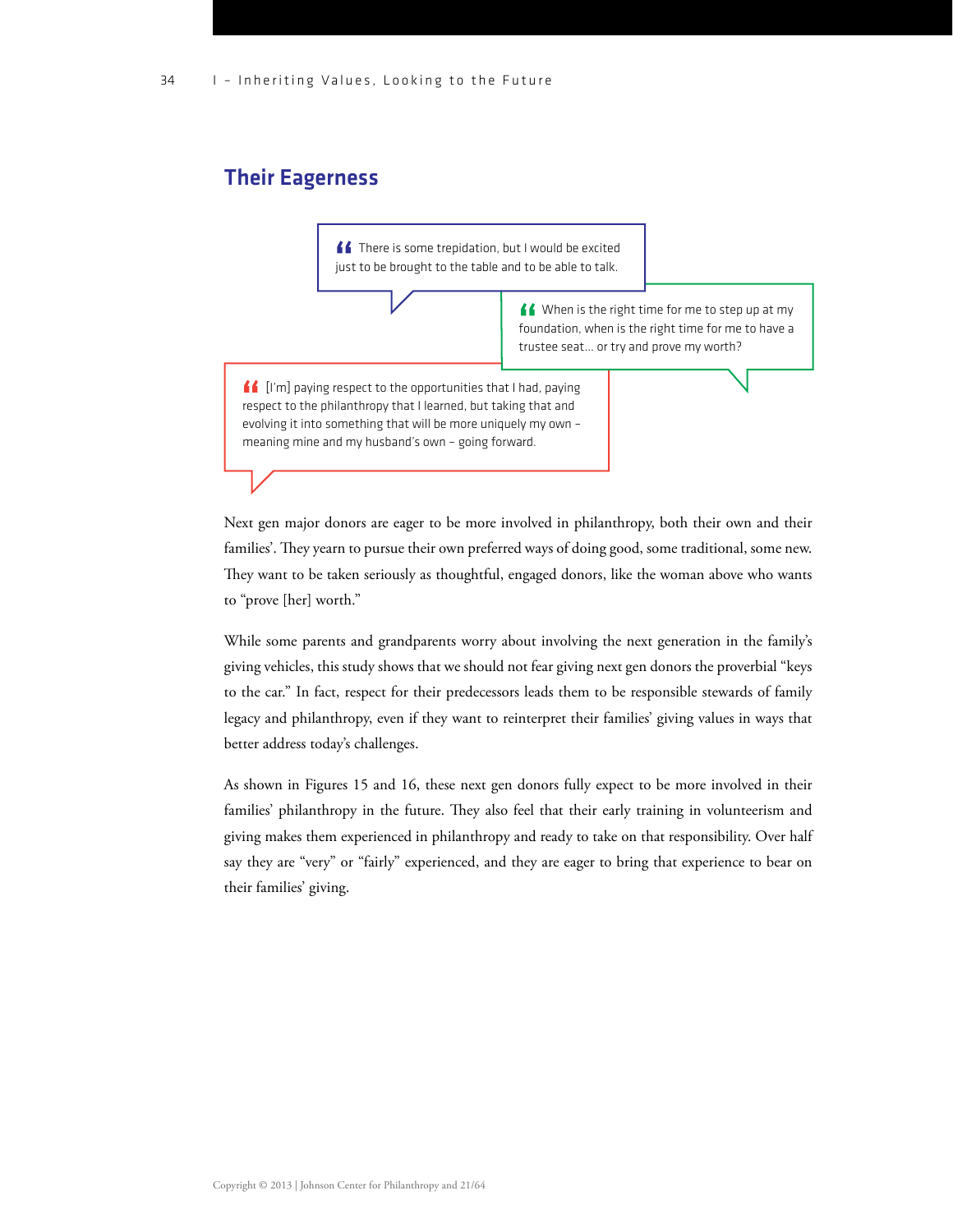### Their Eagerness

**ff** There is some trepidation, but I would be excited just to be brought to the table and to be able to talk.

> When is the right time for me to step up at my foundation, when is the right time for me to have a trustee seat… or try and prove my worth?

[I'm] paying respect to the opportunities that I had, paying respect to the philanthropy that I learned, but taking that and evolving it into something that will be more uniquely my own – meaning mine and my husband's own – going forward.

Next gen major donors are eager to be more involved in philanthropy, both their own and their families'. They yearn to pursue their own preferred ways of doing good, some traditional, some new. They want to be taken seriously as thoughtful, engaged donors, like the woman above who wants to "prove [her] worth."

While some parents and grandparents worry about involving the next generation in the family's giving vehicles, this study shows that we should not fear giving next gen donors the proverbial "keys to the car." In fact, respect for their predecessors leads them to be responsible stewards of family legacy and philanthropy, even if they want to reinterpret their families' giving values in ways that better address today's challenges.

As shown in Figures 15 and 16, these next gen donors fully expect to be more involved in their families' philanthropy in the future. They also feel that their early training in volunteerism and giving makes them experienced in philanthropy and ready to take on that responsibility. Over half say they are "very" or "fairly" experienced, and they are eager to bring that experience to bear on their families' giving.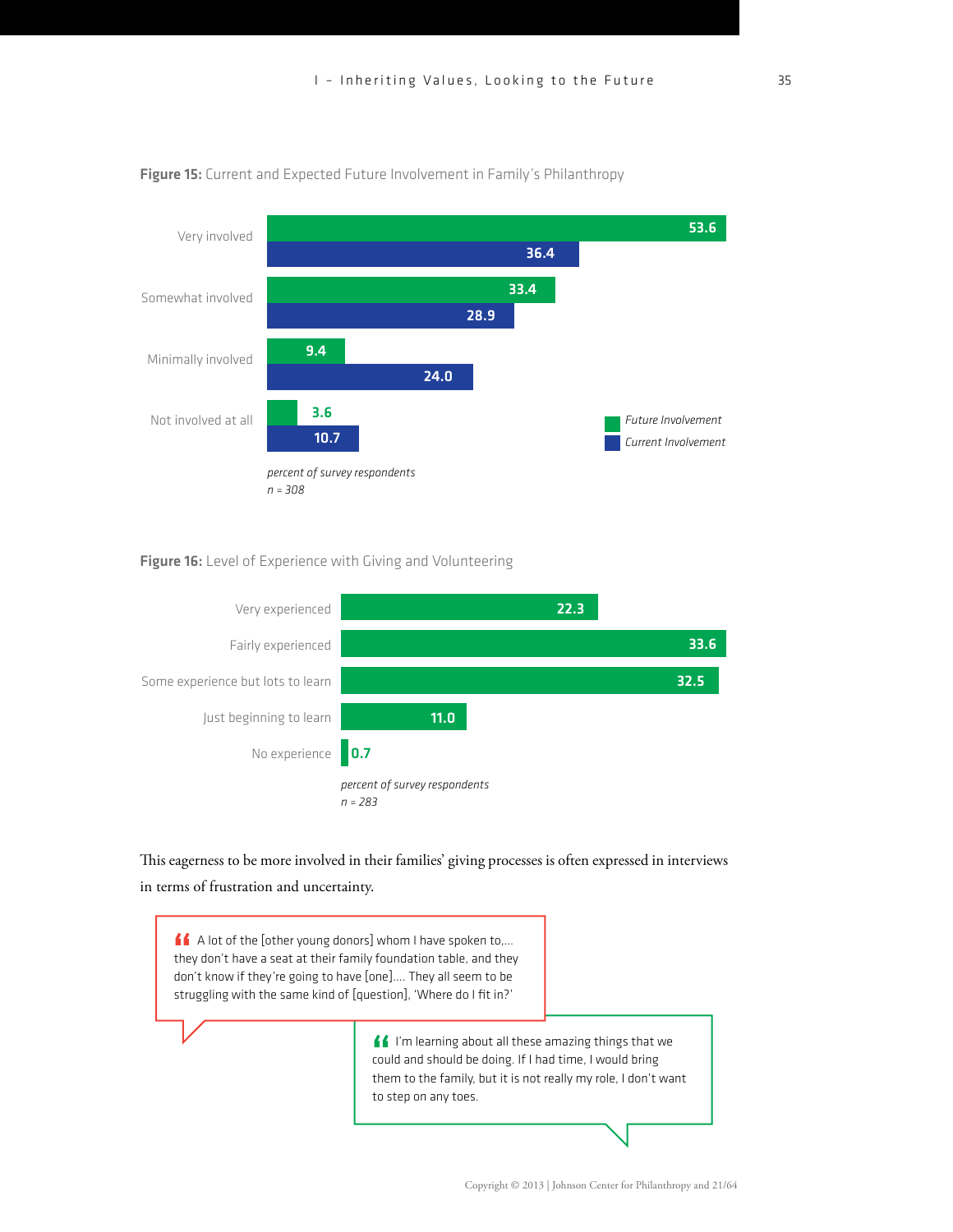

Figure 15: Current and Expected Future Involvement in Family's Philanthropy

#### Figure 16: Level of Experience with Giving and Volunteering



This eagerness to be more involved in their families' giving processes is often expressed in interviews in terms of frustration and uncertainty.

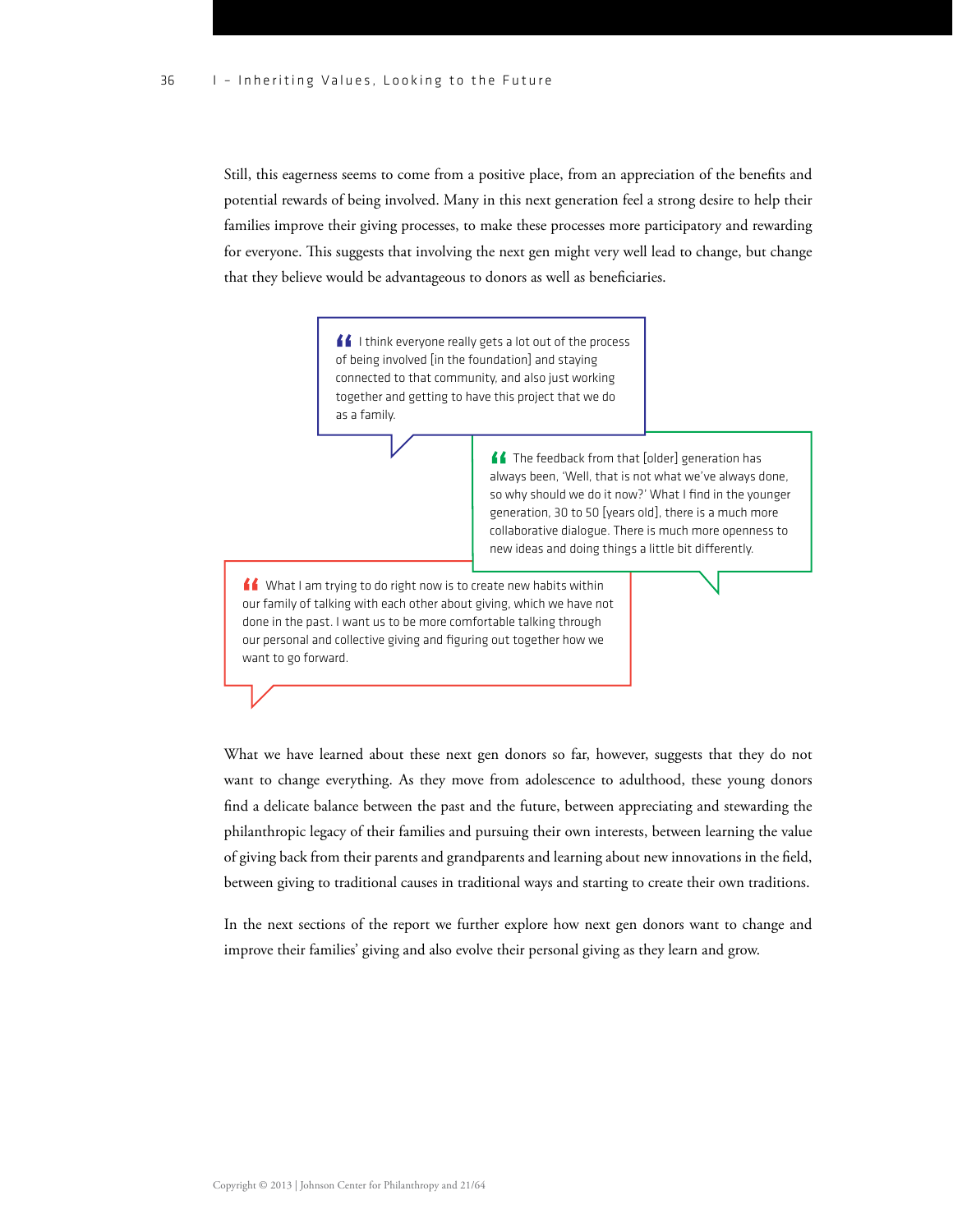Still, this eagerness seems to come from a positive place, from an appreciation of the benefits and potential rewards of being involved. Many in this next generation feel a strong desire to help their families improve their giving processes, to make these processes more participatory and rewarding for everyone. This suggests that involving the next gen might very well lead to change, but change that they believe would be advantageous to donors as well as beneficiaries.

> If I think everyone really gets a lot out of the process of being involved [in the foundation] and staying connected to that community, and also just working together and getting to have this project that we do as a family.

> > The feedback from that [older] generation has always been, 'Well, that is not what we've always done, so why should we do it now?' What I find in the younger generation, 30 to 50 [years old], there is a much more collaborative dialogue. There is much more openness to new ideas and doing things a little bit differently.

K What I am trying to do right now is to create new habits within our family of talking with each other about giving, which we have not done in the past. I want us to be more comfortable talking through our personal and collective giving and figuring out together how we want to go forward.

What we have learned about these next gen donors so far, however, suggests that they do not want to change everything. As they move from adolescence to adulthood, these young donors find a delicate balance between the past and the future, between appreciating and stewarding the philanthropic legacy of their families and pursuing their own interests, between learning the value of giving back from their parents and grandparents and learning about new innovations in the field, between giving to traditional causes in traditional ways and starting to create their own traditions.

In the next sections of the report we further explore how next gen donors want to change and improve their families' giving and also evolve their personal giving as they learn and grow.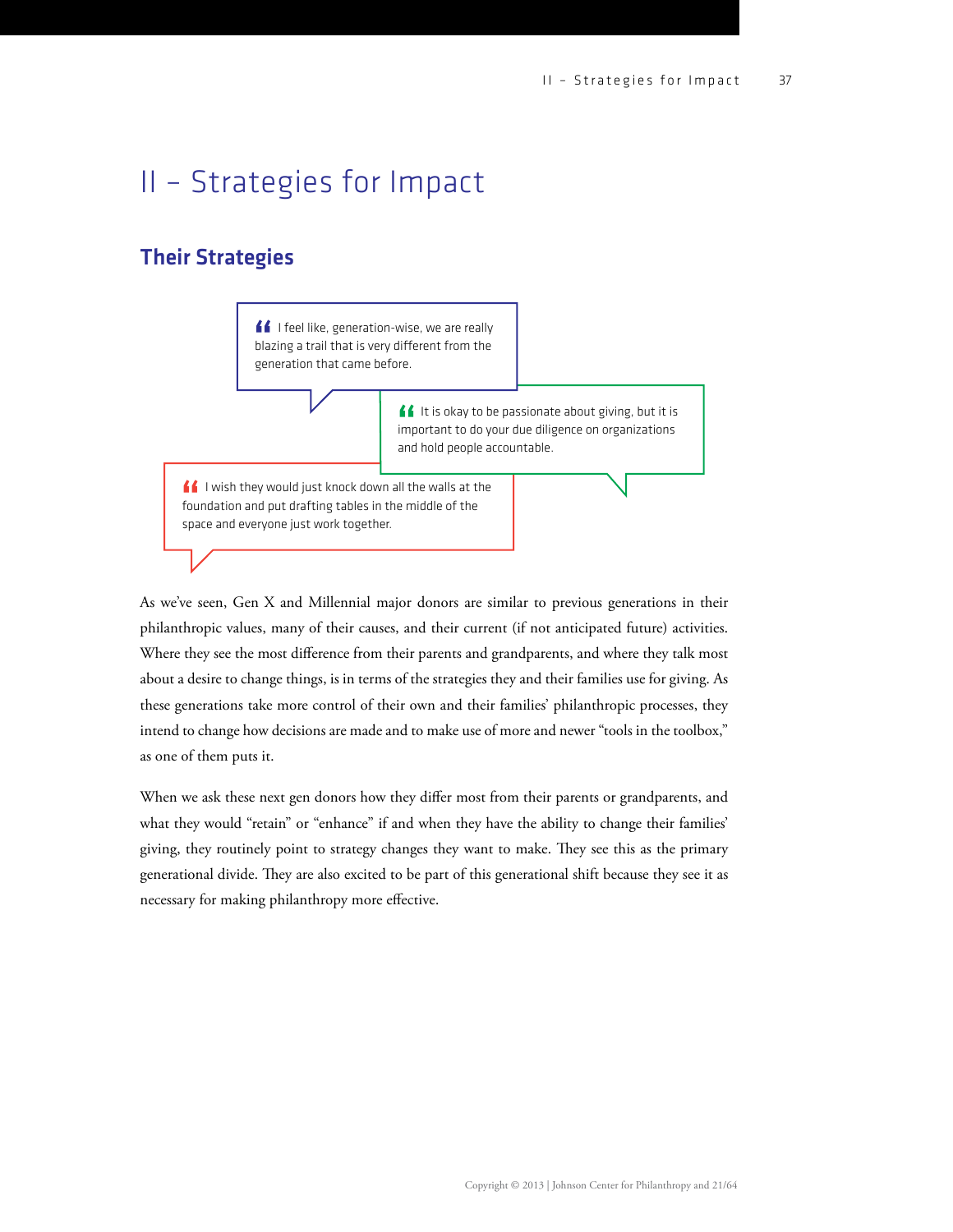## II – Strategies for Impact

### Their Strategies

If I feel like, generation-wise, we are really blazing a trail that is very different from the generation that came before.

> If It is okay to be passionate about giving, but it is important to do your due diligence on organizations and hold people accountable.

I wish they would just knock down all the walls at the foundation and put drafting tables in the middle of the space and everyone just work together.

As we've seen, Gen X and Millennial major donors are similar to previous generations in their philanthropic values, many of their causes, and their current (if not anticipated future) activities. Where they see the most difference from their parents and grandparents, and where they talk most about a desire to change things, is in terms of the strategies they and their families use for giving. As these generations take more control of their own and their families' philanthropic processes, they intend to change how decisions are made and to make use of more and newer "tools in the toolbox," as one of them puts it.

When we ask these next gen donors how they differ most from their parents or grandparents, and what they would "retain" or "enhance" if and when they have the ability to change their families' giving, they routinely point to strategy changes they want to make. They see this as the primary generational divide. They are also excited to be part of this generational shift because they see it as necessary for making philanthropy more effective.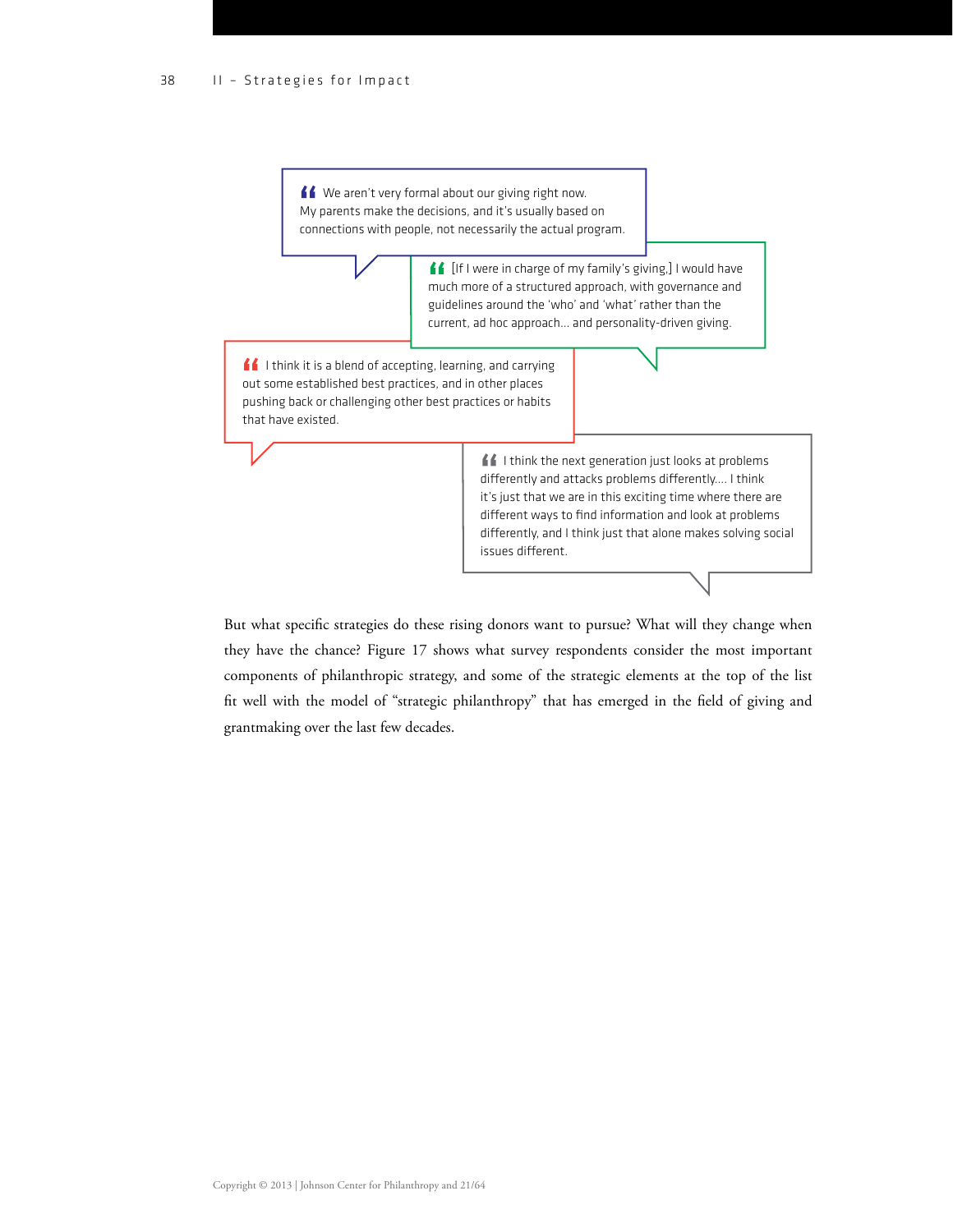<u>■■</u> We aren't very formal about our giving right now. My parents make the decisions, and it's usually based on connections with people, not necessarily the actual program.

> **f** [If I were in charge of my family's giving,] I would have much more of a structured approach, with governance and guidelines around the 'who' and 'what' rather than the current, ad hoc approach… and personality-driven giving.

 $\blacksquare$  I think it is a blend of accepting, learning, and carrying out some established best practices, and in other places pushing back or challenging other best practices or habits that have existed.

> I think the next generation just looks at problems differently and attacks problems differently.... I think it's just that we are in this exciting time where there are different ways to find information and look at problems differently, and I think just that alone makes solving social issues different.

But what specific strategies do these rising donors want to pursue? What will they change when they have the chance? Figure 17 shows what survey respondents consider the most important components of philanthropic strategy, and some of the strategic elements at the top of the list fit well with the model of "strategic philanthropy" that has emerged in the field of giving and grantmaking over the last few decades.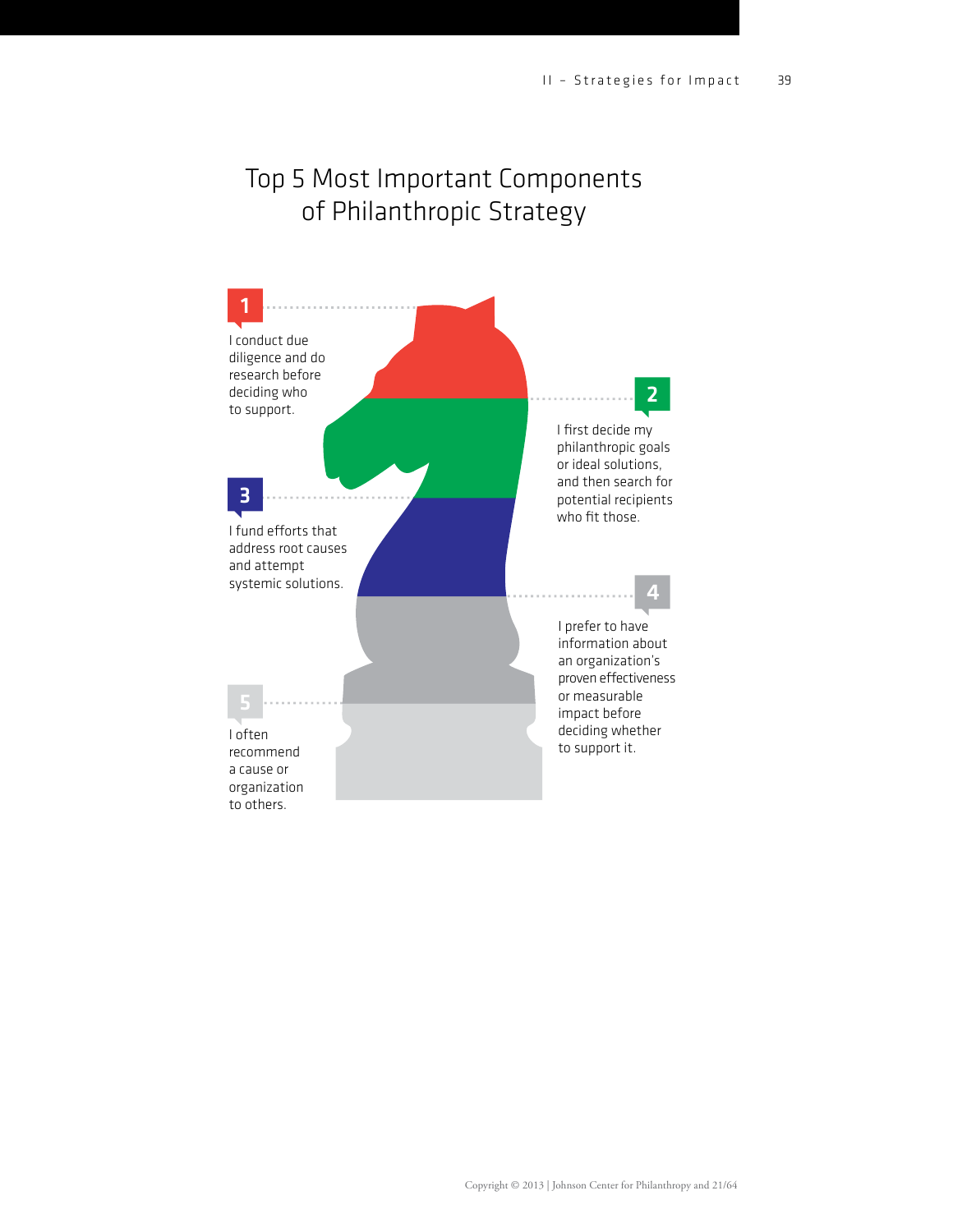### Top 5 Most Important Components of Philanthropic Strategy

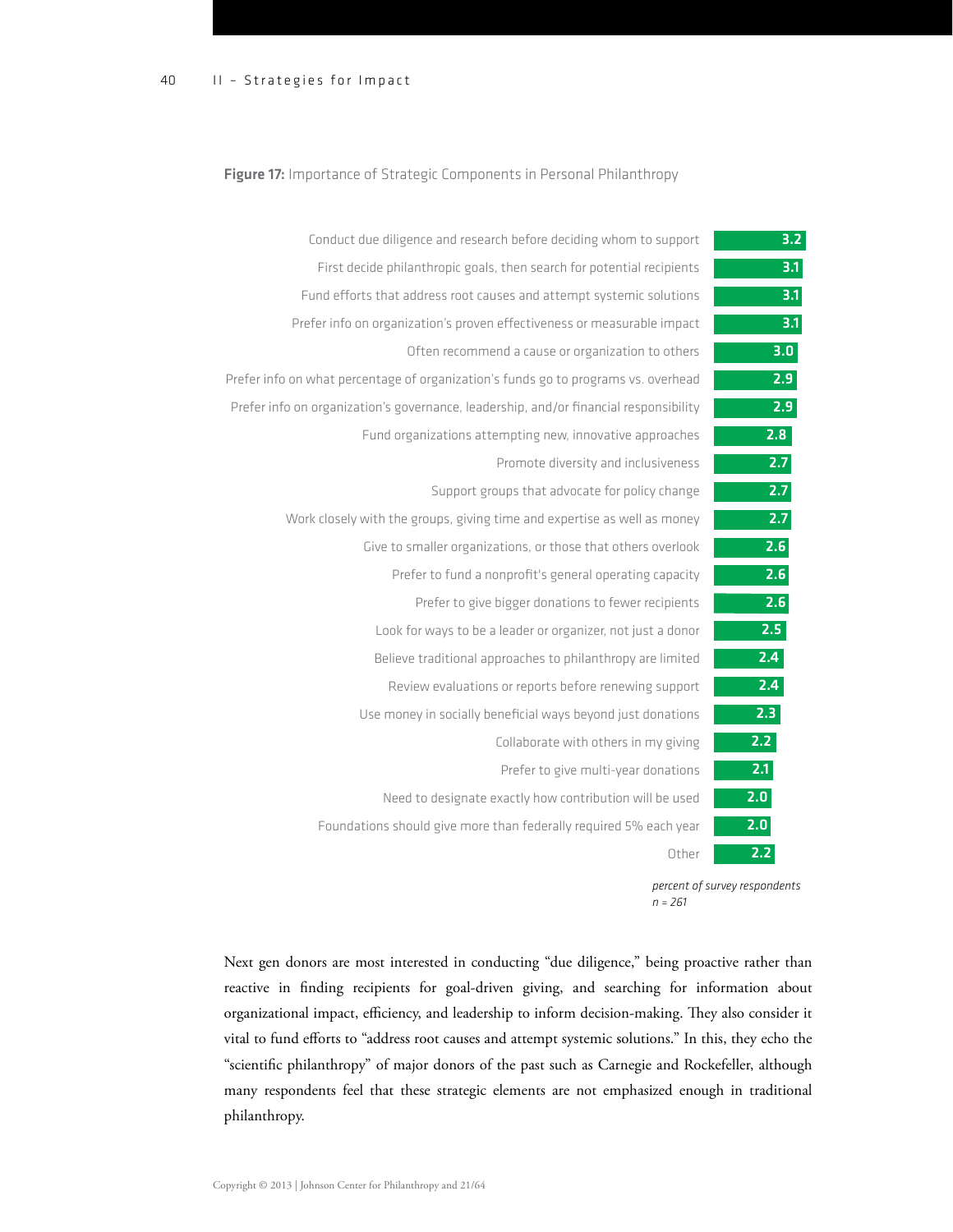#### Figure 17: Importance of Strategic Components in Personal Philanthropy

| 3.2              | Conduct due diligence and research before deciding whom to support                    |
|------------------|---------------------------------------------------------------------------------------|
| $\overline{3.1}$ | First decide philanthropic goals, then search for potential recipients                |
| 3.1              | Fund efforts that address root causes and attempt systemic solutions                  |
| 3.1              | Prefer info on organization's proven effectiveness or measurable impact               |
| 3.0              | Often recommend a cause or organization to others                                     |
| 2.9              | Prefer info on what percentage of organization's funds go to programs vs. overhead    |
| 2.9              | Prefer info on organization's governance, leadership, and/or financial responsibility |
| 2.8              | Fund organizations attempting new, innovative approaches                              |
| 2.7              | Promote diversity and inclusiveness                                                   |
| 2.7              | Support groups that advocate for policy change                                        |
| 2.7              | Work closely with the groups, giving time and expertise as well as money              |
| 2.6              | Give to smaller organizations, or those that others overlook                          |
| 2.6              | Prefer to fund a nonprofit's general operating capacity                               |
| 2.6              | Prefer to give bigger donations to fewer recipients                                   |
| 2.5              | Look for ways to be a leader or organizer, not just a donor                           |
| 2.4              | Believe traditional approaches to philanthropy are limited                            |
| 2.4              | Review evaluations or reports before renewing support                                 |
| 2.3              | Use money in socially beneficial ways beyond just donations                           |
| 2.2              | Collaborate with others in my giving                                                  |
| 2.1              | Prefer to give multi-year donations                                                   |
| 2.0              | Need to designate exactly how contribution will be used                               |
| 2.0              | Foundations should give more than federally required 5% each year                     |
| 2.2              | Other                                                                                 |
|                  |                                                                                       |

*percent of survey respondents n = 261* 

Next gen donors are most interested in conducting "due diligence," being proactive rather than reactive in finding recipients for goal-driven giving, and searching for information about organizational impact, efficiency, and leadership to inform decision-making. They also consider it vital to fund efforts to "address root causes and attempt systemic solutions." In this, they echo the "scientific philanthropy" of major donors of the past such as Carnegie and Rockefeller, although many respondents feel that these strategic elements are not emphasized enough in traditional philanthropy.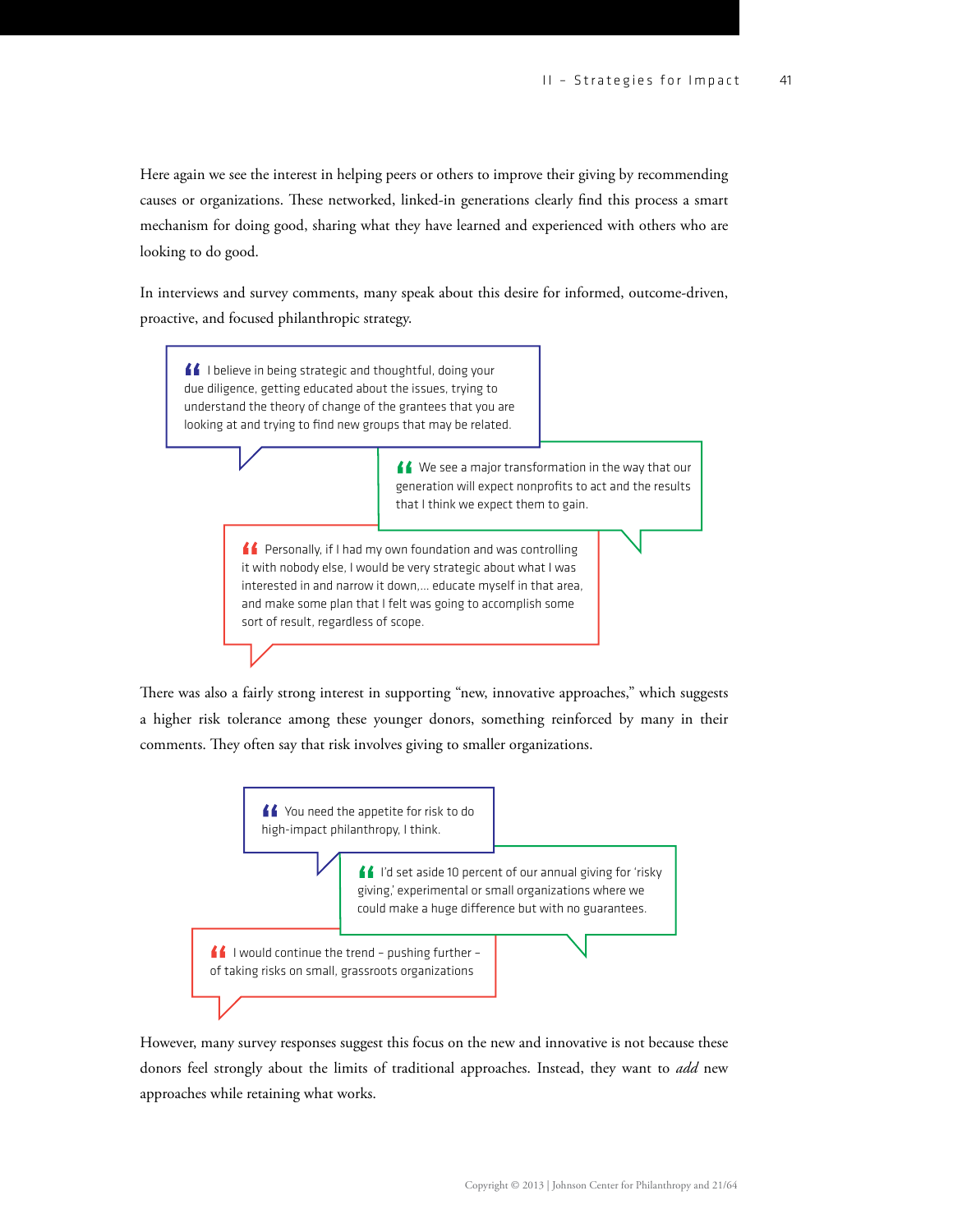Here again we see the interest in helping peers or others to improve their giving by recommending causes or organizations. These networked, linked-in generations clearly find this process a smart mechanism for doing good, sharing what they have learned and experienced with others who are looking to do good.

In interviews and survey comments, many speak about this desire for informed, outcome-driven, proactive, and focused philanthropic strategy.



There was also a fairly strong interest in supporting "new, innovative approaches," which suggests a higher risk tolerance among these younger donors, something reinforced by many in their comments. They often say that risk involves giving to smaller organizations.



However, many survey responses suggest this focus on the new and innovative is not because these donors feel strongly about the limits of traditional approaches. Instead, they want to *add* new approaches while retaining what works.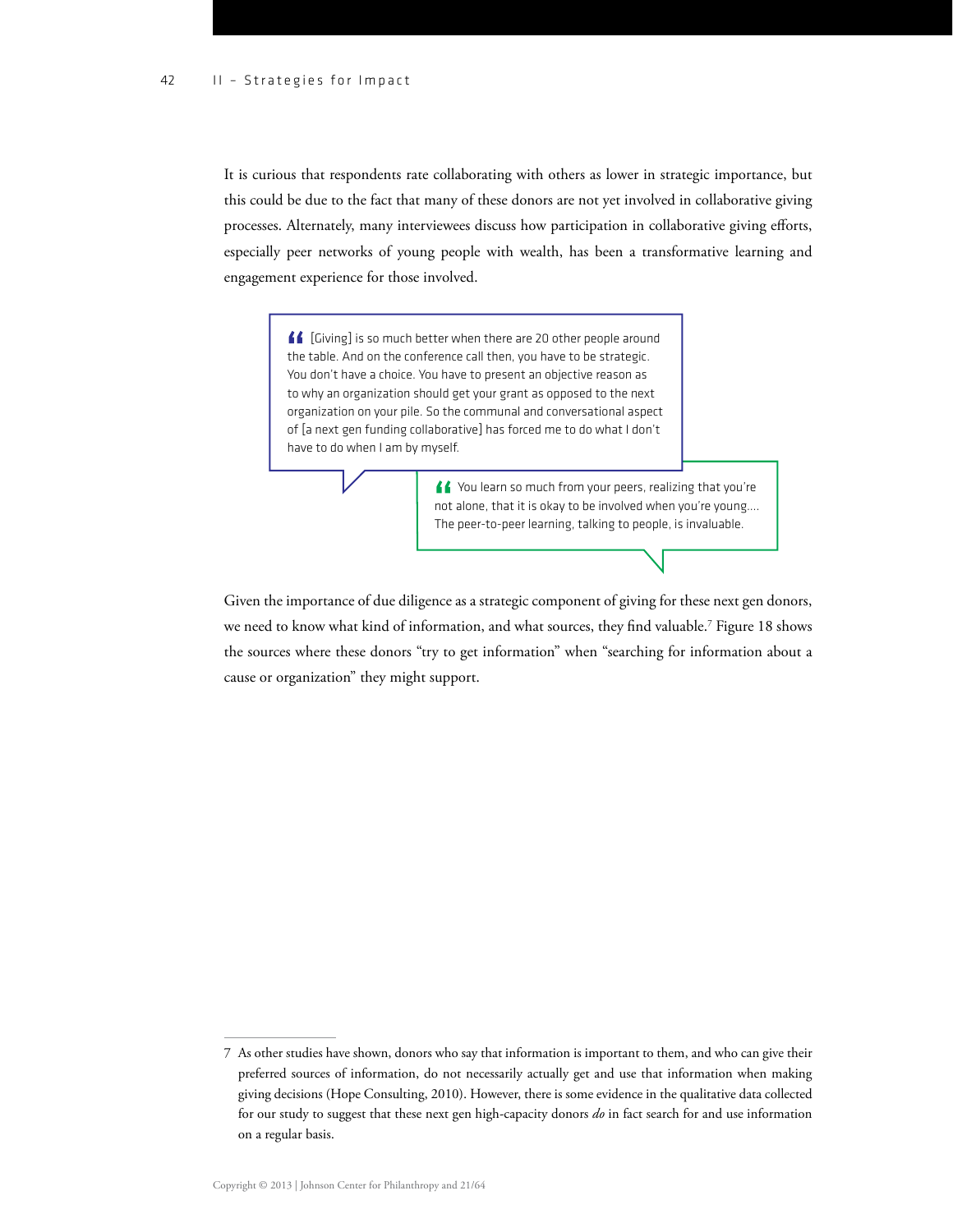It is curious that respondents rate collaborating with others as lower in strategic importance, but this could be due to the fact that many of these donors are not yet involved in collaborative giving processes. Alternately, many interviewees discuss how participation in collaborative giving efforts, especially peer networks of young people with wealth, has been a transformative learning and engagement experience for those involved.

> **f** [Giving] is so much better when there are 20 other people around the table. And on the conference call then, you have to be strategic. You don't have a choice. You have to present an objective reason as to why an organization should get your grant as opposed to the next organization on your pile. So the communal and conversational aspect of [a next gen funding collaborative] has forced me to do what I don't have to do when I am by myself.

> > K You learn so much from your peers, realizing that you're not alone, that it is okay to be involved when you're young…. The peer-to-peer learning, talking to people, is invaluable.

Given the importance of due diligence as a strategic component of giving for these next gen donors, we need to know what kind of information, and what sources, they find valuable.<sup>7</sup> Figure 18 shows the sources where these donors "try to get information" when "searching for information about a cause or organization" they might support.

<sup>7</sup> As other studies have shown, donors who say that information is important to them, and who can give their preferred sources of information, do not necessarily actually get and use that information when making giving decisions (Hope Consulting, 2010). However, there is some evidence in the qualitative data collected for our study to suggest that these next gen high-capacity donors *do* in fact search for and use information on a regular basis.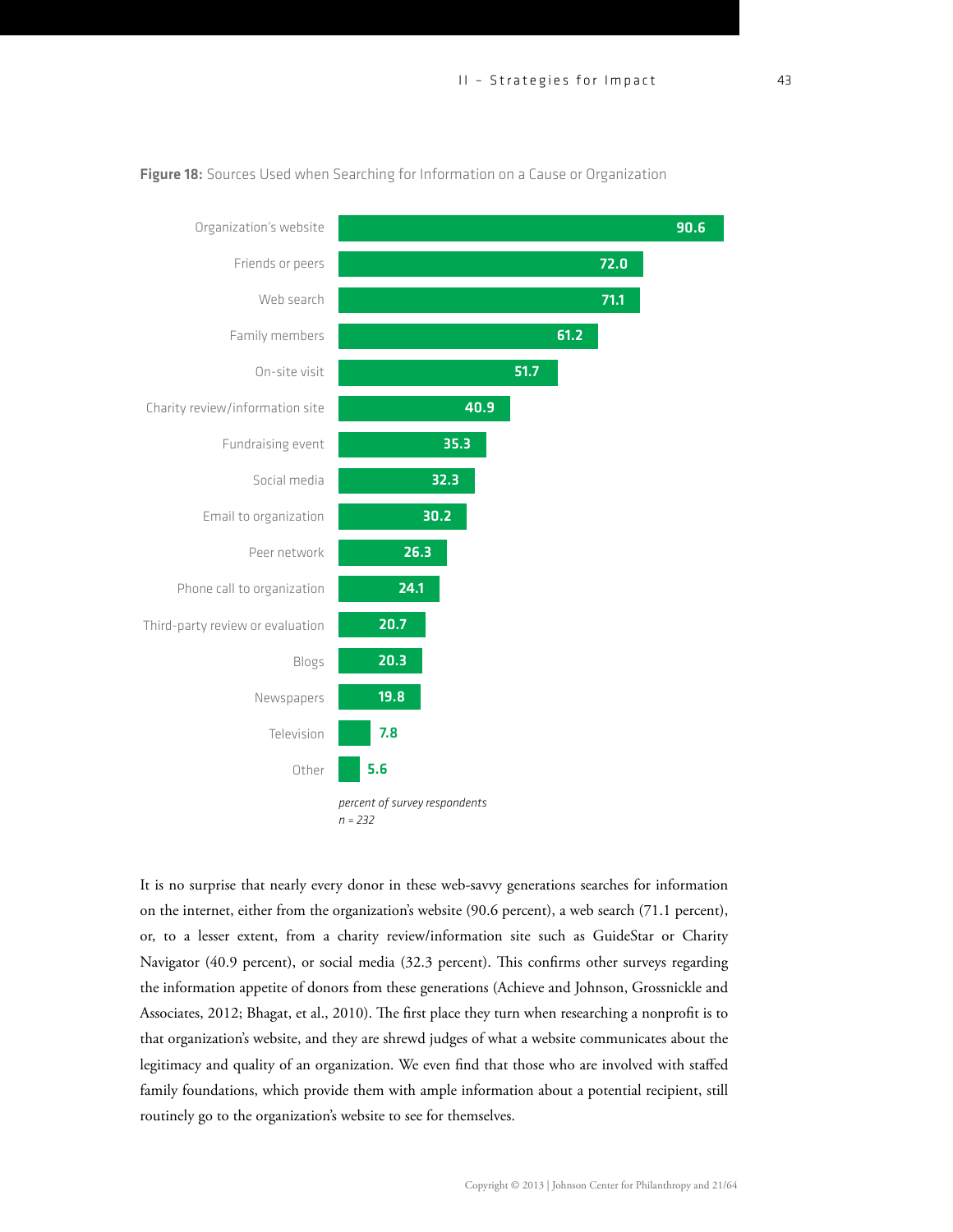

#### Figure 18: Sources Used when Searching for Information on a Cause or Organization

*percent of survey respondents n = 232*

5.6

Other

It is no surprise that nearly every donor in these web-savvy generations searches for information on the internet, either from the organization's website (90.6 percent), a web search (71.1 percent), or, to a lesser extent, from a charity review/information site such as GuideStar or Charity Navigator (40.9 percent), or social media (32.3 percent). This confirms other surveys regarding the information appetite of donors from these generations (Achieve and Johnson, Grossnickle and Associates, 2012; Bhagat, et al., 2010). The first place they turn when researching a nonprofit is to that organization's website, and they are shrewd judges of what a website communicates about the legitimacy and quality of an organization. We even find that those who are involved with staffed family foundations, which provide them with ample information about a potential recipient, still routinely go to the organization's website to see for themselves.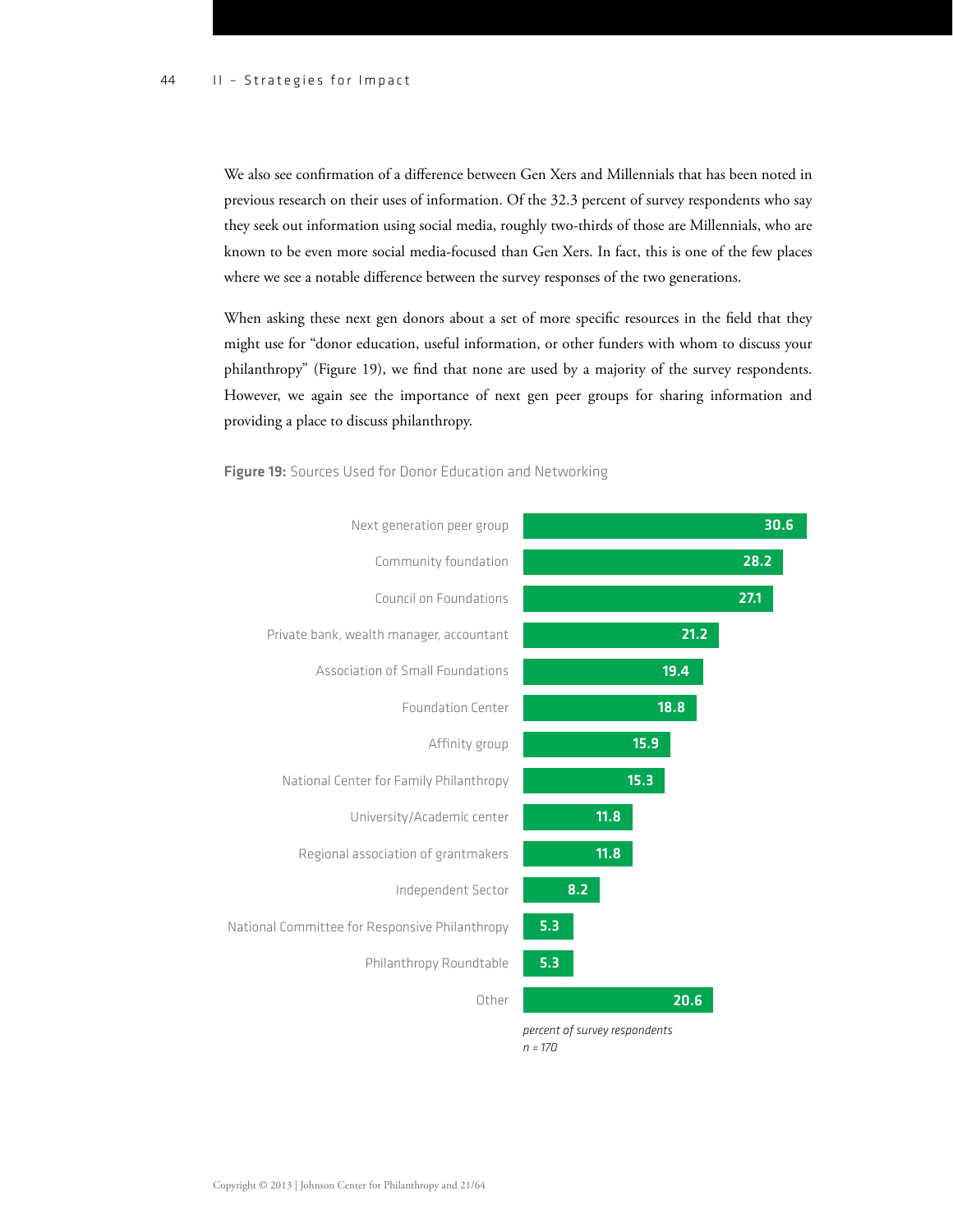We also see confirmation of a difference between Gen Xers and Millennials that has been noted in previous research on their uses of information. Of the 32.3 percent of survey respondents who say they seek out information using social media, roughly two-thirds of those are Millennials, who are known to be even more social media-focused than Gen Xers. In fact, this is one of the few places where we see a notable difference between the survey responses of the two generations.

When asking these next gen donors about a set of more specific resources in the field that they might use for "donor education, useful information, or other funders with whom to discuss your philanthropy" (Figure 19), we find that none are used by a majority of the survey respondents. However, we again see the importance of next gen peer groups for sharing information and providing a place to discuss philanthropy.



Figure 19: Sources Used for Donor Education and Networking

*n = 170*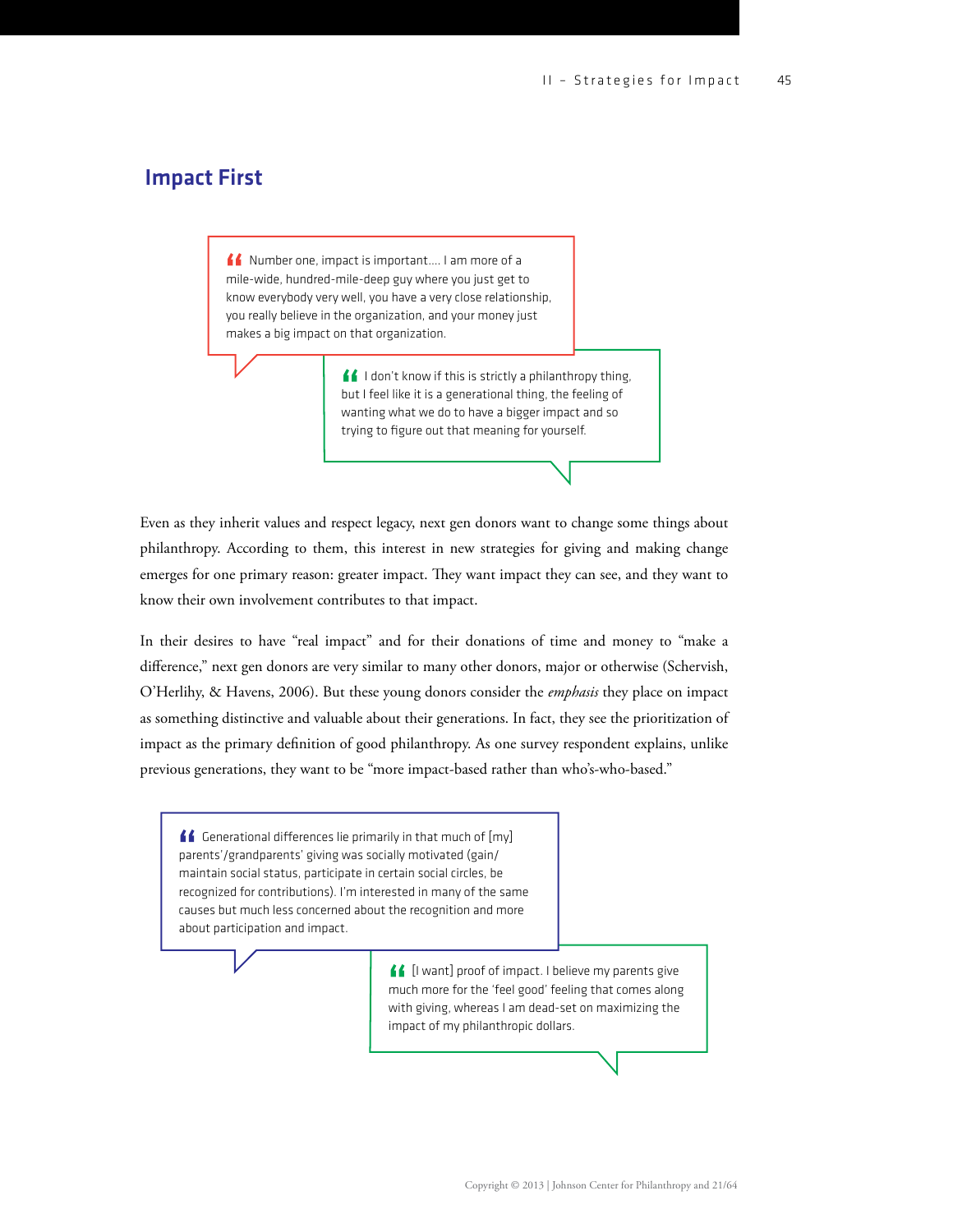### Impact First

Number one, impact is important…. I am more of a mile-wide, hundred-mile-deep guy where you just get to know everybody very well, you have a very close relationship, you really believe in the organization, and your money just makes a big impact on that organization.

> I don't know if this is strictly a philanthropy thing, but I feel like it is a generational thing, the feeling of wanting what we do to have a bigger impact and so trying to figure out that meaning for yourself.

Even as they inherit values and respect legacy, next gen donors want to change some things about philanthropy. According to them, this interest in new strategies for giving and making change emerges for one primary reason: greater impact. They want impact they can see, and they want to know their own involvement contributes to that impact.

In their desires to have "real impact" and for their donations of time and money to "make a difference," next gen donors are very similar to many other donors, major or otherwise (Schervish, O'Herlihy, & Havens, 2006). But these young donors consider the *emphasis* they place on impact as something distinctive and valuable about their generations. In fact, they see the prioritization of impact as the primary definition of good philanthropy. As one survey respondent explains, unlike previous generations, they want to be "more impact-based rather than who's-who-based."

 $\blacksquare$  Generational differences lie primarily in that much of  $[my]$ parents'/grandparents' giving was socially motivated (gain/ maintain social status, participate in certain social circles, be recognized for contributions). I'm interested in many of the same causes but much less concerned about the recognition and more about participation and impact.

> [I want] proof of impact. I believe my parents give much more for the 'feel good' feeling that comes along with giving, whereas I am dead-set on maximizing the impact of my philanthropic dollars.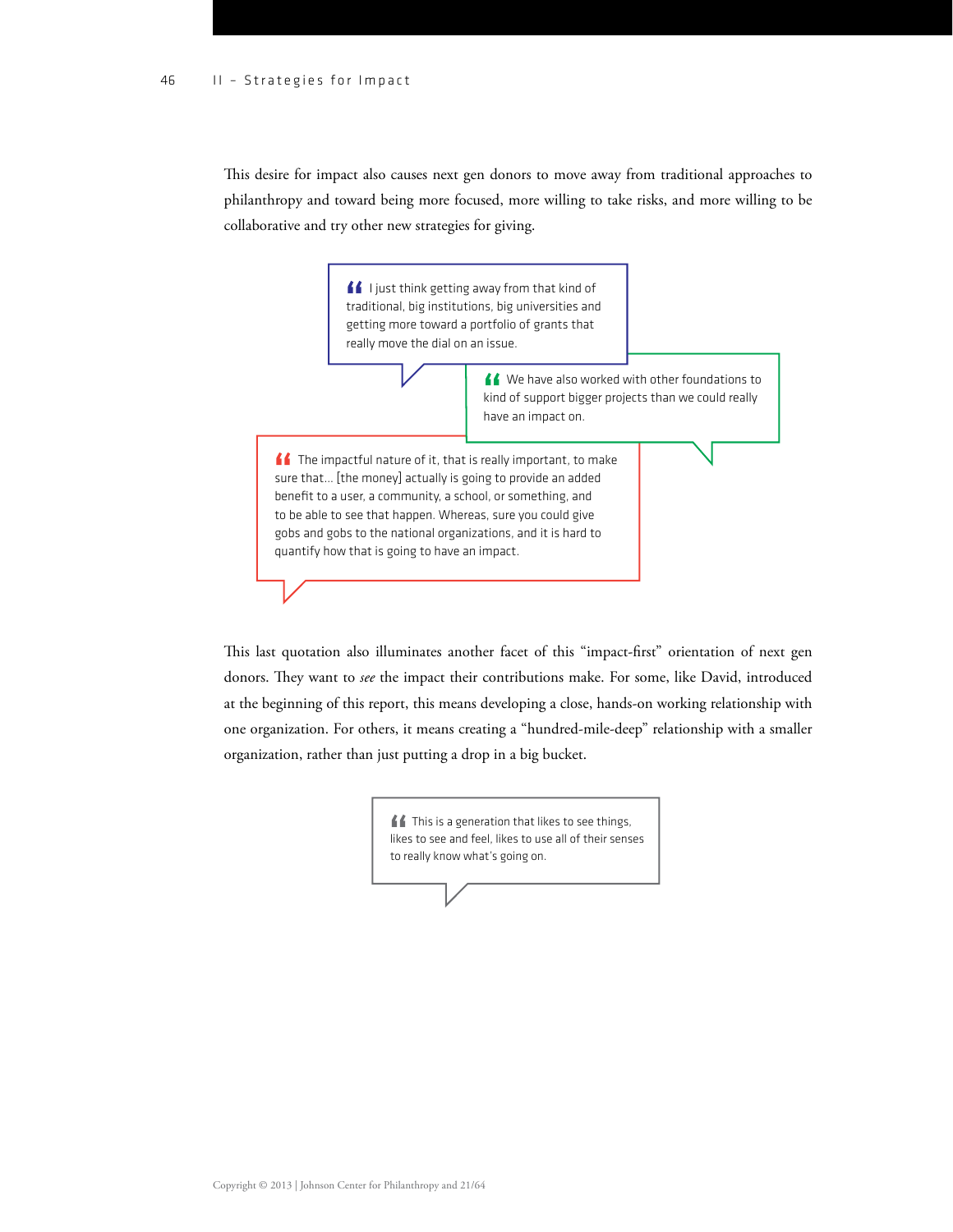This desire for impact also causes next gen donors to move away from traditional approaches to philanthropy and toward being more focused, more willing to take risks, and more willing to be collaborative and try other new strategies for giving.

> **I** ljust think getting away from that kind of traditional, big institutions, big universities and getting more toward a portfolio of grants that really move the dial on an issue.

> > K We have also worked with other foundations to kind of support bigger projects than we could really have an impact on.

<u>■</u> The impactful nature of it, that is really important, to make sure that… [the money] actually is going to provide an added benefit to a user, a community, a school, or something, and to be able to see that happen. Whereas, sure you could give gobs and gobs to the national organizations, and it is hard to quantify how that is going to have an impact.

This last quotation also illuminates another facet of this "impact-first" orientation of next gen donors. They want to *see* the impact their contributions make. For some, like David, introduced at the beginning of this report, this means developing a close, hands-on working relationship with one organization. For others, it means creating a "hundred-mile-deep" relationship with a smaller organization, rather than just putting a drop in a big bucket.

> **f** This is a generation that likes to see things, likes to see and feel, likes to use all of their senses to really know what's going on.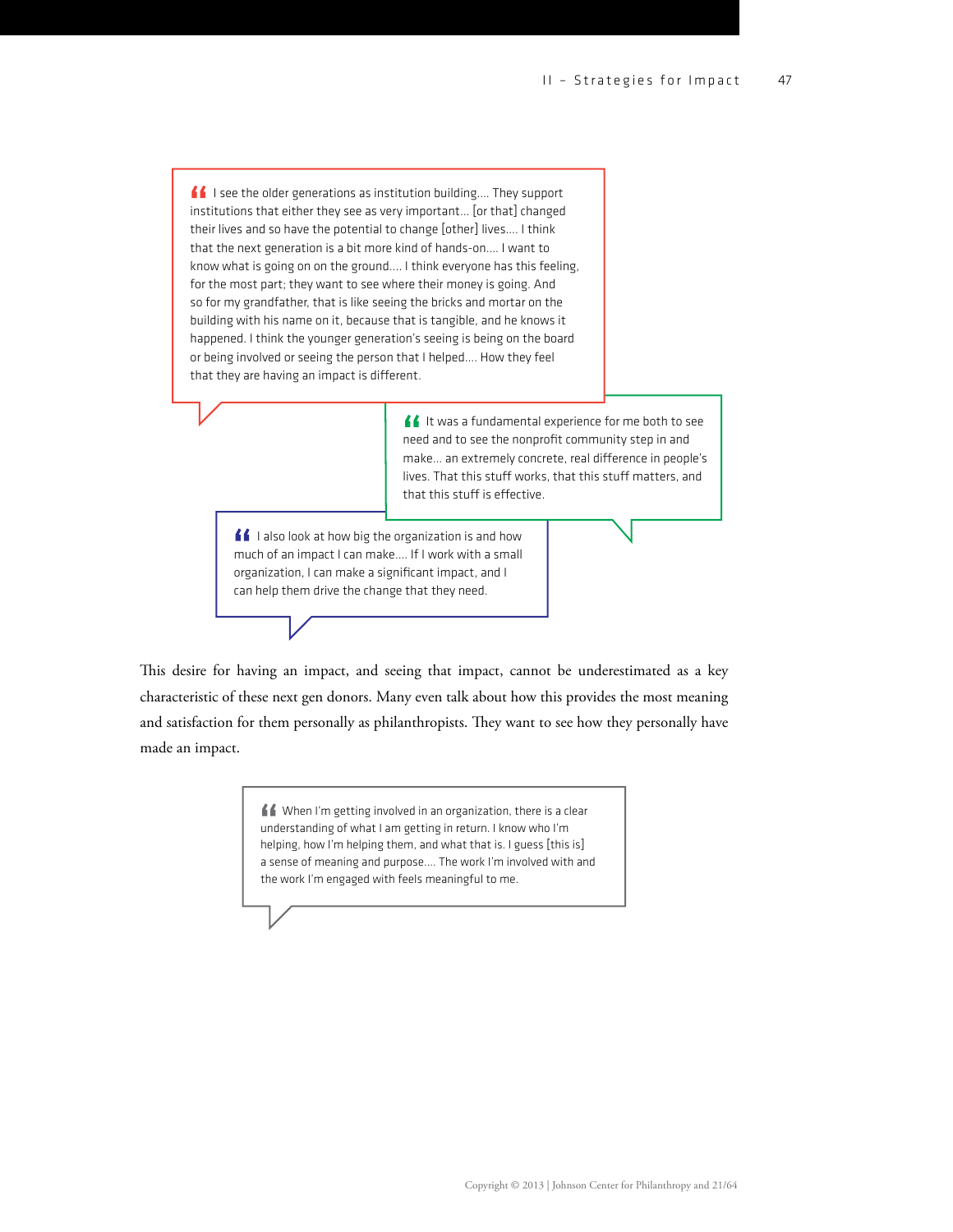$\blacksquare$  I see the older generations as institution building.... They support institutions that either they see as very important… [or that] changed their lives and so have the potential to change [other] lives…. I think that the next generation is a bit more kind of hands-on…. I want to know what is going on on the ground.... I think everyone has this feeling, for the most part; they want to see where their money is going. And so for my grandfather, that is like seeing the bricks and mortar on the building with his name on it, because that is tangible, and he knows it happened. I think the younger generation's seeing is being on the board or being involved or seeing the person that I helped…. How they feel that they are having an impact is different.

> If It was a fundamental experience for me both to see need and to see the nonprofit community step in and make... an extremely concrete, real difference in people's lives. That this stuff works, that this stuff matters, and that this stuff is effective.

<u>■</u> I also look at how big the organization is and how much of an impact I can make…. If I work with a small organization, I can make a significant impact, and I can help them drive the change that they need.

This desire for having an impact, and seeing that impact, cannot be underestimated as a key characteristic of these next gen donors. Many even talk about how this provides the most meaning and satisfaction for them personally as philanthropists. They want to see how they personally have made an impact.

> When I'm getting involved in an organization, there is a clear understanding of what I am getting in return. I know who I'm helping, how I'm helping them, and what that is. I guess [this is] a sense of meaning and purpose.... The work I'm involved with and the work I'm engaged with feels meaningful to me.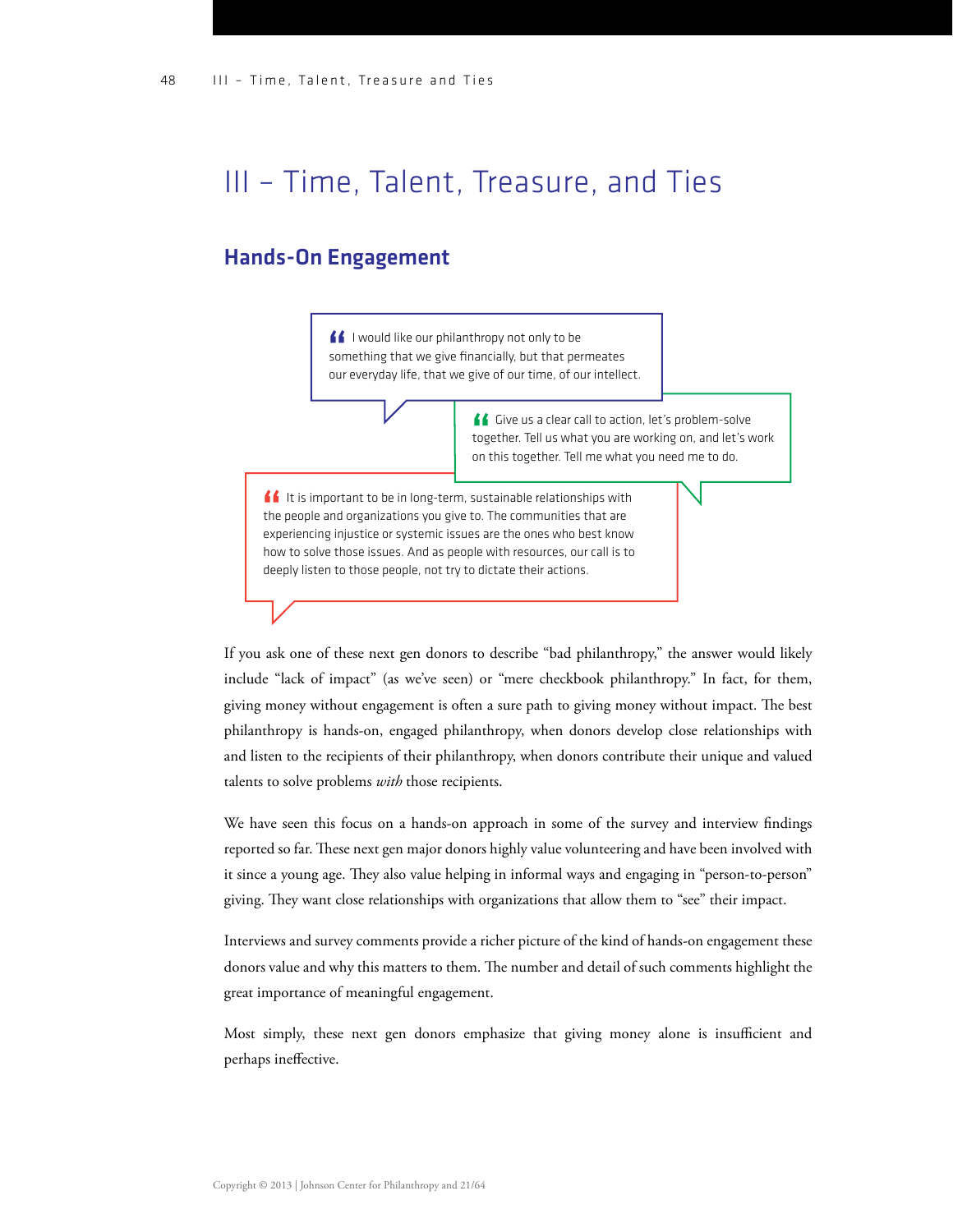## III – Time, Talent, Treasure, and Ties

#### Hands-On Engagement

I would like our philanthropy not only to be something that we give financially, but that permeates our everyday life, that we give of our time, of our intellect.

> Give us a clear call to action, let's problem-solve together. Tell us what you are working on, and let's work on this together. Tell me what you need me to do.

If It is important to be in long-term, sustainable relationships with the people and organizations you give to. The communities that are experiencing injustice or systemic issues are the ones who best know how to solve those issues. And as people with resources, our call is to deeply listen to those people, not try to dictate their actions.

If you ask one of these next gen donors to describe "bad philanthropy," the answer would likely include "lack of impact" (as we've seen) or "mere checkbook philanthropy." In fact, for them, giving money without engagement is often a sure path to giving money without impact. The best philanthropy is hands-on, engaged philanthropy, when donors develop close relationships with and listen to the recipients of their philanthropy, when donors contribute their unique and valued talents to solve problems *with* those recipients.

We have seen this focus on a hands-on approach in some of the survey and interview findings reported so far. These next gen major donors highly value volunteering and have been involved with it since a young age. They also value helping in informal ways and engaging in "person-to-person" giving. They want close relationships with organizations that allow them to "see" their impact.

Interviews and survey comments provide a richer picture of the kind of hands-on engagement these donors value and why this matters to them. The number and detail of such comments highlight the great importance of meaningful engagement.

Most simply, these next gen donors emphasize that giving money alone is insufficient and perhaps ineffective.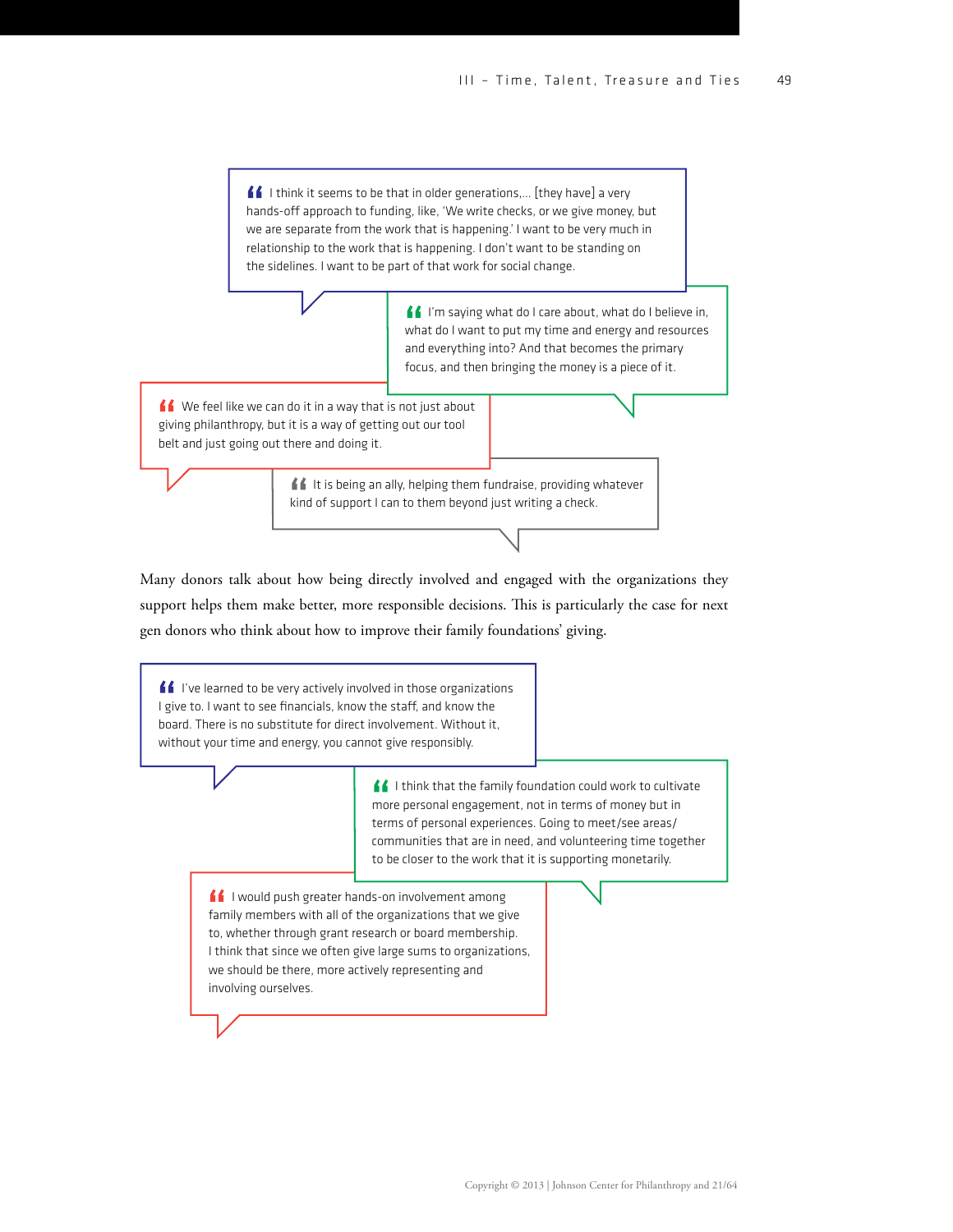$\blacksquare$  I think it seems to be that in older generations,... [they have] a very hands-off approach to funding, like, 'We write checks, or we give money, but we are separate from the work that is happening.' I want to be very much in relationship to the work that is happening. I don't want to be standing on the sidelines. I want to be part of that work for social change.

> I'm saying what do I care about, what do I believe in, what do I want to put my time and energy and resources and everything into? And that becomes the primary focus, and then bringing the money is a piece of it.

We feel like we can do it in a way that is not just about giving philanthropy, but it is a way of getting out our tool belt and just going out there and doing it.

> If It is being an ally, helping them fundraise, providing whatever kind of support I can to them beyond just writing a check.

Many donors talk about how being directly involved and engaged with the organizations they support helps them make better, more responsible decisions. This is particularly the case for next gen donors who think about how to improve their family foundations' giving.

If I've learned to be very actively involved in those organizations I give to. I want to see financials, know the staff, and know the board. There is no substitute for direct involvement. Without it, without your time and energy, you cannot give responsibly.

> I think that the family foundation could work to cultivate more personal engagement, not in terms of money but in terms of personal experiences. Going to meet/see areas/ communities that are in need, and volunteering time together to be closer to the work that it is supporting monetarily.

**11** I would push greater hands-on involvement among family members with all of the organizations that we give to, whether through grant research or board membership. I think that since we often give large sums to organizations, we should be there, more actively representing and involving ourselves.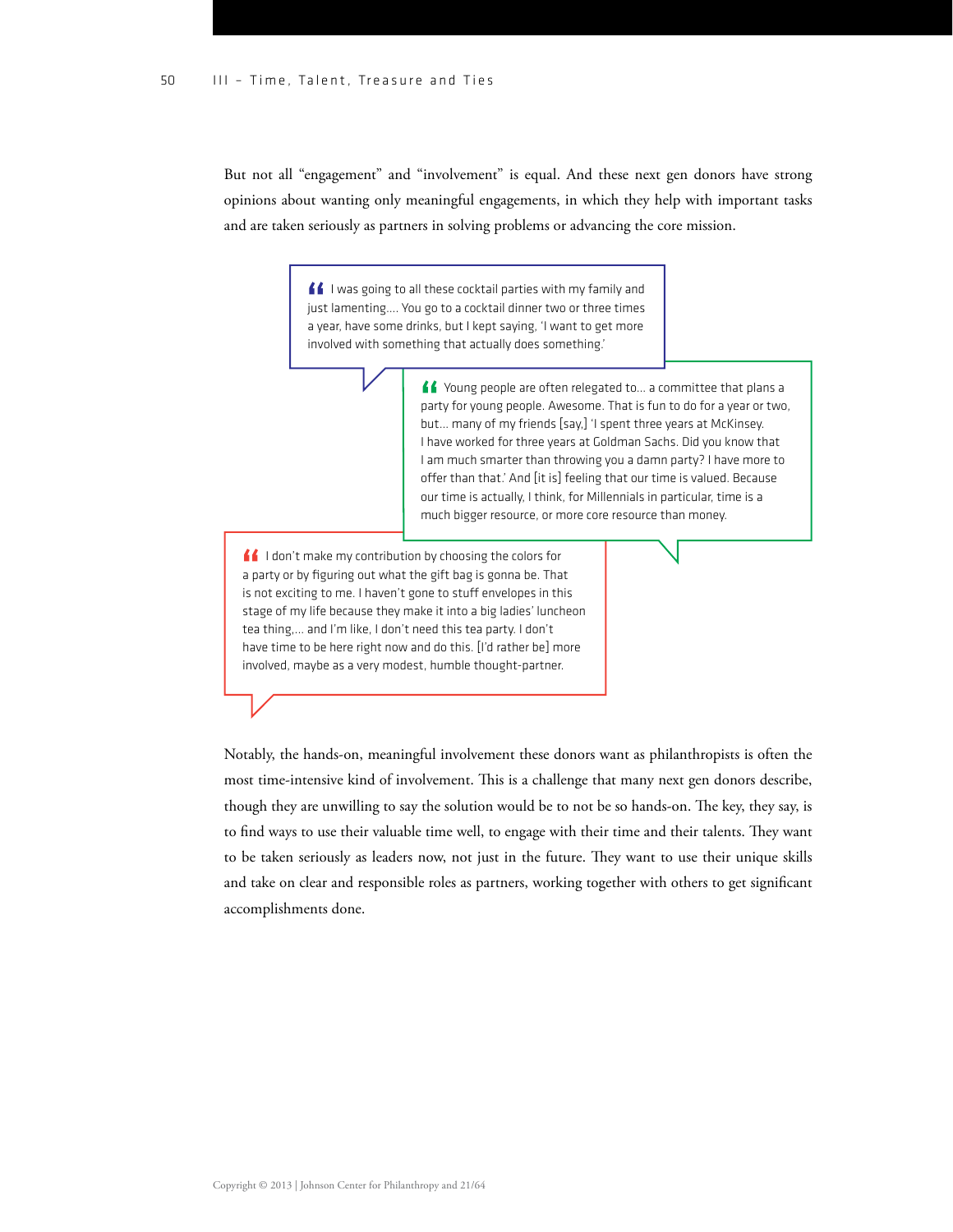But not all "engagement" and "involvement" is equal. And these next gen donors have strong opinions about wanting only meaningful engagements, in which they help with important tasks and are taken seriously as partners in solving problems or advancing the core mission.

> I was going to all these cocktail parties with my family and just lamenting…. You go to a cocktail dinner two or three times a year, have some drinks, but I kept saying, 'I want to get more involved with something that actually does something.'

> > K Young people are often relegated to... a committee that plans a party for young people. Awesome. That is fun to do for a year or two, but… many of my friends [say,] 'I spent three years at McKinsey. I have worked for three years at Goldman Sachs. Did you know that I am much smarter than throwing you a damn party? I have more to offer than that.' And [it is] feeling that our time is valued. Because our time is actually, I think, for Millennials in particular, time is a much bigger resource, or more core resource than money.

I don't make my contribution by choosing the colors for a party or by figuring out what the gift bag is gonna be. That is not exciting to me. I haven't gone to stuff envelopes in this stage of my life because they make it into a big ladies' luncheon tea thing,... and I'm like, I don't need this tea party. I don't have time to be here right now and do this. [I'd rather be] more involved, maybe as a very modest, humble thought-partner.

Notably, the hands-on, meaningful involvement these donors want as philanthropists is often the most time-intensive kind of involvement. This is a challenge that many next gen donors describe, though they are unwilling to say the solution would be to not be so hands-on. The key, they say, is to find ways to use their valuable time well, to engage with their time and their talents. They want to be taken seriously as leaders now, not just in the future. They want to use their unique skills and take on clear and responsible roles as partners, working together with others to get significant accomplishments done.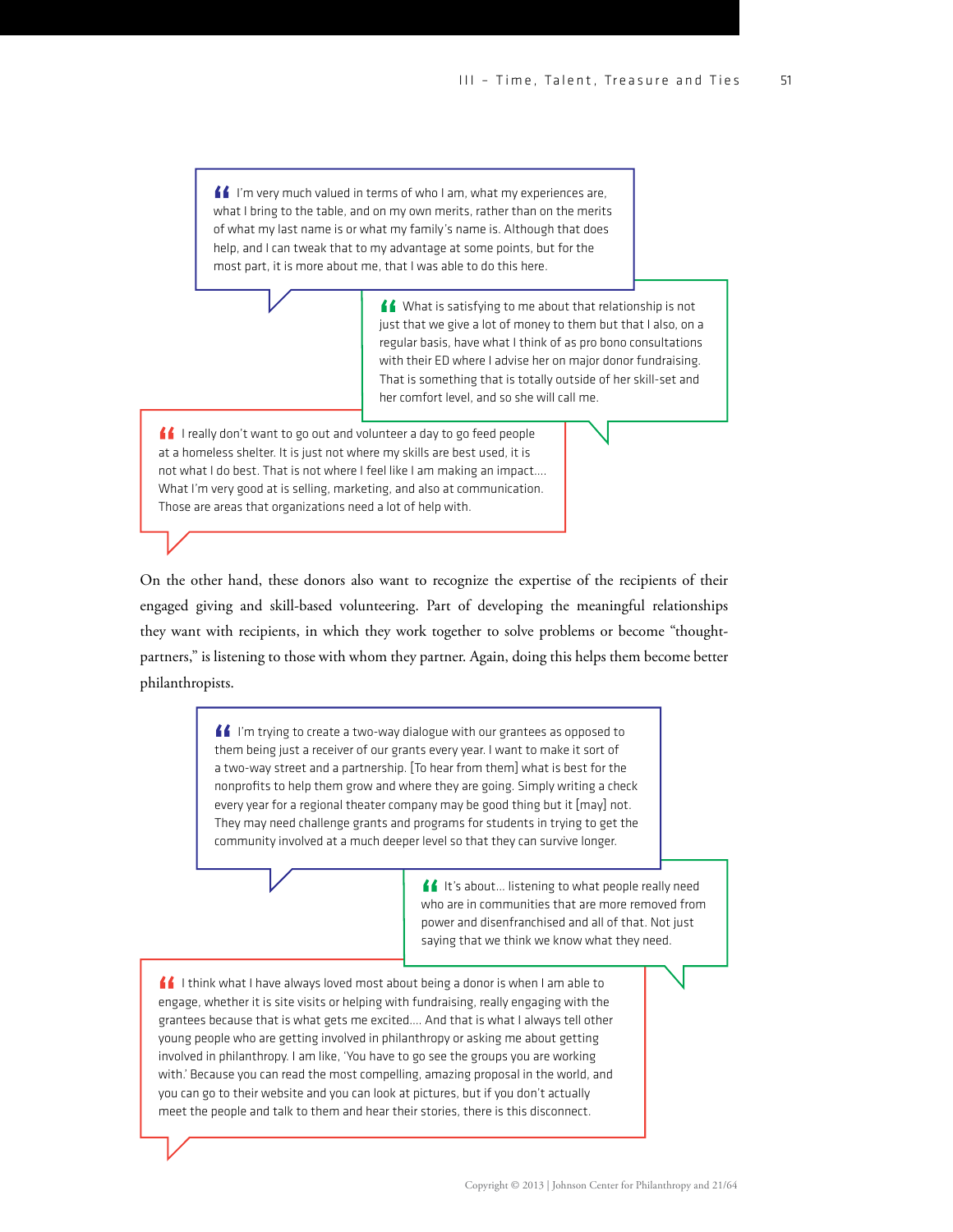$\blacksquare$  I'm very much valued in terms of who I am, what my experiences are, what I bring to the table, and on my own merits, rather than on the merits of what my last name is or what my family's name is. Although that does help, and I can tweak that to my advantage at some points, but for the most part, it is more about me, that I was able to do this here.

> K What is satisfying to me about that relationship is not just that we give a lot of money to them but that I also, on a regular basis, have what I think of as pro bono consultations with their ED where I advise her on major donor fundraising. That is something that is totally outside of her skill-set and her comfort level, and so she will call me.

I really don't want to go out and volunteer a day to go feed people at a homeless shelter. It is just not where my skills are best used, it is not what I do best. That is not where I feel like I am making an impact…. What I'm very good at is selling, marketing, and also at communication. Those are areas that organizations need a lot of help with.

On the other hand, these donors also want to recognize the expertise of the recipients of their engaged giving and skill-based volunteering. Part of developing the meaningful relationships they want with recipients, in which they work together to solve problems or become "thoughtpartners," is listening to those with whom they partner. Again, doing this helps them become better philanthropists.

> II I'm trying to create a two-way dialogue with our grantees as opposed to them being just a receiver of our grants every year. I want to make it sort of a two-way street and a partnership. [To hear from them] what is best for the nonprofits to help them grow and where they are going. Simply writing a check every year for a regional theater company may be good thing but it [may] not. They may need challenge grants and programs for students in trying to get the community involved at a much deeper level so that they can survive longer.

> > If It's about... listening to what people really need who are in communities that are more removed from power and disenfranchised and all of that. Not just saying that we think we know what they need.

If I think what I have always loved most about being a donor is when I am able to engage, whether it is site visits or helping with fundraising, really engaging with the grantees because that is what gets me excited…. And that is what I always tell other young people who are getting involved in philanthropy or asking me about getting involved in philanthropy. I am like, 'You have to go see the groups you are working with.' Because you can read the most compelling, amazing proposal in the world, and you can go to their website and you can look at pictures, but if you don't actually meet the people and talk to them and hear their stories, there is this disconnect.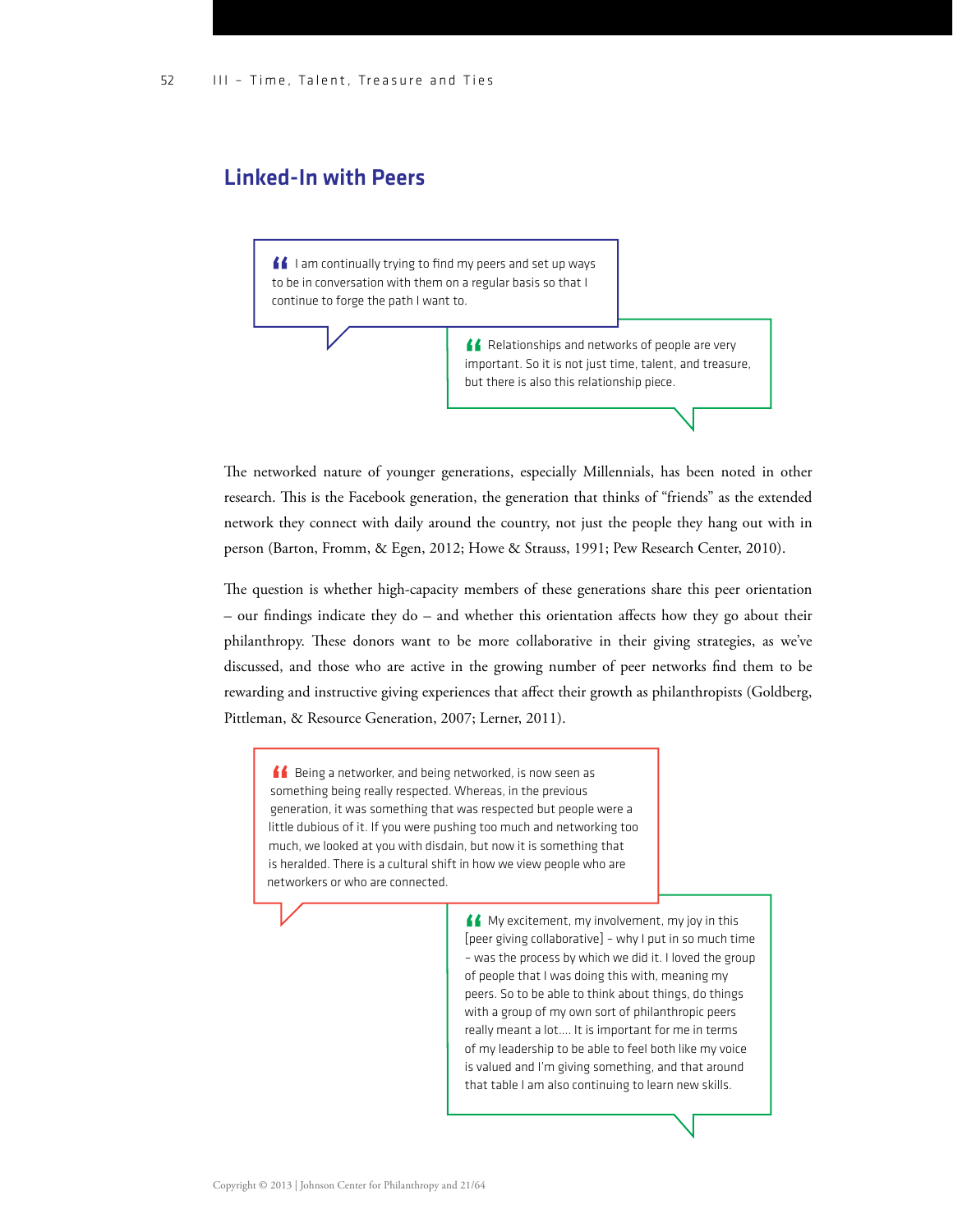#### Linked-In with Peers

I I am continually trying to find my peers and set up ways to be in conversation with them on a regular basis so that I continue to forge the path I want to.

> Relationships and networks of people are very important. So it is not just time, talent, and treasure, but there is also this relationship piece.

e networked nature of younger generations, especially Millennials, has been noted in other research. This is the Facebook generation, the generation that thinks of "friends" as the extended network they connect with daily around the country, not just the people they hang out with in person (Barton, Fromm, & Egen, 2012; Howe & Strauss, 1991; Pew Research Center, 2010).

The question is whether high-capacity members of these generations share this peer orientation – our findings indicate they do – and whether this orientation affects how they go about their philanthropy. These donors want to be more collaborative in their giving strategies, as we've discussed, and those who are active in the growing number of peer networks find them to be rewarding and instructive giving experiences that affect their growth as philanthropists (Goldberg, Pittleman, & Resource Generation, 2007; Lerner, 2011).

**Being a networker, and being networked, is now seen as** something being really respected. Whereas, in the previous generation, it was something that was respected but people were a little dubious of it. If you were pushing too much and networking too much, we looked at you with disdain, but now it is something that is heralded. There is a cultural shift in how we view people who are networkers or who are connected.

> **My excitement, my involvement, my joy in this** [peer giving collaborative] – why I put in so much time – was the process by which we did it. I loved the group of people that I was doing this with, meaning my peers. So to be able to think about things, do things with a group of my own sort of philanthropic peers really meant a lot…. It is important for me in terms of my leadership to be able to feel both like my voice is valued and I'm giving something, and that around that table I am also continuing to learn new skills.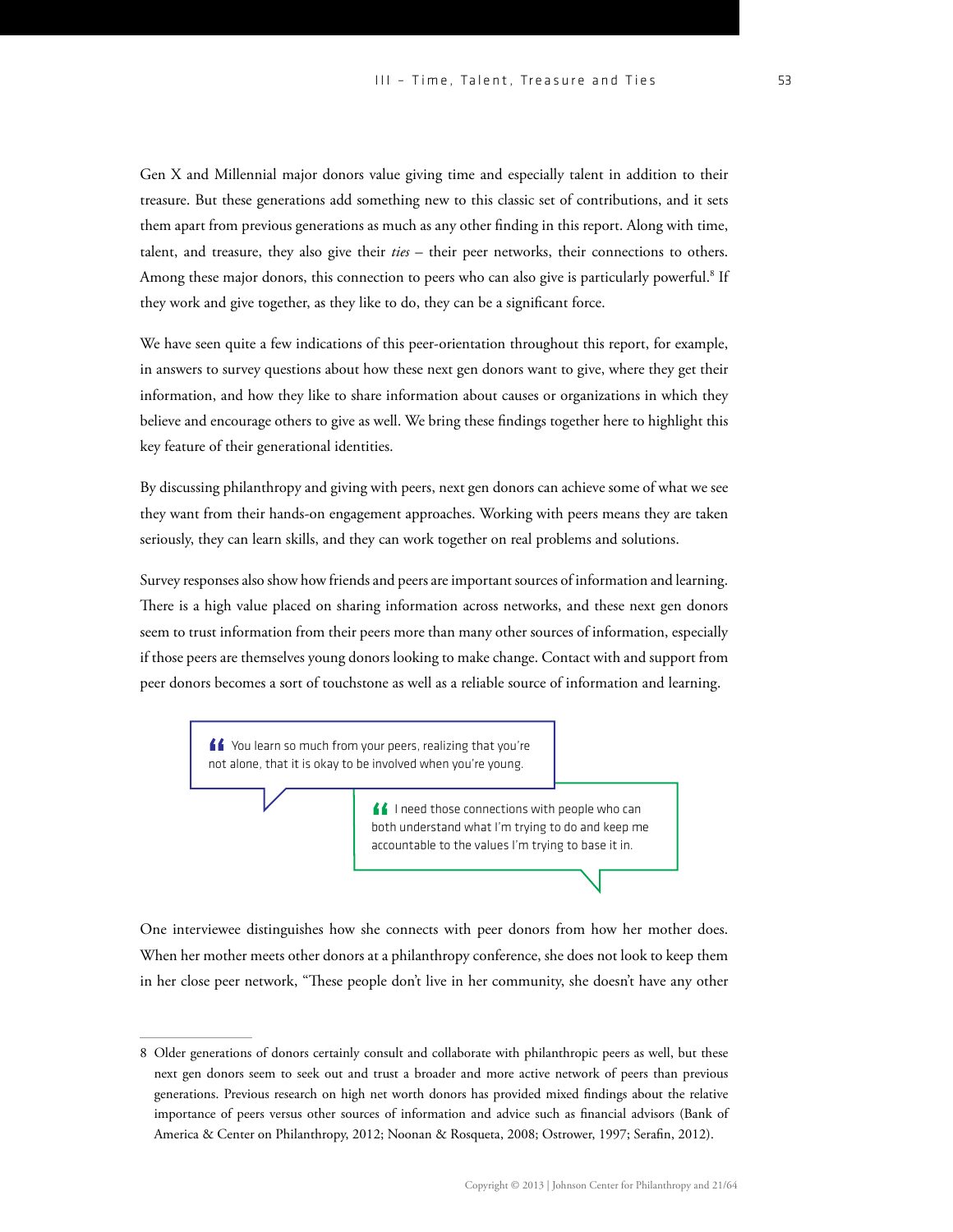Gen X and Millennial major donors value giving time and especially talent in addition to their treasure. But these generations add something new to this classic set of contributions, and it sets them apart from previous generations as much as any other finding in this report. Along with time, talent, and treasure, they also give their *ties* – their peer networks, their connections to others. Among these major donors, this connection to peers who can also give is particularly powerful.<sup>8</sup> If they work and give together, as they like to do, they can be a significant force.

We have seen quite a few indications of this peer-orientation throughout this report, for example, in answers to survey questions about how these next gen donors want to give, where they get their information, and how they like to share information about causes or organizations in which they believe and encourage others to give as well. We bring these findings together here to highlight this key feature of their generational identities.

By discussing philanthropy and giving with peers, next gen donors can achieve some of what we see they want from their hands-on engagement approaches. Working with peers means they are taken seriously, they can learn skills, and they can work together on real problems and solutions.

Survey responses also show how friends and peers are important sources of information and learning. There is a high value placed on sharing information across networks, and these next gen donors seem to trust information from their peers more than many other sources of information, especially if those peers are themselves young donors looking to make change. Contact with and support from peer donors becomes a sort of touchstone as well as a reliable source of information and learning.

> K You learn so much from your peers, realizing that you're not alone, that it is okay to be involved when you're young.

> > **If** I need those connections with people who can both understand what I'm trying to do and keep me accountable to the values I'm trying to base it in.

One interviewee distinguishes how she connects with peer donors from how her mother does. When her mother meets other donors at a philanthropy conference, she does not look to keep them in her close peer network, "These people don't live in her community, she doesn't have any other

<sup>8</sup> Older generations of donors certainly consult and collaborate with philanthropic peers as well, but these next gen donors seem to seek out and trust a broader and more active network of peers than previous generations. Previous research on high net worth donors has provided mixed findings about the relative importance of peers versus other sources of information and advice such as financial advisors (Bank of America & Center on Philanthropy, 2012; Noonan & Rosqueta, 2008; Ostrower, 1997; Serafin, 2012).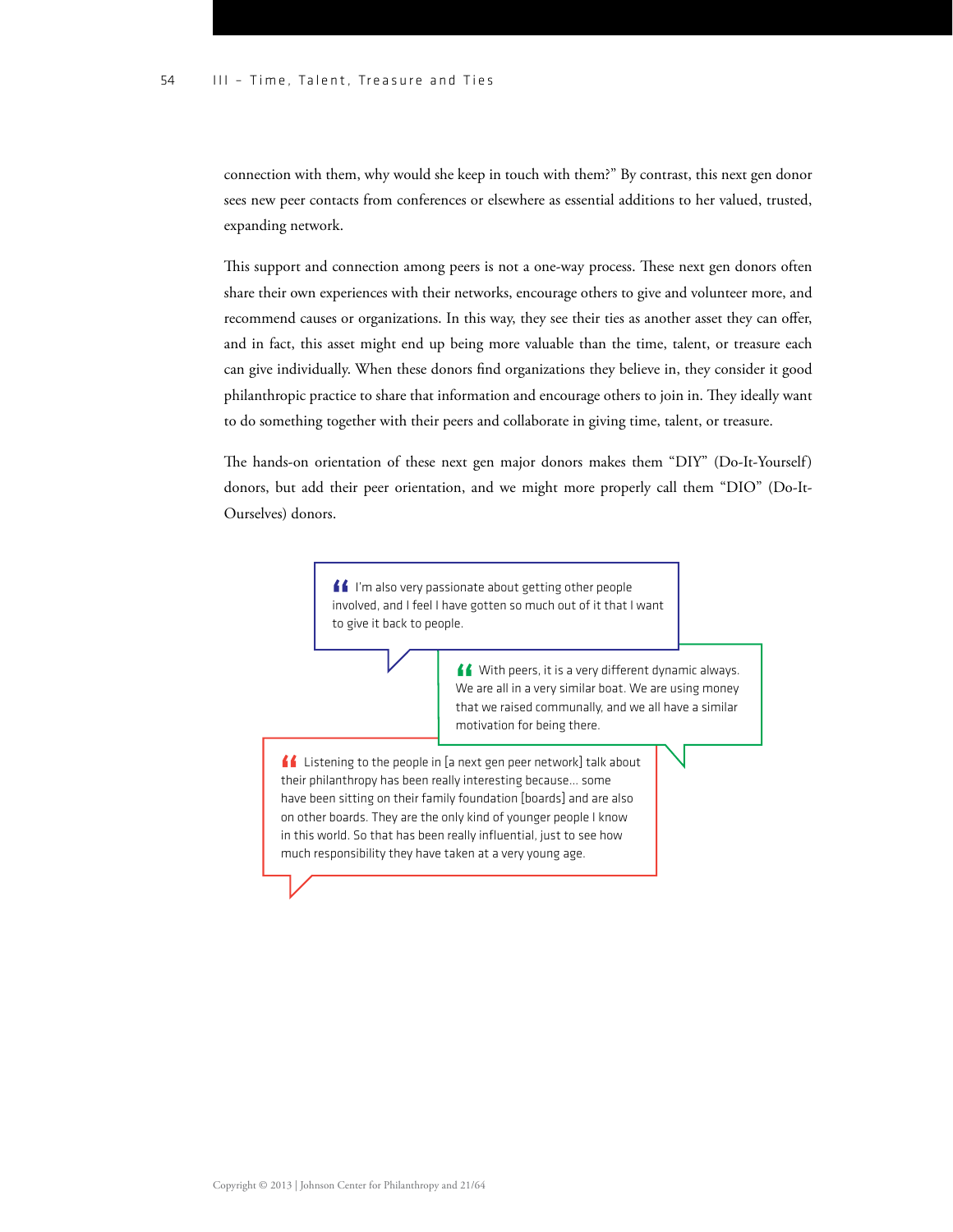connection with them, why would she keep in touch with them?" By contrast, this next gen donor sees new peer contacts from conferences or elsewhere as essential additions to her valued, trusted, expanding network.

This support and connection among peers is not a one-way process. These next gen donors often share their own experiences with their networks, encourage others to give and volunteer more, and recommend causes or organizations. In this way, they see their ties as another asset they can offer, and in fact, this asset might end up being more valuable than the time, talent, or treasure each can give individually. When these donors find organizations they believe in, they consider it good philanthropic practice to share that information and encourage others to join in. They ideally want to do something together with their peers and collaborate in giving time, talent, or treasure.

The hands-on orientation of these next gen major donors makes them "DIY" (Do-It-Yourself) donors, but add their peer orientation, and we might more properly call them "DIO" (Do-It-Ourselves) donors.

> I'm also very passionate about getting other people involved, and I feel I have gotten so much out of it that I want to give it back to people.

> > $\bigcup$  With peers, it is a very different dynamic always. We are all in a very similar boat. We are using money that we raised communally, and we all have a similar motivation for being there.

Listening to the people in [a next gen peer network] talk about their philanthropy has been really interesting because… some have been sitting on their family foundation [boards] and are also on other boards. They are the only kind of younger people I know in this world. So that has been really influential, just to see how much responsibility they have taken at a very young age.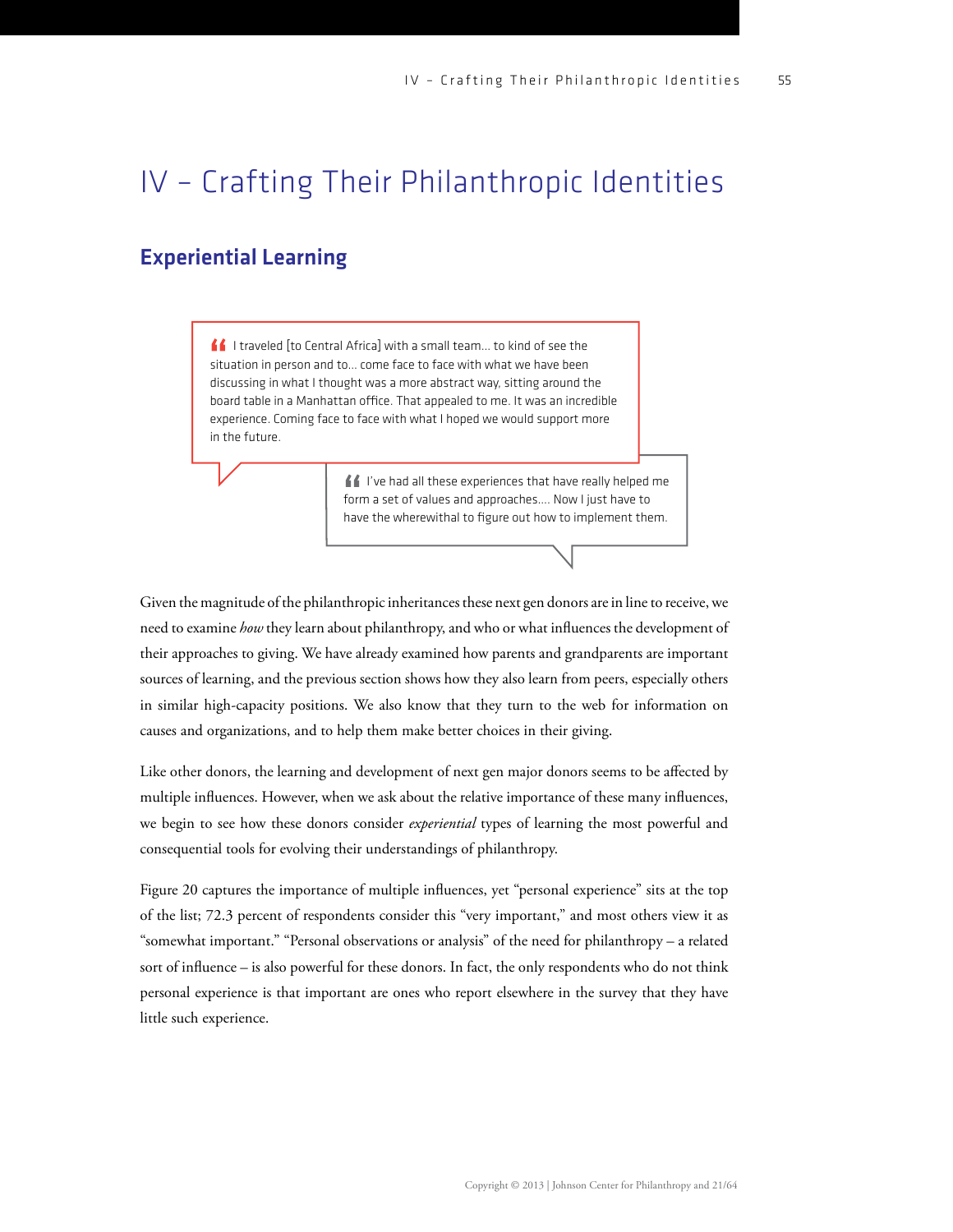## IV – Crafting Their Philanthropic Identities

### Experiential Learning

<u>f</u> f I traveled [to Central Africa] with a small team... to kind of see the situation in person and to… come face to face with what we have been discussing in what I thought was a more abstract way, sitting around the board table in a Manhattan office. That appealed to me. It was an incredible experience. Coming face to face with what I hoped we would support more in the future.

> I've had all these experiences that have really helped me form a set of values and approaches…. Now I just have to have the wherewithal to figure out how to implement them.

Given the magnitude of the philanthropic inheritances these next gen donors are in line to receive, we need to examine *how* they learn about philanthropy, and who or what influences the development of their approaches to giving. We have already examined how parents and grandparents are important sources of learning, and the previous section shows how they also learn from peers, especially others in similar high-capacity positions. We also know that they turn to the web for information on causes and organizations, and to help them make better choices in their giving.

Like other donors, the learning and development of next gen major donors seems to be affected by multiple influences. However, when we ask about the relative importance of these many influences, we begin to see how these donors consider *experiential* types of learning the most powerful and consequential tools for evolving their understandings of philanthropy.

Figure 20 captures the importance of multiple influences, yet "personal experience" sits at the top of the list; 72.3 percent of respondents consider this "very important," and most others view it as "somewhat important." "Personal observations or analysis" of the need for philanthropy – a related sort of influence – is also powerful for these donors. In fact, the only respondents who do not think personal experience is that important are ones who report elsewhere in the survey that they have little such experience.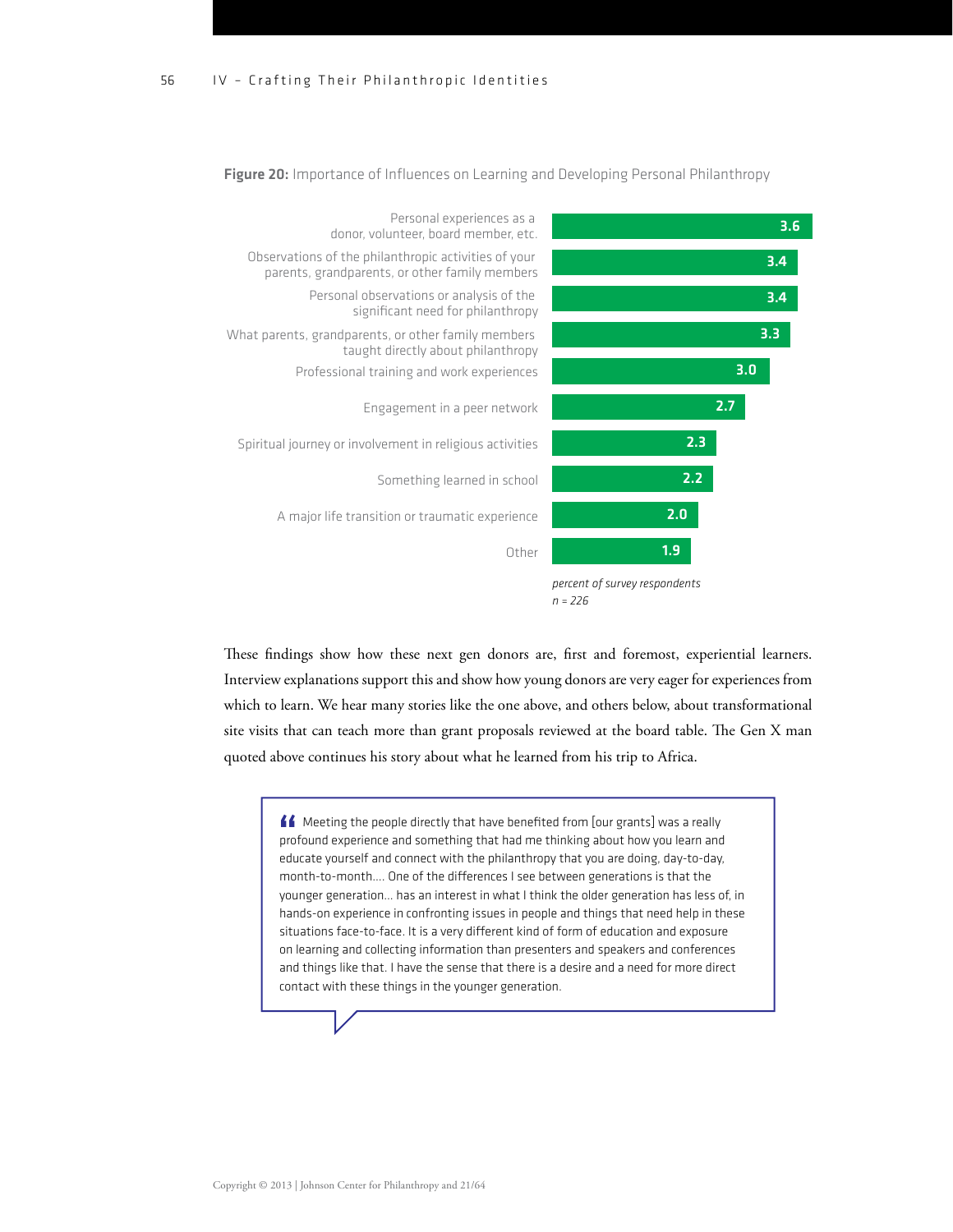

Figure 20: Importance of Influences on Learning and Developing Personal Philanthropy

These findings show how these next gen donors are, first and foremost, experiential learners. Interview explanations support this and show how young donors are very eager for experiences from which to learn. We hear many stories like the one above, and others below, about transformational site visits that can teach more than grant proposals reviewed at the board table. The Gen X man quoted above continues his story about what he learned from his trip to Africa.

Meeting the people directly that have benefited from [our grants] was a really profound experience and something that had me thinking about how you learn and educate yourself and connect with the philanthropy that you are doing, day-to-day, month-to-month.... One of the differences I see between generations is that the younger generation… has an interest in what I think the older generation has less of, in hands-on experience in confronting issues in people and things that need help in these situations face-to-face. It is a very different kind of form of education and exposure on learning and collecting information than presenters and speakers and conferences and things like that. I have the sense that there is a desire and a need for more direct contact with these things in the younger generation.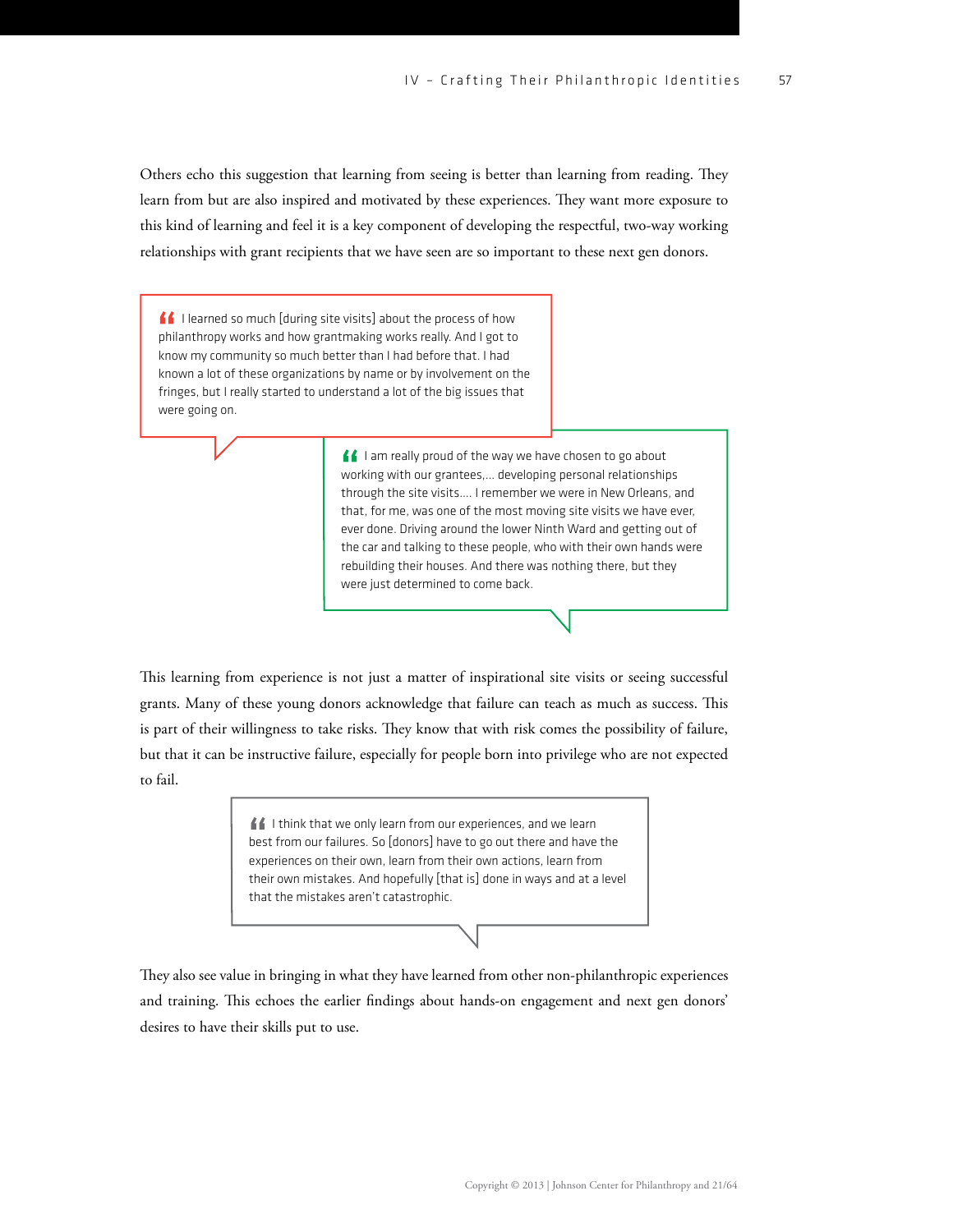Others echo this suggestion that learning from seeing is better than learning from reading. They learn from but are also inspired and motivated by these experiences. They want more exposure to this kind of learning and feel it is a key component of developing the respectful, two-way working relationships with grant recipients that we have seen are so important to these next gen donors.

I learned so much [during site visits] about the process of how philanthropy works and how grantmaking works really. And I got to know my community so much better than I had before that. I had known a lot of these organizations by name or by involvement on the fringes, but I really started to understand a lot of the big issues that were going on.

> I am really proud of the way we have chosen to go about working with our grantees,… developing personal relationships through the site visits…. I remember we were in New Orleans, and that, for me, was one of the most moving site visits we have ever, ever done. Driving around the lower Ninth Ward and getting out of the car and talking to these people, who with their own hands were rebuilding their houses. And there was nothing there, but they were just determined to come back.

This learning from experience is not just a matter of inspirational site visits or seeing successful grants. Many of these young donors acknowledge that failure can teach as much as success. This is part of their willingness to take risks. They know that with risk comes the possibility of failure, but that it can be instructive failure, especially for people born into privilege who are not expected to fail.

> If I think that we only learn from our experiences, and we learn best from our failures. So [donors] have to go out there and have the experiences on their own, learn from their own actions, learn from their own mistakes. And hopefully [that is] done in ways and at a level that the mistakes aren't catastrophic.

They also see value in bringing in what they have learned from other non-philanthropic experiences and training. This echoes the earlier findings about hands-on engagement and next gen donors' desires to have their skills put to use.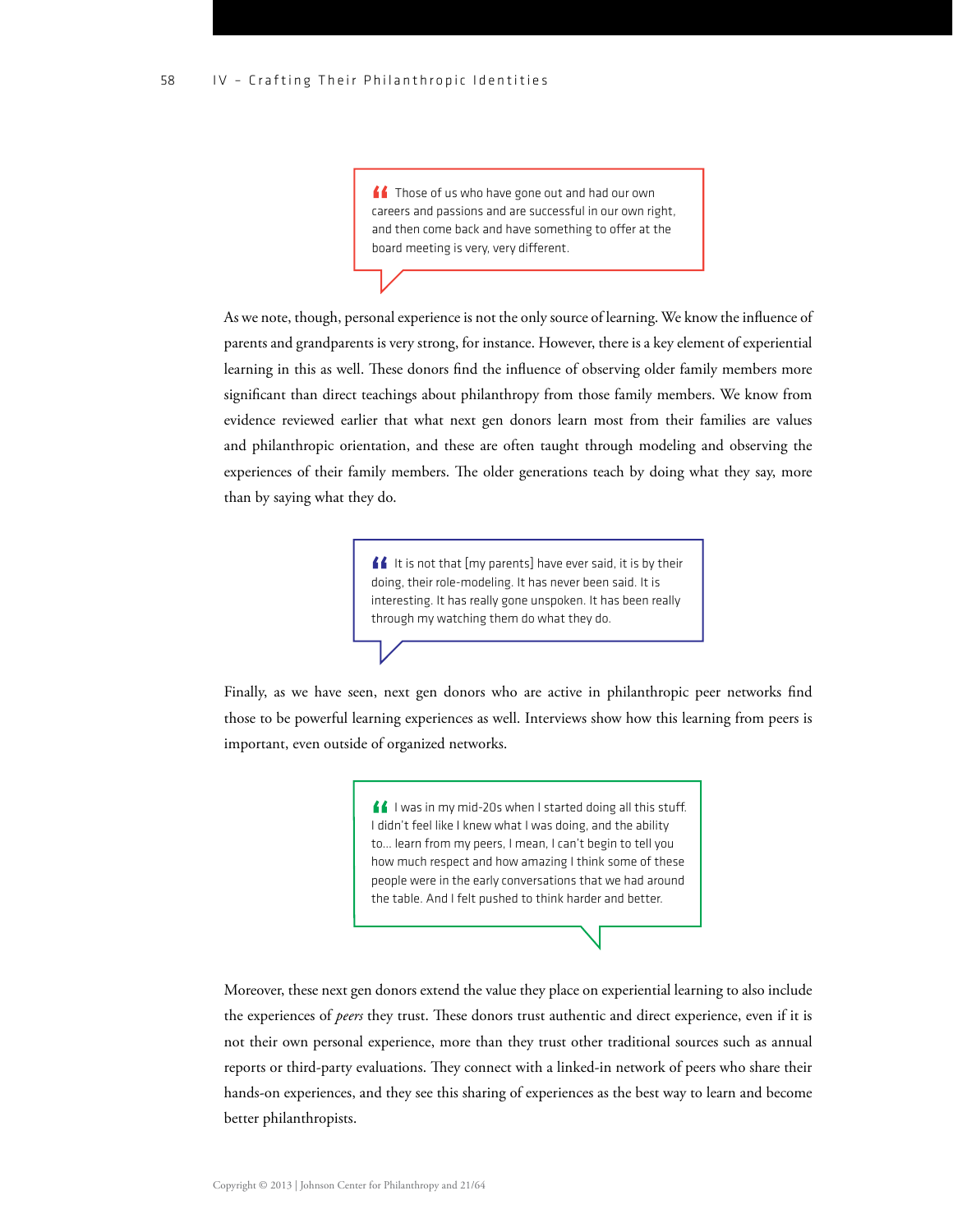**ff** Those of us who have gone out and had our own careers and passions and are successful in our own right, and then come back and have something to offer at the board meeting is very, very different.

As we note, though, personal experience is not the only source of learning. We know the influence of parents and grandparents is very strong, for instance. However, there is a key element of experiential learning in this as well. These donors find the influence of observing older family members more significant than direct teachings about philanthropy from those family members. We know from evidence reviewed earlier that what next gen donors learn most from their families are values and philanthropic orientation, and these are often taught through modeling and observing the experiences of their family members. The older generations teach by doing what they say, more than by saying what they do.

> If It is not that [my parents] have ever said, it is by their doing, their role-modeling. It has never been said. It is interesting. It has really gone unspoken. It has been really through my watching them do what they do.

Finally, as we have seen, next gen donors who are active in philanthropic peer networks find those to be powerful learning experiences as well. Interviews show how this learning from peers is important, even outside of organized networks.

> $\blacksquare$  I was in my mid-20s when I started doing all this stuff. I didn't feel like I knew what I was doing, and the ability to… learn from my peers, I mean, I can't begin to tell you how much respect and how amazing I think some of these people were in the early conversations that we had around the table. And I felt pushed to think harder and better.

Moreover, these next gen donors extend the value they place on experiential learning to also include the experiences of *peers* they trust. These donors trust authentic and direct experience, even if it is not their own personal experience, more than they trust other traditional sources such as annual reports or third-party evaluations. They connect with a linked-in network of peers who share their hands-on experiences, and they see this sharing of experiences as the best way to learn and become better philanthropists.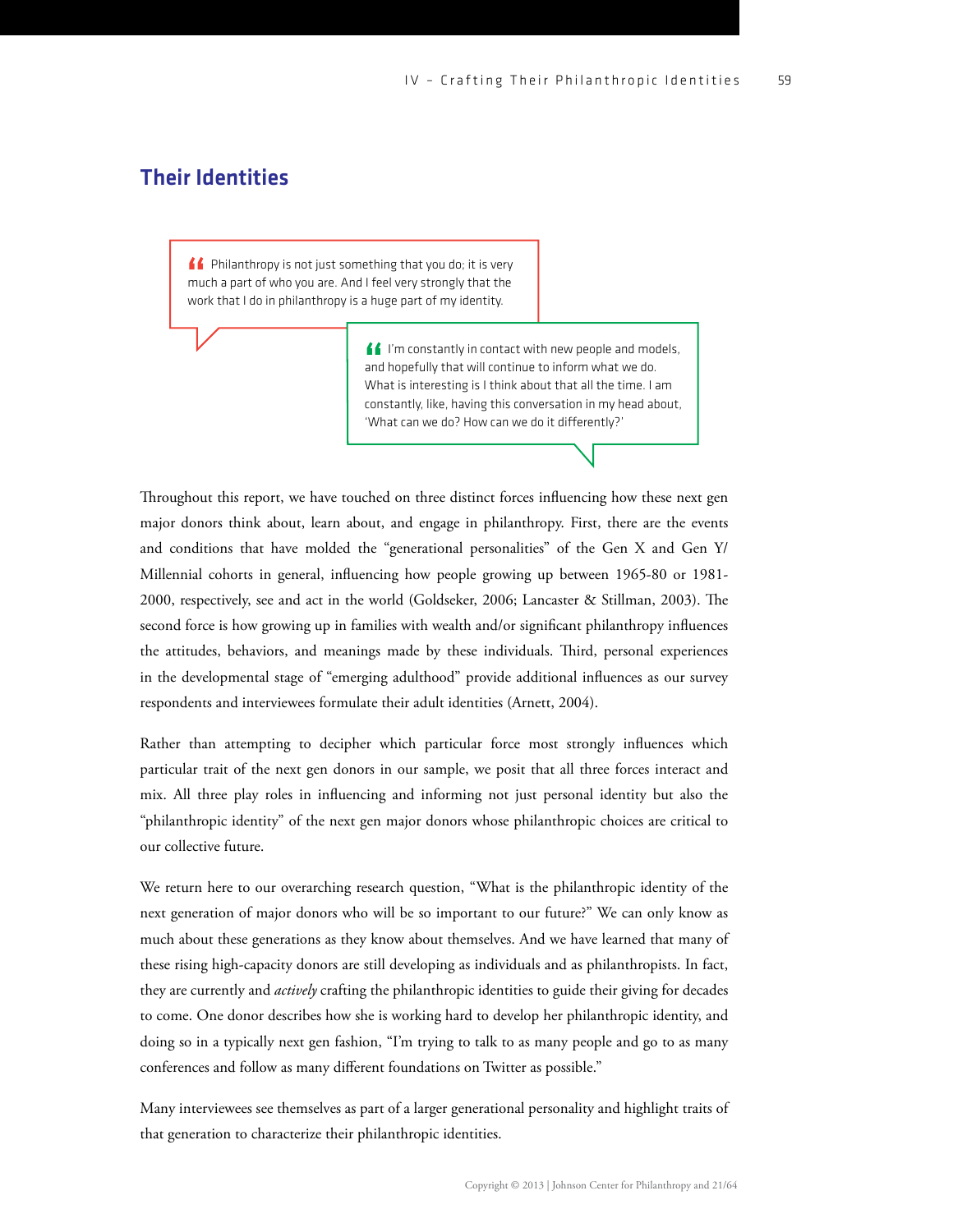#### Their Identities

**ff** Philanthropy is not just something that you do; it is very much a part of who you are. And I feel very strongly that the work that I do in philanthropy is a huge part of my identity.

> I'm constantly in contact with new people and models, and hopefully that will continue to inform what we do. What is interesting is I think about that all the time. I am constantly, like, having this conversation in my head about, 'What can we do? How can we do it differently?'

Throughout this report, we have touched on three distinct forces influencing how these next gen major donors think about, learn about, and engage in philanthropy. First, there are the events and conditions that have molded the "generational personalities" of the Gen X and Gen Y/ Millennial cohorts in general, influencing how people growing up between 1965-80 or 1981-2000, respectively, see and act in the world (Goldseker, 2006; Lancaster & Stillman, 2003). The second force is how growing up in families with wealth and/or significant philanthropy influences the attitudes, behaviors, and meanings made by these individuals. Third, personal experiences in the developmental stage of "emerging adulthood" provide additional influences as our survey respondents and interviewees formulate their adult identities (Arnett, 2004).

Rather than attempting to decipher which particular force most strongly influences which particular trait of the next gen donors in our sample, we posit that all three forces interact and mix. All three play roles in influencing and informing not just personal identity but also the "philanthropic identity" of the next gen major donors whose philanthropic choices are critical to our collective future.

We return here to our overarching research question, "What is the philanthropic identity of the next generation of major donors who will be so important to our future?" We can only know as much about these generations as they know about themselves. And we have learned that many of these rising high-capacity donors are still developing as individuals and as philanthropists. In fact, they are currently and *actively* crafting the philanthropic identities to guide their giving for decades to come. One donor describes how she is working hard to develop her philanthropic identity, and doing so in a typically next gen fashion, "I'm trying to talk to as many people and go to as many conferences and follow as many different foundations on Twitter as possible."

Many interviewees see themselves as part of a larger generational personality and highlight traits of that generation to characterize their philanthropic identities.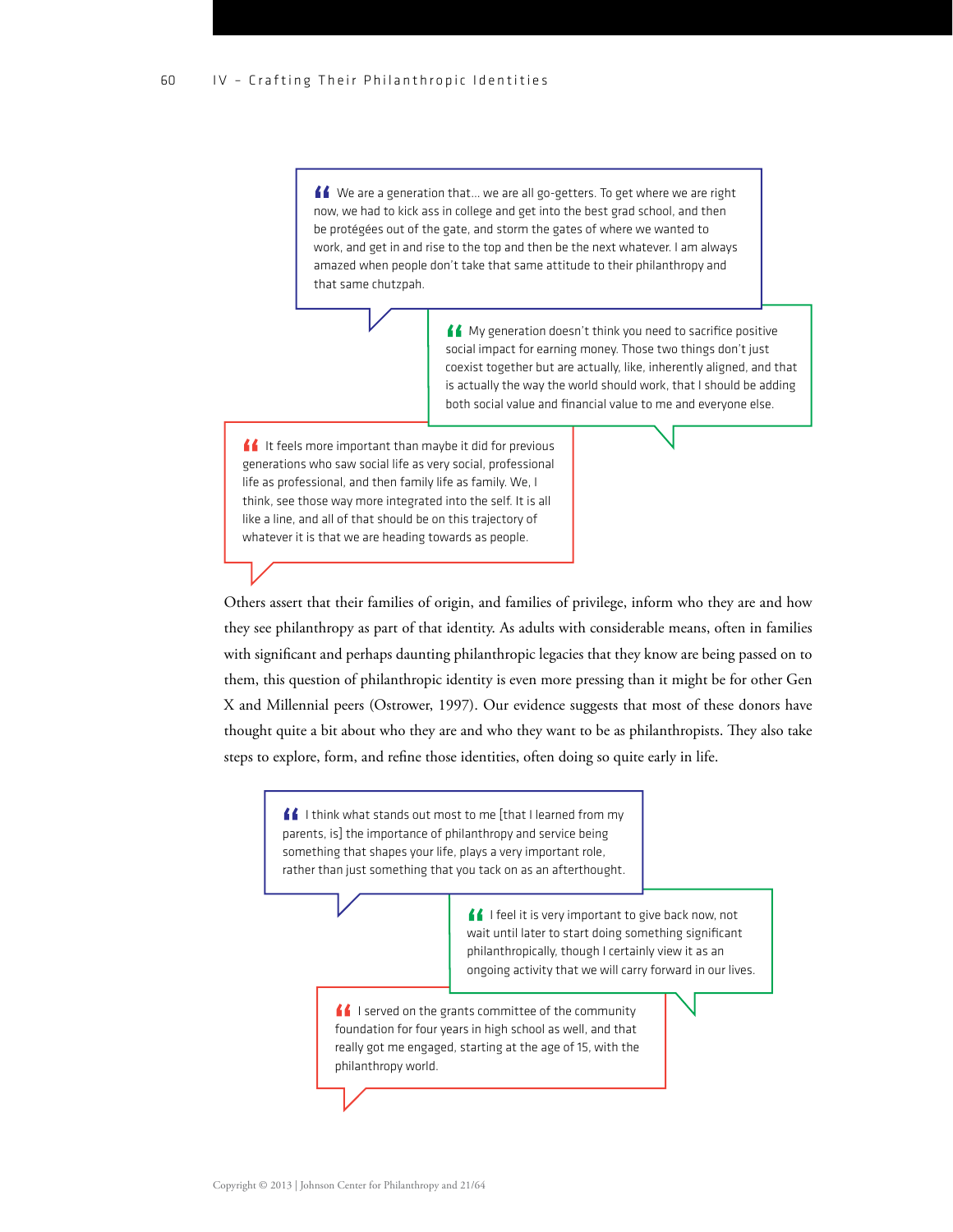<u>■ We are a generation that</u>... we are all go-getters. To get where we are right now, we had to kick ass in college and get into the best grad school, and then be protégées out of the gate, and storm the gates of where we wanted to work, and get in and rise to the top and then be the next whatever. I am always amazed when people don't take that same attitude to their philanthropy and that same chutzpah.

> ▲ My generation doesn't think you need to sacrifice positive social impact for earning money. Those two things don't just coexist together but are actually, like, inherently aligned, and that is actually the way the world should work, that I should be adding both social value and financial value to me and everyone else.

 $\blacksquare$ It feels more important than maybe it did for previous generations who saw social life as very social, professional life as professional, and then family life as family. We, I think, see those way more integrated into the self. It is all like a line, and all of that should be on this trajectory of whatever it is that we are heading towards as people.

Others assert that their families of origin, and families of privilege, inform who they are and how they see philanthropy as part of that identity. As adults with considerable means, often in families with significant and perhaps daunting philanthropic legacies that they know are being passed on to them, this question of philanthropic identity is even more pressing than it might be for other Gen X and Millennial peers (Ostrower, 1997). Our evidence suggests that most of these donors have thought quite a bit about who they are and who they want to be as philanthropists. They also take steps to explore, form, and refine those identities, often doing so quite early in life.

> $\blacksquare$  I think what stands out most to me [that I learned from my parents, is] the importance of philanthropy and service being something that shapes your life, plays a very important role, rather than just something that you tack on as an afterthought.

> > I feel it is very important to give back now, not wait until later to start doing something significant philanthropically, though I certainly view it as an ongoing activity that we will carry forward in our lives.

If I served on the grants committee of the community foundation for four years in high school as well, and that really got me engaged, starting at the age of 15, with the philanthropy world.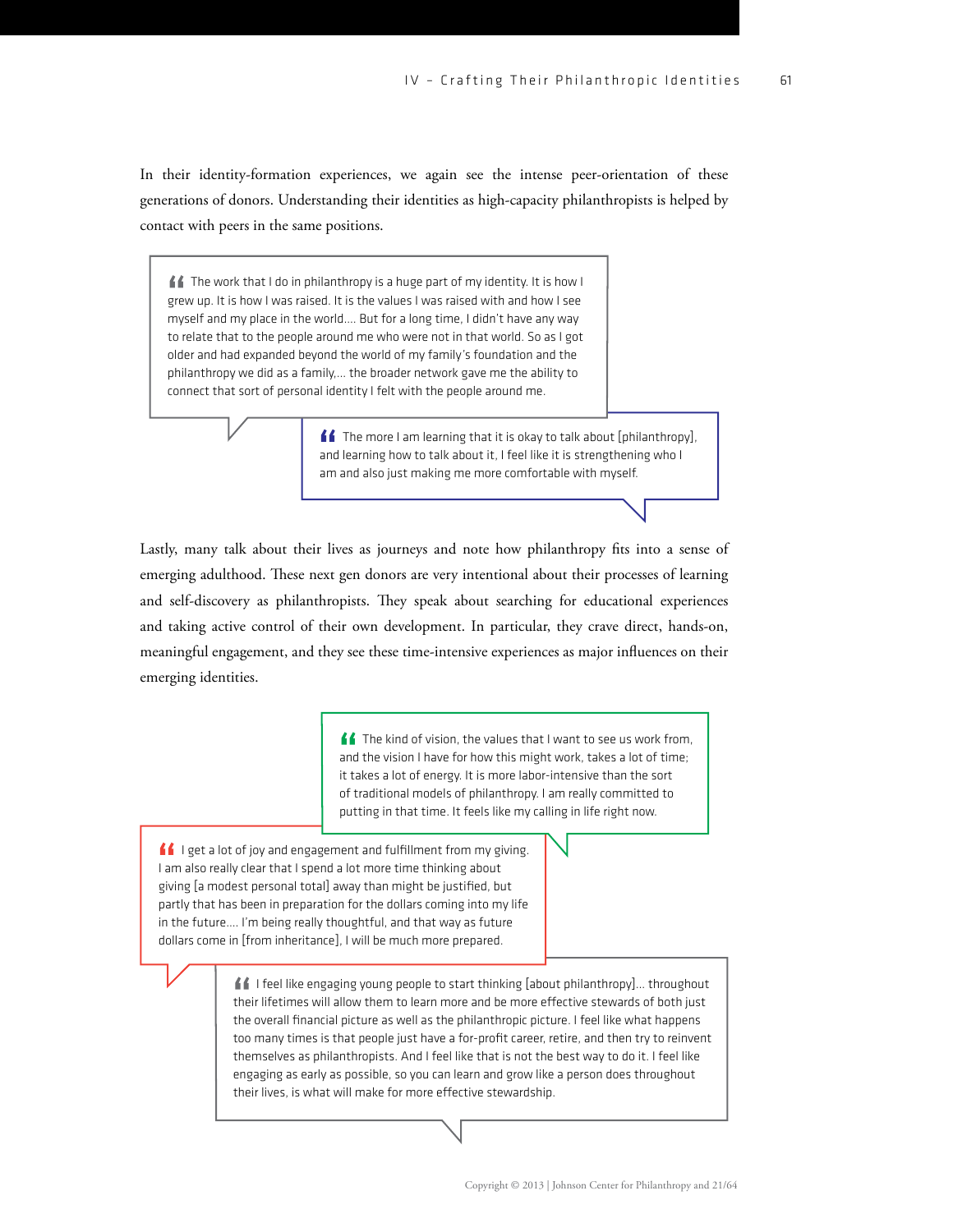In their identity-formation experiences, we again see the intense peer-orientation of these generations of donors. Understanding their identities as high-capacity philanthropists is helped by contact with peers in the same positions.

■ The work that I do in philanthropy is a huge part of my identity. It is how I grew up. It is how I was raised. It is the values I was raised with and how I see myself and my place in the world…. But for a long time, I didn't have any way to relate that to the people around me who were not in that world. So as I got older and had expanded beyond the world of my family's foundation and the philanthropy we did as a family,… the broader network gave me the ability to connect that sort of personal identity I felt with the people around me.

> The more I am learning that it is okay to talk about [philanthropy], and learning how to talk about it, I feel like it is strengthening who I am and also just making me more comfortable with myself.

Lastly, many talk about their lives as journeys and note how philanthropy fits into a sense of emerging adulthood. These next gen donors are very intentional about their processes of learning and self-discovery as philanthropists. They speak about searching for educational experiences and taking active control of their own development. In particular, they crave direct, hands-on, meaningful engagement, and they see these time-intensive experiences as major influences on their emerging identities.

> **f** The kind of vision, the values that I want to see us work from, and the vision I have for how this might work, takes a lot of time; it takes a lot of energy. It is more labor-intensive than the sort of traditional models of philanthropy. I am really committed to putting in that time. It feels like my calling in life right now.

If leet a lot of joy and engagement and fulfillment from my giving. I am also really clear that I spend a lot more time thinking about giving [a modest personal total] away than might be justified, but partly that has been in preparation for the dollars coming into my life in the future…. I'm being really thoughtful, and that way as future dollars come in [from inheritance], I will be much more prepared.

> ■I feel like engaging young people to start thinking [about philanthropy]... throughout their lifetimes will allow them to learn more and be more effective stewards of both just the overall financial picture as well as the philanthropic picture. I feel like what happens too many times is that people just have a for-profit career, retire, and then try to reinvent themselves as philanthropists. And I feel like that is not the best way to do it. I feel like engaging as early as possible, so you can learn and grow like a person does throughout their lives, is what will make for more effective stewardship.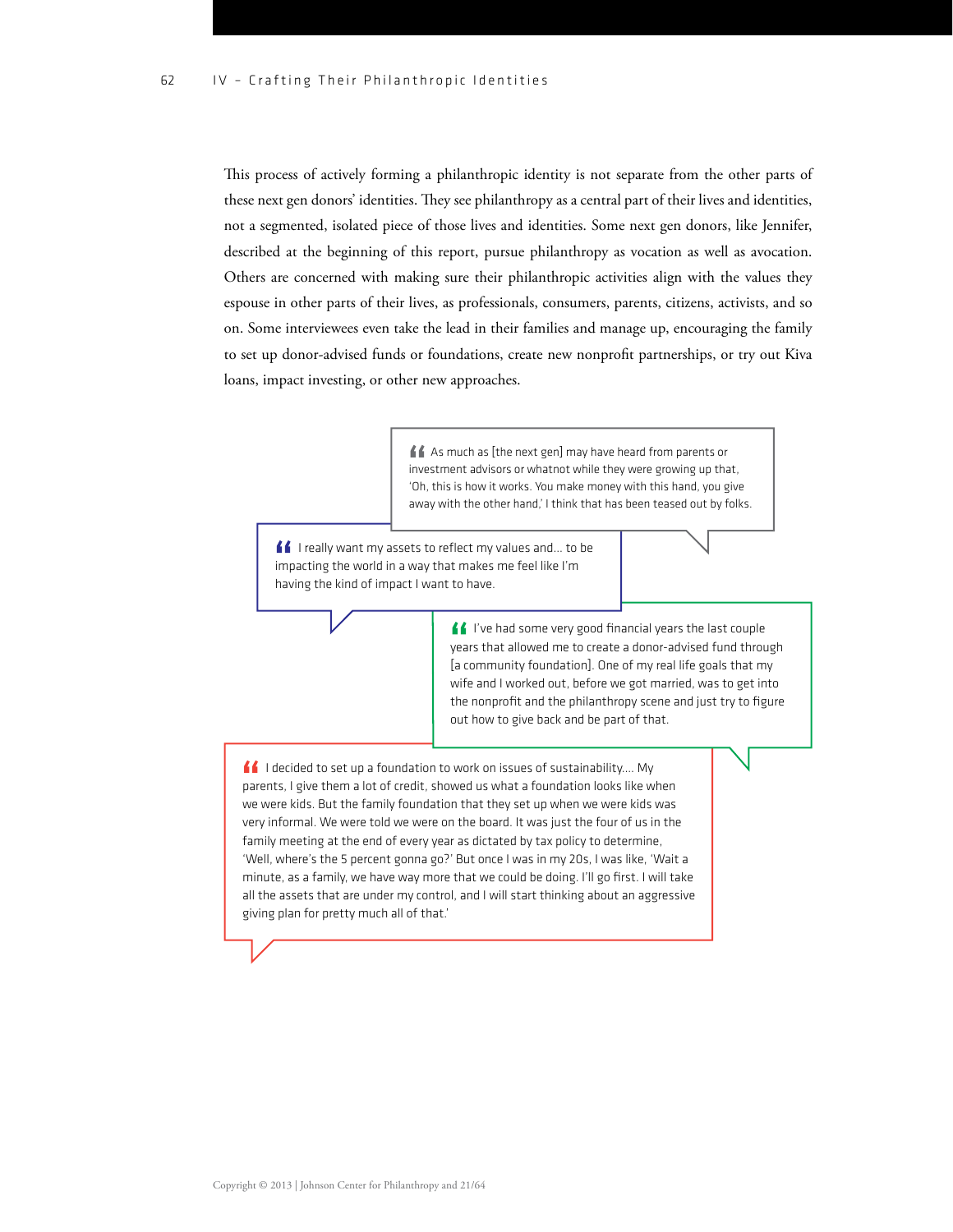This process of actively forming a philanthropic identity is not separate from the other parts of these next gen donors' identities. They see philanthropy as a central part of their lives and identities, not a segmented, isolated piece of those lives and identities. Some next gen donors, like Jennifer, described at the beginning of this report, pursue philanthropy as vocation as well as avocation. Others are concerned with making sure their philanthropic activities align with the values they espouse in other parts of their lives, as professionals, consumers, parents, citizens, activists, and so on. Some interviewees even take the lead in their families and manage up, encouraging the family to set up donor-advised funds or foundations, create new nonprofit partnerships, or try out Kiva loans, impact investing, or other new approaches.

> As much as [the next gen] may have heard from parents or investment advisors or whatnot while they were growing up that, 'Oh, this is how it works. You make money with this hand, you give away with the other hand,' I think that has been teased out by folks.

If I really want my assets to reflect my values and... to be impacting the world in a way that makes me feel like I'm having the kind of impact I want to have.

> I've had some very good financial years the last couple years that allowed me to create a donor-advised fund through [a community foundation]. One of my real life goals that my wife and I worked out, before we got married, was to get into the nonprofit and the philanthropy scene and just try to figure out how to give back and be part of that.

 $\blacksquare$ I decided to set up a foundation to work on issues of sustainability.... My parents, I give them a lot of credit, showed us what a foundation looks like when we were kids. But the family foundation that they set up when we were kids was very informal. We were told we were on the board. It was just the four of us in the family meeting at the end of every year as dictated by tax policy to determine, 'Well, where's the 5 percent gonna go?' But once I was in my 20s, I was like, 'Wait a minute, as a family, we have way more that we could be doing. I'll go first. I will take all the assets that are under my control, and I will start thinking about an aggressive giving plan for pretty much all of that.'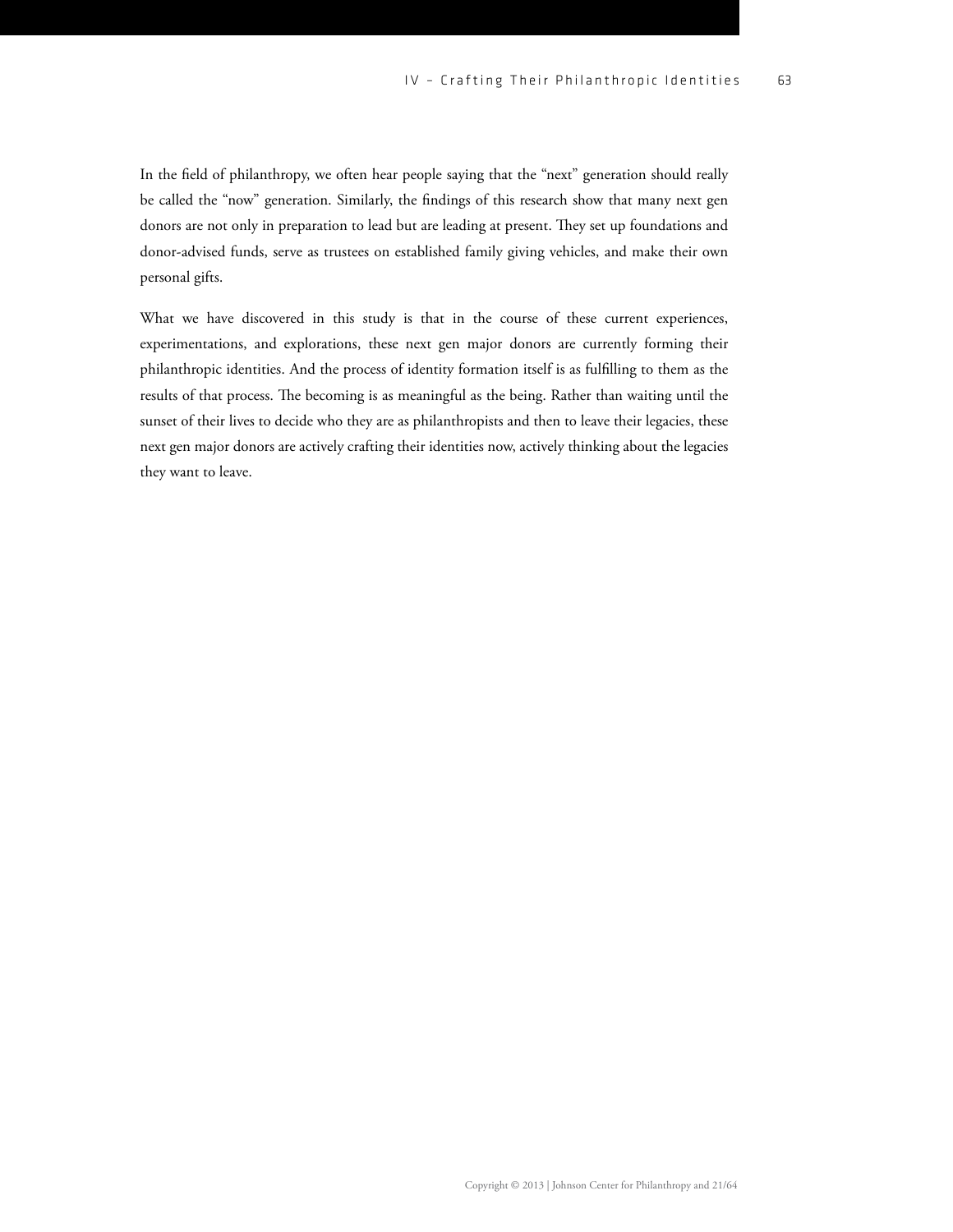In the field of philanthropy, we often hear people saying that the "next" generation should really be called the "now" generation. Similarly, the findings of this research show that many next gen donors are not only in preparation to lead but are leading at present. They set up foundations and donor-advised funds, serve as trustees on established family giving vehicles, and make their own personal gifts.

What we have discovered in this study is that in the course of these current experiences, experimentations, and explorations, these next gen major donors are currently forming their philanthropic identities. And the process of identity formation itself is as fullling to them as the results of that process. The becoming is as meaningful as the being. Rather than waiting until the sunset of their lives to decide who they are as philanthropists and then to leave their legacies, these next gen major donors are actively crafting their identities now, actively thinking about the legacies they want to leave.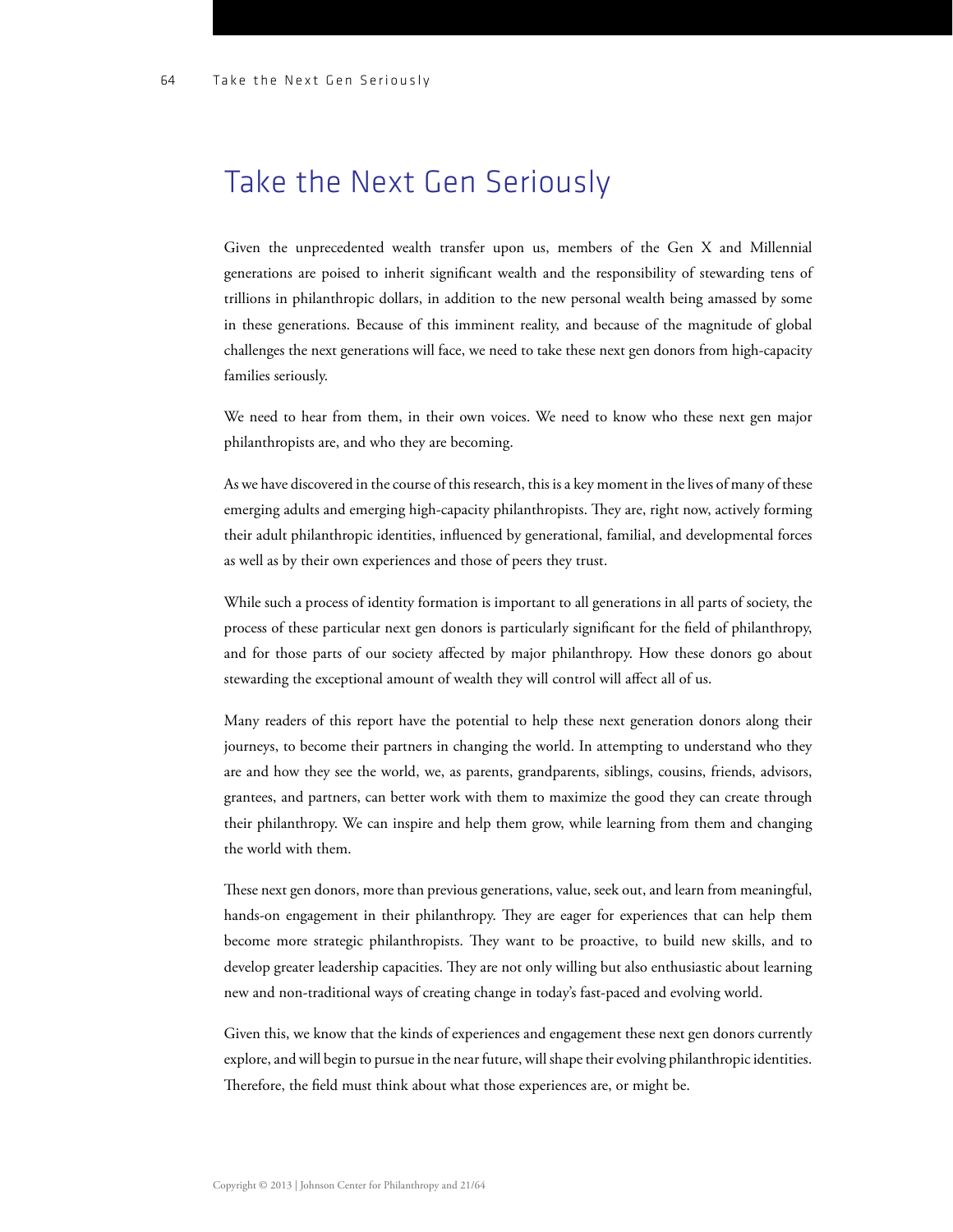### Take the Next Gen Seriously

Given the unprecedented wealth transfer upon us, members of the Gen X and Millennial generations are poised to inherit significant wealth and the responsibility of stewarding tens of trillions in philanthropic dollars, in addition to the new personal wealth being amassed by some in these generations. Because of this imminent reality, and because of the magnitude of global challenges the next generations will face, we need to take these next gen donors from high-capacity families seriously.

We need to hear from them, in their own voices. We need to know who these next gen major philanthropists are, and who they are becoming.

As we have discovered in the course of this research, this is a key moment in the lives of many of these emerging adults and emerging high-capacity philanthropists. They are, right now, actively forming their adult philanthropic identities, influenced by generational, familial, and developmental forces as well as by their own experiences and those of peers they trust.

While such a process of identity formation is important to all generations in all parts of society, the process of these particular next gen donors is particularly significant for the field of philanthropy, and for those parts of our society affected by major philanthropy. How these donors go about stewarding the exceptional amount of wealth they will control will affect all of us.

Many readers of this report have the potential to help these next generation donors along their journeys, to become their partners in changing the world. In attempting to understand who they are and how they see the world, we, as parents, grandparents, siblings, cousins, friends, advisors, grantees, and partners, can better work with them to maximize the good they can create through their philanthropy. We can inspire and help them grow, while learning from them and changing the world with them.

These next gen donors, more than previous generations, value, seek out, and learn from meaningful, hands-on engagement in their philanthropy. They are eager for experiences that can help them become more strategic philanthropists. They want to be proactive, to build new skills, and to develop greater leadership capacities. They are not only willing but also enthusiastic about learning new and non-traditional ways of creating change in today's fast-paced and evolving world.

Given this, we know that the kinds of experiences and engagement these next gen donors currently explore, and will begin to pursue in the near future, will shape their evolving philanthropic identities. Therefore, the field must think about what those experiences are, or might be.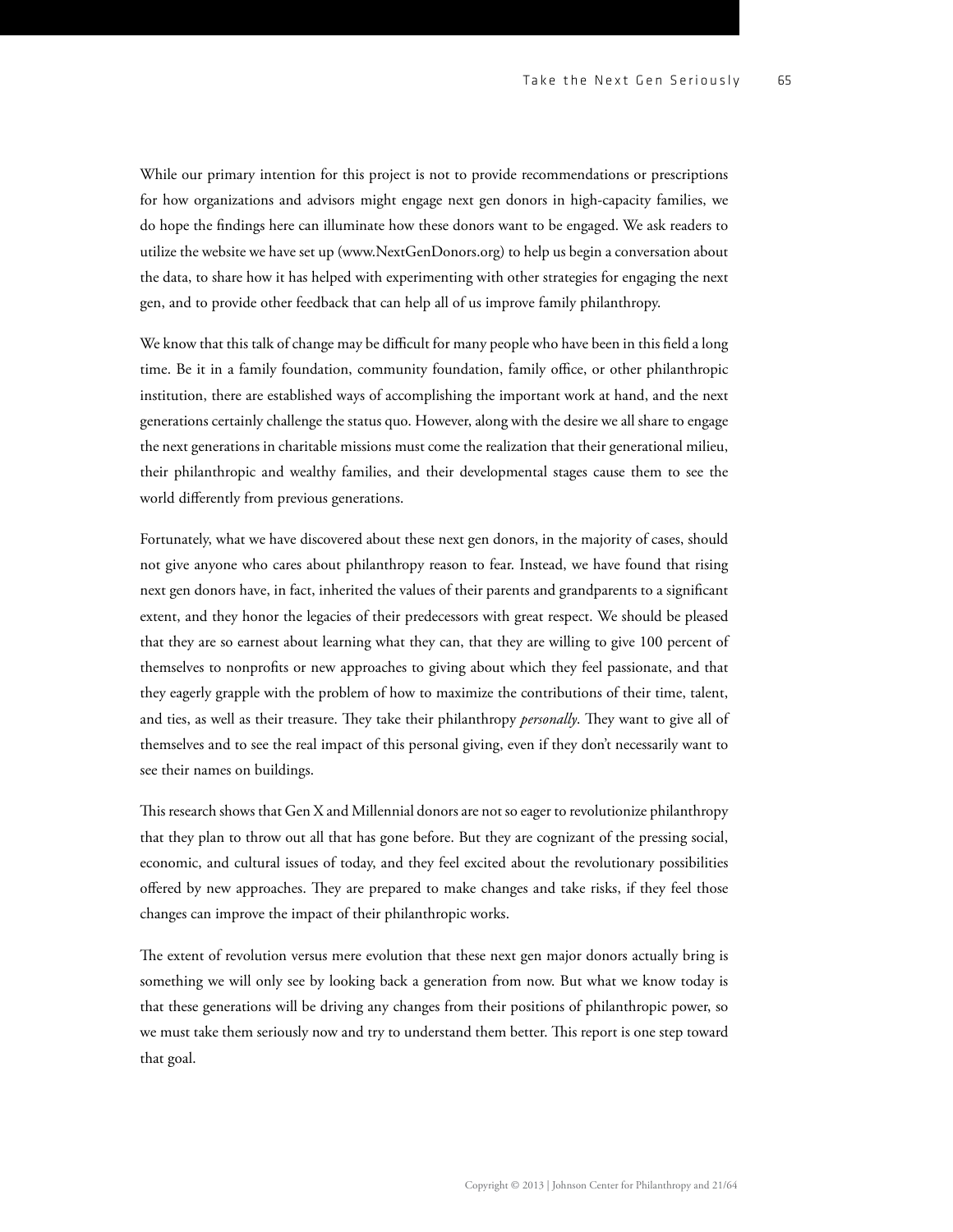While our primary intention for this project is not to provide recommendations or prescriptions for how organizations and advisors might engage next gen donors in high-capacity families, we do hope the ndings here can illuminate how these donors want to be engaged. We ask readers to utilize the website we have set up ([www.NextGenDonors.org](http://www.NextGenDonors.org)) to help us begin a conversation about the data, to share how it has helped with experimenting with other strategies for engaging the next gen, and to provide other feedback that can help all of us improve family philanthropy.

We know that this talk of change may be difficult for many people who have been in this field a long time. Be it in a family foundation, community foundation, family office, or other philanthropic institution, there are established ways of accomplishing the important work at hand, and the next generations certainly challenge the status quo. However, along with the desire we all share to engage the next generations in charitable missions must come the realization that their generational milieu, their philanthropic and wealthy families, and their developmental stages cause them to see the world differently from previous generations.

Fortunately, what we have discovered about these next gen donors, in the majority of cases, should not give anyone who cares about philanthropy reason to fear. Instead, we have found that rising next gen donors have, in fact, inherited the values of their parents and grandparents to a signicant extent, and they honor the legacies of their predecessors with great respect. We should be pleased that they are so earnest about learning what they can, that they are willing to give 100 percent of themselves to nonprofits or new approaches to giving about which they feel passionate, and that they eagerly grapple with the problem of how to maximize the contributions of their time, talent, and ties, as well as their treasure. They take their philanthropy *personally*. They want to give all of themselves and to see the real impact of this personal giving, even if they don't necessarily want to see their names on buildings.

This research shows that Gen X and Millennial donors are not so eager to revolutionize philanthropy that they plan to throw out all that has gone before. But they are cognizant of the pressing social, economic, and cultural issues of today, and they feel excited about the revolutionary possibilities offered by new approaches. They are prepared to make changes and take risks, if they feel those changes can improve the impact of their philanthropic works.

The extent of revolution versus mere evolution that these next gen major donors actually bring is something we will only see by looking back a generation from now. But what we know today is that these generations will be driving any changes from their positions of philanthropic power, so we must take them seriously now and try to understand them better. This report is one step toward that goal.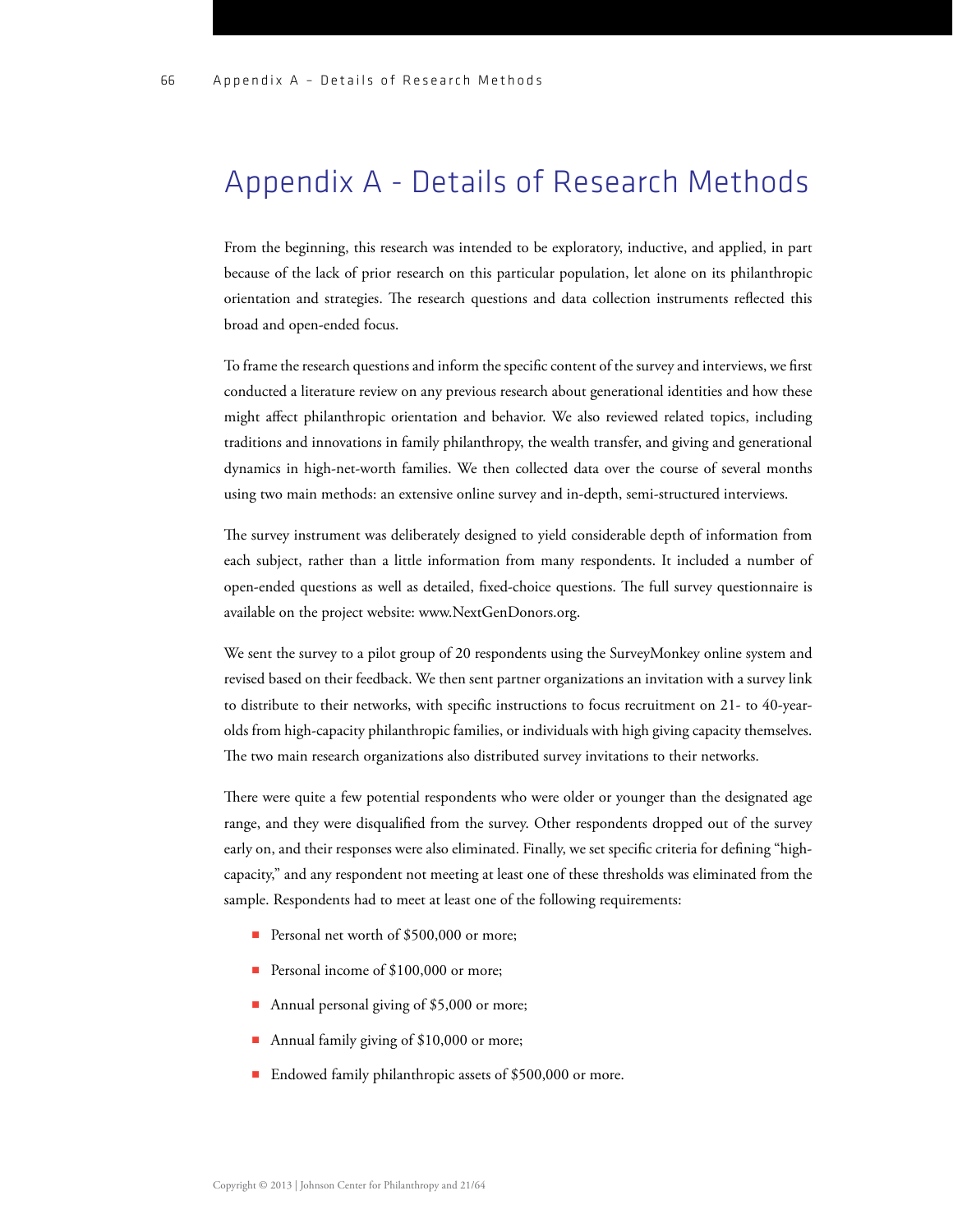## Appendix A - Details of Research Methods

From the beginning, this research was intended to be exploratory, inductive, and applied, in part because of the lack of prior research on this particular population, let alone on its philanthropic orientation and strategies. The research questions and data collection instruments reflected this broad and open-ended focus.

To frame the research questions and inform the specific content of the survey and interviews, we first conducted a literature review on any previous research about generational identities and how these might affect philanthropic orientation and behavior. We also reviewed related topics, including traditions and innovations in family philanthropy, the wealth transfer, and giving and generational dynamics in high-net-worth families. We then collected data over the course of several months using two main methods: an extensive online survey and in-depth, semi-structured interviews.

The survey instrument was deliberately designed to yield considerable depth of information from each subject, rather than a little information from many respondents. It included a number of open-ended questions as well as detailed, fixed-choice questions. The full survey questionnaire is available on the project website: [www.NextGenDonors.org.](http://www.NextGenDonors.org)

We sent the survey to a pilot group of 20 respondents using the SurveyMonkey online system and revised based on their feedback. We then sent partner organizations an invitation with a survey link to distribute to their networks, with specific instructions to focus recruitment on  $21$ -to  $40$ -yearolds from high-capacity philanthropic families, or individuals with high giving capacity themselves. The two main research organizations also distributed survey invitations to their networks.

There were quite a few potential respondents who were older or younger than the designated age range, and they were disqualified from the survey. Other respondents dropped out of the survey early on, and their responses were also eliminated. Finally, we set specific criteria for defining "highcapacity," and any respondent not meeting at least one of these thresholds was eliminated from the sample. Respondents had to meet at least one of the following requirements:

- Personal net worth of \$500,000 or more;
- Personal income of \$100,000 or more;
- Annual personal giving of \$5,000 or more;
- Annual family giving of \$10,000 or more;
- Endowed family philanthropic assets of \$500,000 or more.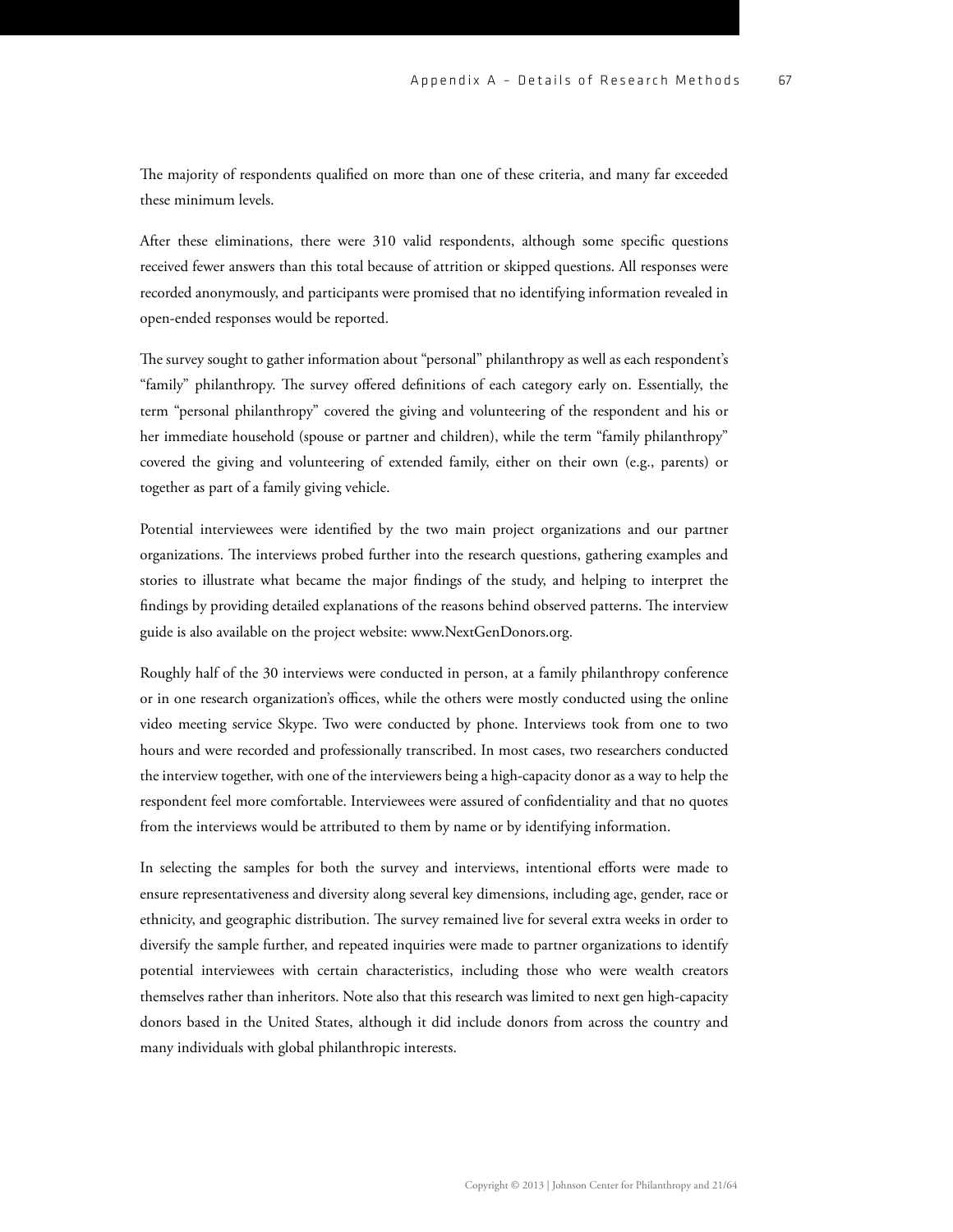The majority of respondents qualified on more than one of these criteria, and many far exceeded these minimum levels.

After these eliminations, there were 310 valid respondents, although some specific questions received fewer answers than this total because of attrition or skipped questions. All responses were recorded anonymously, and participants were promised that no identifying information revealed in open-ended responses would be reported.

The survey sought to gather information about "personal" philanthropy as well as each respondent's "family" philanthropy. The survey offered definitions of each category early on. Essentially, the term "personal philanthropy" covered the giving and volunteering of the respondent and his or her immediate household (spouse or partner and children), while the term "family philanthropy" covered the giving and volunteering of extended family, either on their own (e.g., parents) or together as part of a family giving vehicle.

Potential interviewees were identified by the two main project organizations and our partner organizations. The interviews probed further into the research questions, gathering examples and stories to illustrate what became the major findings of the study, and helping to interpret the findings by providing detailed explanations of the reasons behind observed patterns. The interview guide is also available on the project website: [www.NextGenDonors.org.](http://www.NextGenDonors.org)

Roughly half of the 30 interviews were conducted in person, at a family philanthropy conference or in one research organization's offices, while the others were mostly conducted using the online video meeting service Skype. Two were conducted by phone. Interviews took from one to two hours and were recorded and professionally transcribed. In most cases, two researchers conducted the interview together, with one of the interviewers being a high-capacity donor as a way to help the respondent feel more comfortable. Interviewees were assured of condentiality and that no quotes from the interviews would be attributed to them by name or by identifying information.

In selecting the samples for both the survey and interviews, intentional efforts were made to ensure representativeness and diversity along several key dimensions, including age, gender, race or ethnicity, and geographic distribution. The survey remained live for several extra weeks in order to diversify the sample further, and repeated inquiries were made to partner organizations to identify potential interviewees with certain characteristics, including those who were wealth creators themselves rather than inheritors. Note also that this research was limited to next gen high-capacity donors based in the United States, although it did include donors from across the country and many individuals with global philanthropic interests.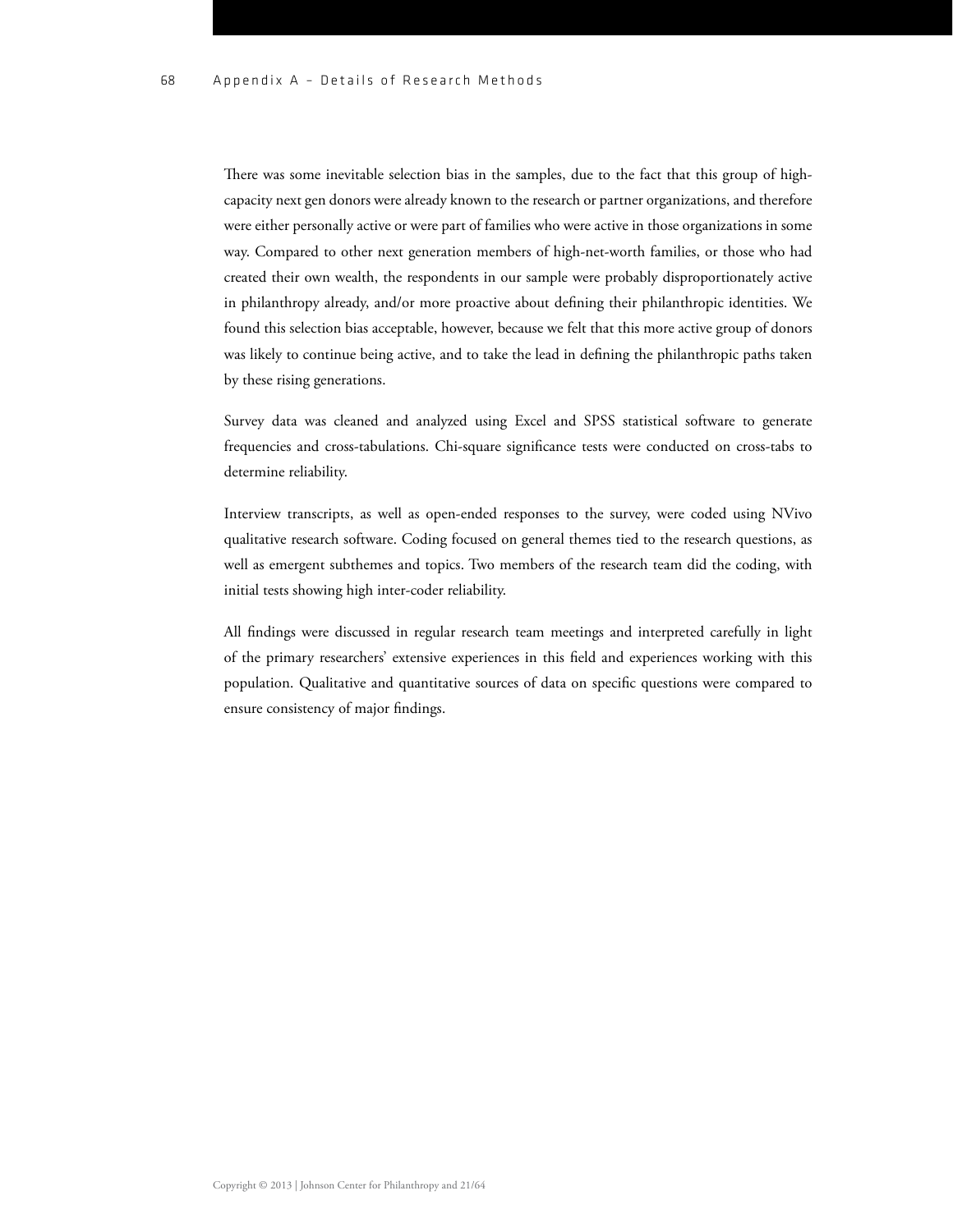There was some inevitable selection bias in the samples, due to the fact that this group of highcapacity next gen donors were already known to the research or partner organizations, and therefore were either personally active or were part of families who were active in those organizations in some way. Compared to other next generation members of high-net-worth families, or those who had created their own wealth, the respondents in our sample were probably disproportionately active in philanthropy already, and/or more proactive about defining their philanthropic identities. We found this selection bias acceptable, however, because we felt that this more active group of donors was likely to continue being active, and to take the lead in defining the philanthropic paths taken by these rising generations.

Survey data was cleaned and analyzed using Excel and SPSS statistical software to generate frequencies and cross-tabulations. Chi-square significance tests were conducted on cross-tabs to determine reliability.

Interview transcripts, as well as open-ended responses to the survey, were coded using NVivo qualitative research software. Coding focused on general themes tied to the research questions, as well as emergent subthemes and topics. Two members of the research team did the coding, with initial tests showing high inter-coder reliability.

All findings were discussed in regular research team meetings and interpreted carefully in light of the primary researchers' extensive experiences in this eld and experiences working with this population. Qualitative and quantitative sources of data on specific questions were compared to ensure consistency of major findings.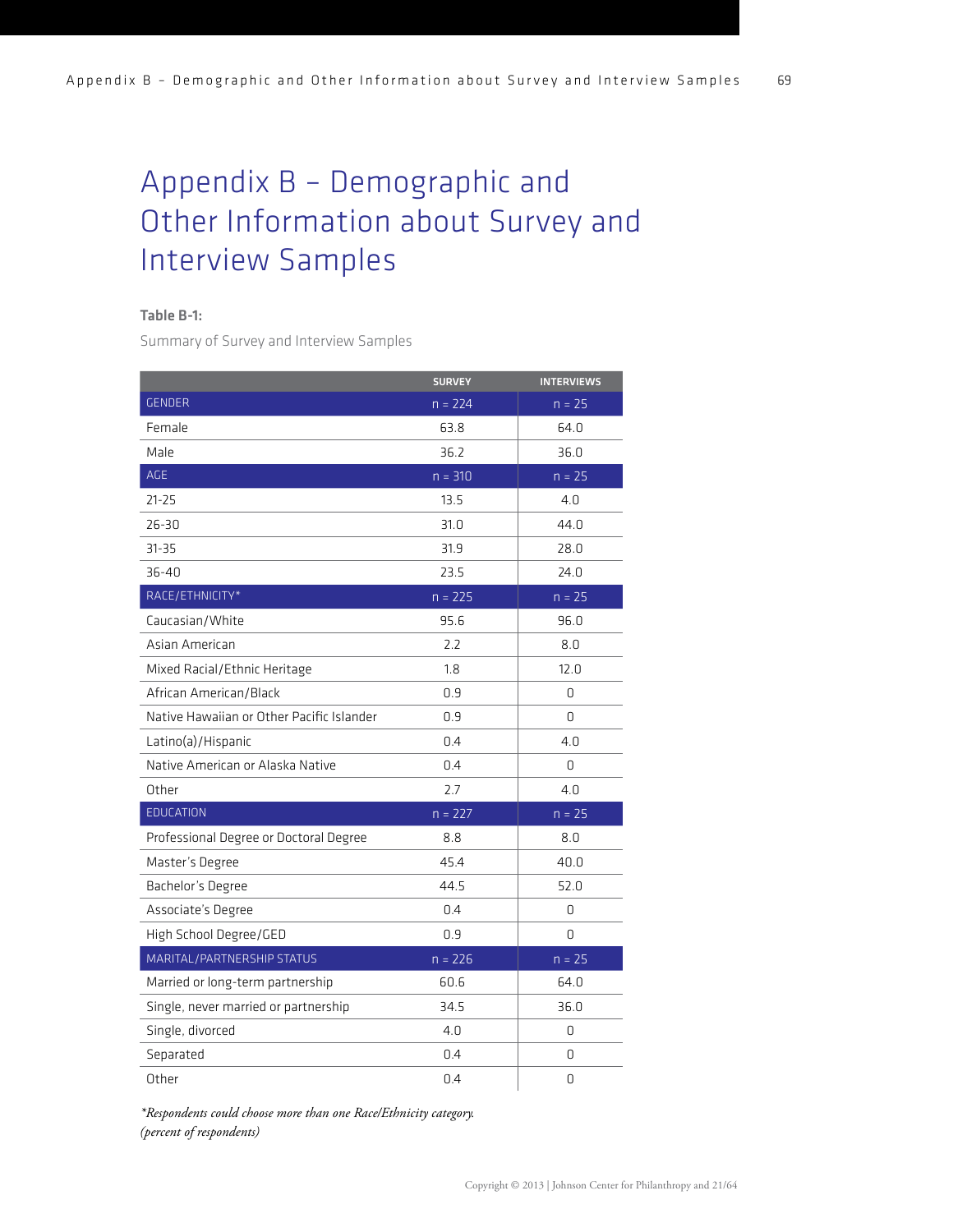# Appendix B – Demographic and Other Information about Survey and Interview Samples

#### Table B-1:

Summary of Survey and Interview Samples

|                                           | <b>SURVEY</b> | <b>INTERVIEWS</b> |
|-------------------------------------------|---------------|-------------------|
| <b>GENDER</b>                             | $n = 224$     | $n = 25$          |
| Female                                    | 63.8          | 64.0              |
| Male                                      | 36.2          | 36.0              |
| AGE                                       | $n = 310$     | $n = 25$          |
| $21 - 25$                                 | 13.5          | 4.0               |
| 26-30                                     | 31.0          | 44.0              |
| $31 - 35$                                 | 31.9          | 28.0              |
| $36 - 40$                                 | 23.5          | 24.0              |
| RACE/ETHNICITY*                           | $n = 225$     | $n = 25$          |
| Caucasian/White                           | 95.6          | 96.0              |
| Asian American                            | 2.2           | 8.0               |
| Mixed Racial/Ethnic Heritage              | 1.8           | 12.0              |
| African American/Black                    | 0.9           | 0                 |
| Native Hawaiian or Other Pacific Islander | 0.9           | 0                 |
| Latino(a)/Hispanic                        | 0.4           | 4.0               |
| Native American or Alaska Native          | 0.4           | 0                 |
| Other                                     | 2.7           | 4.0               |
| <b>EDUCATION</b>                          | $n = 227$     | $n = 25$          |
| Professional Degree or Doctoral Degree    | 8.8           | 8.0               |
| Master's Degree                           | 45.4          | 40.0              |
| Bachelor's Degree                         | 44.5          | 52.0              |
| Associate's Degree                        | 0.4           | 0                 |
| High School Degree/GED                    | 0.9           | 0                 |
| MARITAL/PARTNERSHIP STATUS                | $n = 226$     | $n = 25$          |
| Married or long-term partnership          | 60.6          | 64.0              |
| Single, never married or partnership      | 34.5          | 36.0              |
| Single, divorced                          | 4.0           | 0                 |
| Separated                                 | 0.4           | 0                 |
| Other                                     | 0.4           | 0                 |

 *(percent of respondents) \*Respondents could choose more than one Race/Ethnicity category.*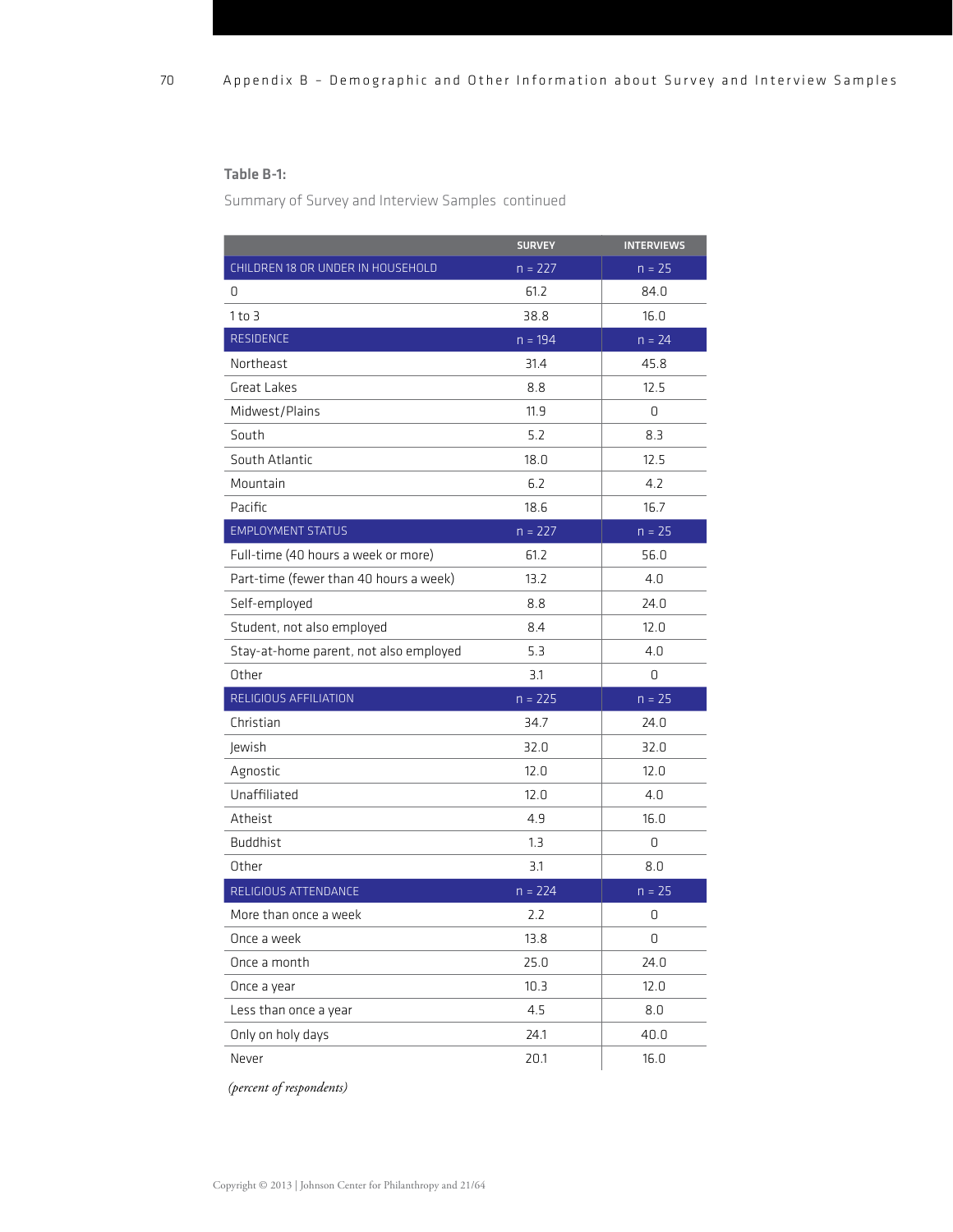#### Table B-1:

Summary of Survey and Interview Samples continued

|                                        | <b>SURVEY</b> | <b>INTERVIEWS</b> |
|----------------------------------------|---------------|-------------------|
| CHILDREN 18 OR UNDER IN HOUSEHOLD      | $n = 227$     | $n = 25$          |
| 0                                      | 61.2          | 84.0              |
| $1$ to 3                               | 38.8          | 16.0              |
| RESIDENCE                              | $n = 194$     | $n = 24$          |
| Northeast                              | 31.4          | 45.8              |
| Great Lakes                            | 8.8           | 12.5              |
| Midwest/Plains                         | 11.9          | 0                 |
| South                                  | 5.2           | 8.3               |
| South Atlantic                         | 18.0          | 12.5              |
| Mountain                               | 6.2           | 4.2               |
| Pacific                                | 18.6          | 16.7              |
| <b>EMPLOYMENT STATUS</b>               | $n = 227$     | $n = 25$          |
| Full-time (40 hours a week or more)    | 61.2          | 56.0              |
| Part-time (fewer than 40 hours a week) | 13.2          | 4 <sub>0</sub>    |
| Self-employed                          | 8.8           | 24.0              |
| Student, not also employed             | 8.4           | 12.0              |
| Stay-at-home parent, not also employed | 5.3           | 4.0               |
| Other                                  | 3.1           | 0                 |
| RELIGIOUS AFFILIATION                  | $n = 225$     | $n = 25$          |
| Christian                              | 34.7          | 24.0              |
| Jewish                                 | 32.0          | 32.0              |
| Agnostic                               | 12.0          | 12.0              |
| Unaffiliated                           | 12.0          | 4.0               |
| Atheist                                | 4.9           | 16.0              |
| <b>Buddhist</b>                        | 1.3           | 0                 |
| Other                                  | 3.1           | 8.0               |
| RELIGIOUS ATTENDANCE                   | $n = 224$     | $n = 25$          |
| More than once a week                  | 2.2           | 0                 |
| Once a week                            | 13.8          | 0                 |
| Once a month                           | 25.0          | 24.0              |
| Once a year                            | 10.3          | 12.0              |
| Less than once a year                  | 4.5           | 8.0               |
| Only on holy days                      | 24.1          | 40.0              |
| Never                                  | 20.1          | 16.0              |

 *(percent of respondents)*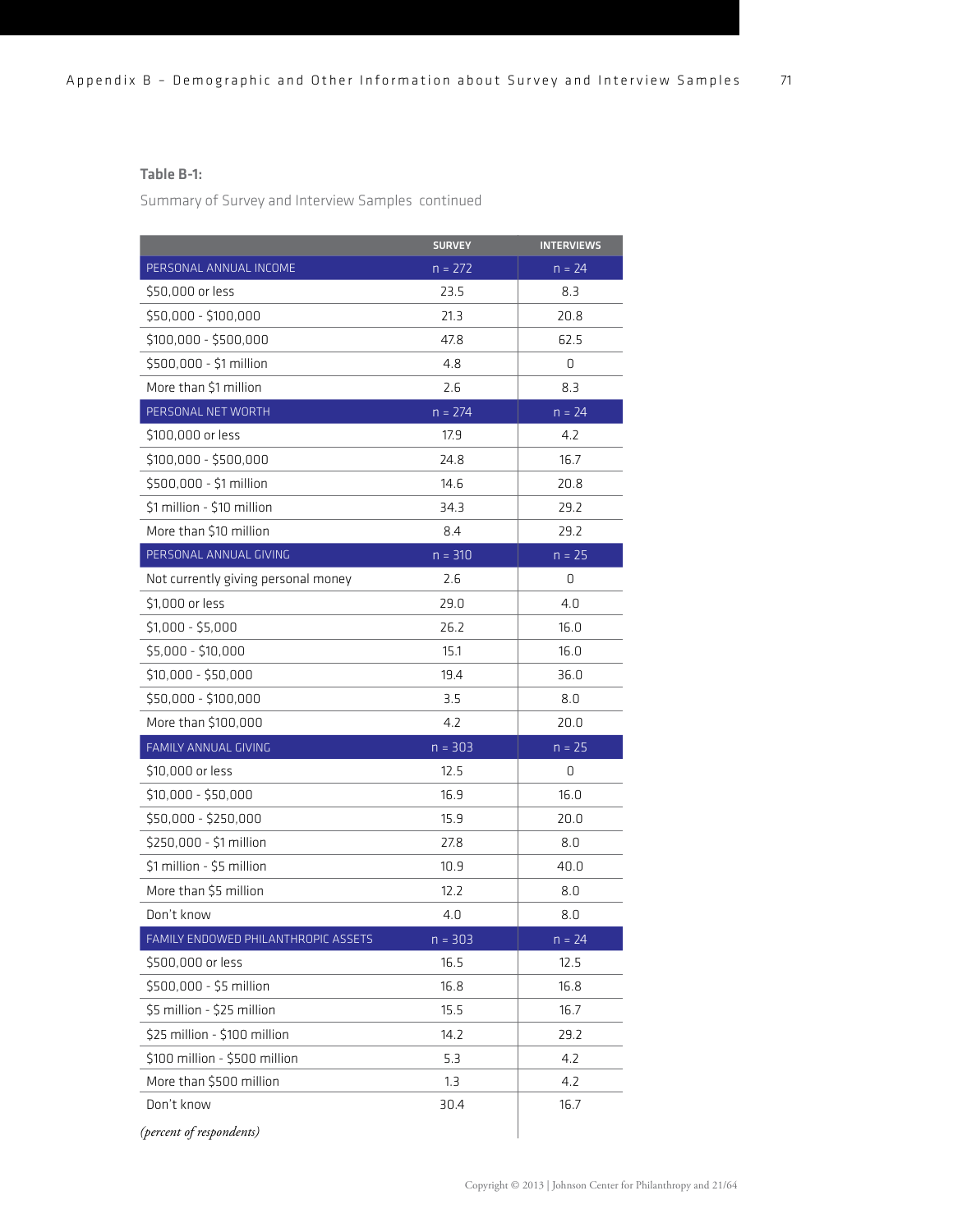#### Table B-1:

Summary of Survey and Interview Samples continued

|                                     | <b>SURVEY</b> | <b>INTERVIEWS</b> |
|-------------------------------------|---------------|-------------------|
| PERSONAL ANNUAL INCOME              | $n = 272$     | $n = 24$          |
| \$50,000 or less                    | 23.5          | 8.3               |
| \$50,000 - \$100,000                | 21.3          | 20.8              |
| $$100,000 - $500,000$               | 47.8          | 62.5              |
| \$500,000 - \$1 million             | 4.8           | 0                 |
| More than \$1 million               | 2.6           | 8.3               |
| PERSONAL NET WORTH                  | $n = 274$     | $n = 24$          |
| \$100,000 or less                   | 17.9          | 4.2               |
| $$100,000 - $500,000$               | 24.8          | 16.7              |
| \$500,000 - \$1 million             | 14.6          | 20.8              |
| \$1 million - \$10 million          | 34.3          | 29.2              |
| More than \$10 million              | 8.4           | 29.2              |
| PERSONAL ANNUAL GIVING              | $n = 310$     | $n = 25$          |
| Not currently giving personal money | 2.6           | 0                 |
| \$1,000 or less                     | 29.0          | 4.0               |
| $$1,000 - $5,000$                   | 26.2          | 16.0              |
| $$5,000 - $10,000$                  | 15.1          | 16.0              |
| $$10,000 - $50,000$                 | 19.4          | 36.0              |
| \$50,000 - \$100,000                | 3.5           | 8.0               |
| More than \$100,000                 | 4.2           | 20.0              |
| FAMILY ANNUAL GIVING                | $n = 303$     | $n = 25$          |
| \$10,000 or less                    | 12.5          | 0                 |
| $$10,000 - $50,000$                 | 16.9          | 16.0              |
| \$50,000 - \$250,000                | 15.9          | 20.0              |
| \$250,000 - \$1 million             | 27.8          | 8.0               |
| \$1 million - \$5 million           | 10.9          | 40.0              |
| More than \$5 million               | 12.2          | 8.0               |
| Don't know                          | 4.0           | 8.0               |
| FAMILY ENDOWED PHILANTHROPIC ASSETS | $n = 303$     | $n = 24$          |
| \$500,000 or less                   | 16.5          | 12.5              |
| \$500,000 - \$5 million             | 16.8          | 16.8              |
| \$5 million - \$25 million          | 15.5          | 16.7              |
| \$25 million - \$100 million        | 14.2          | 29.2              |
| \$100 million - \$500 million       | 5.3           | 4.2               |
| More than \$500 million             | 1.3           | 4.2               |
| Don't know                          | 30.4          | 16.7              |
| (percent of respondents)            |               |                   |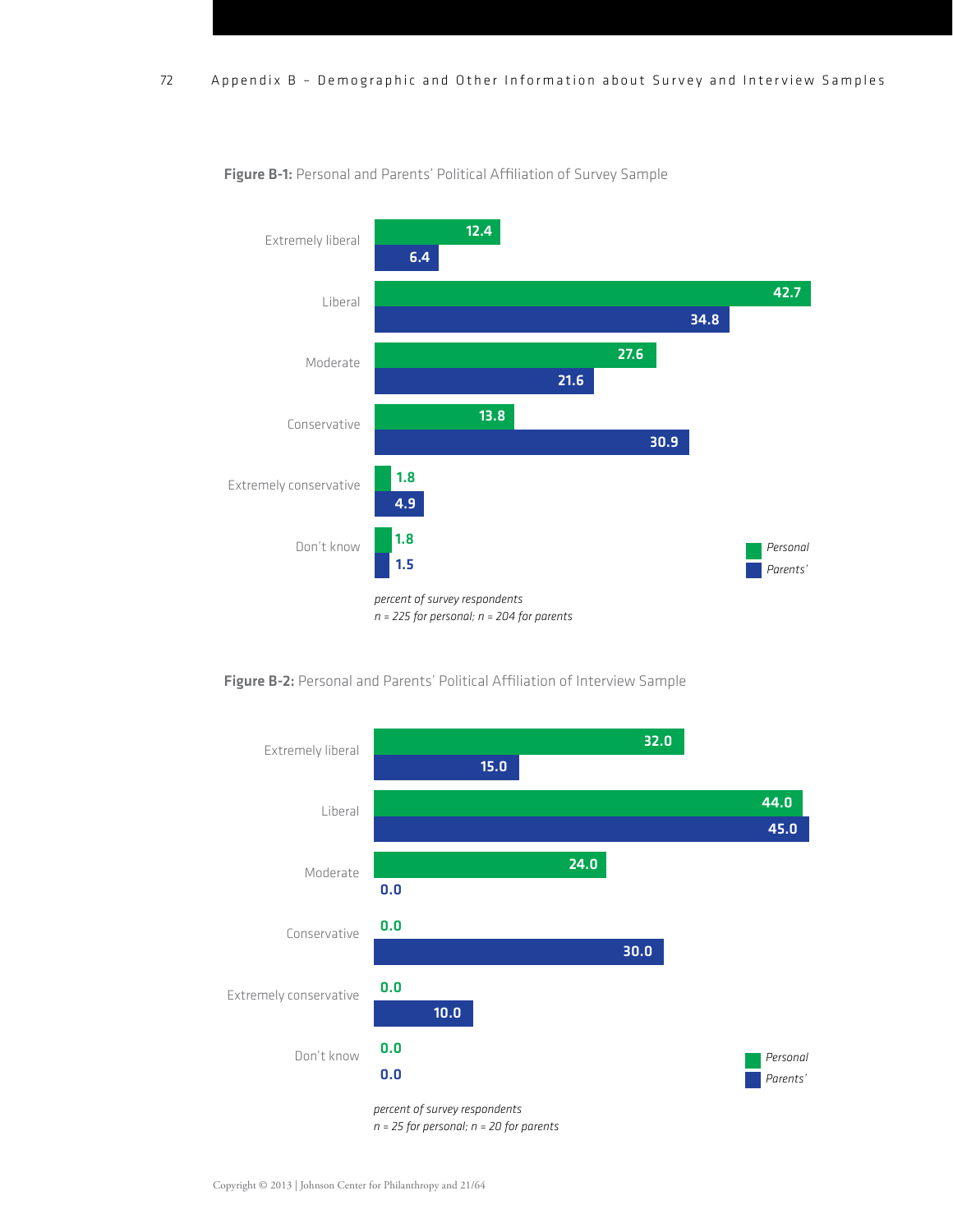

Figure B-1: Personal and Parents' Political Affiliation of Survey Sample



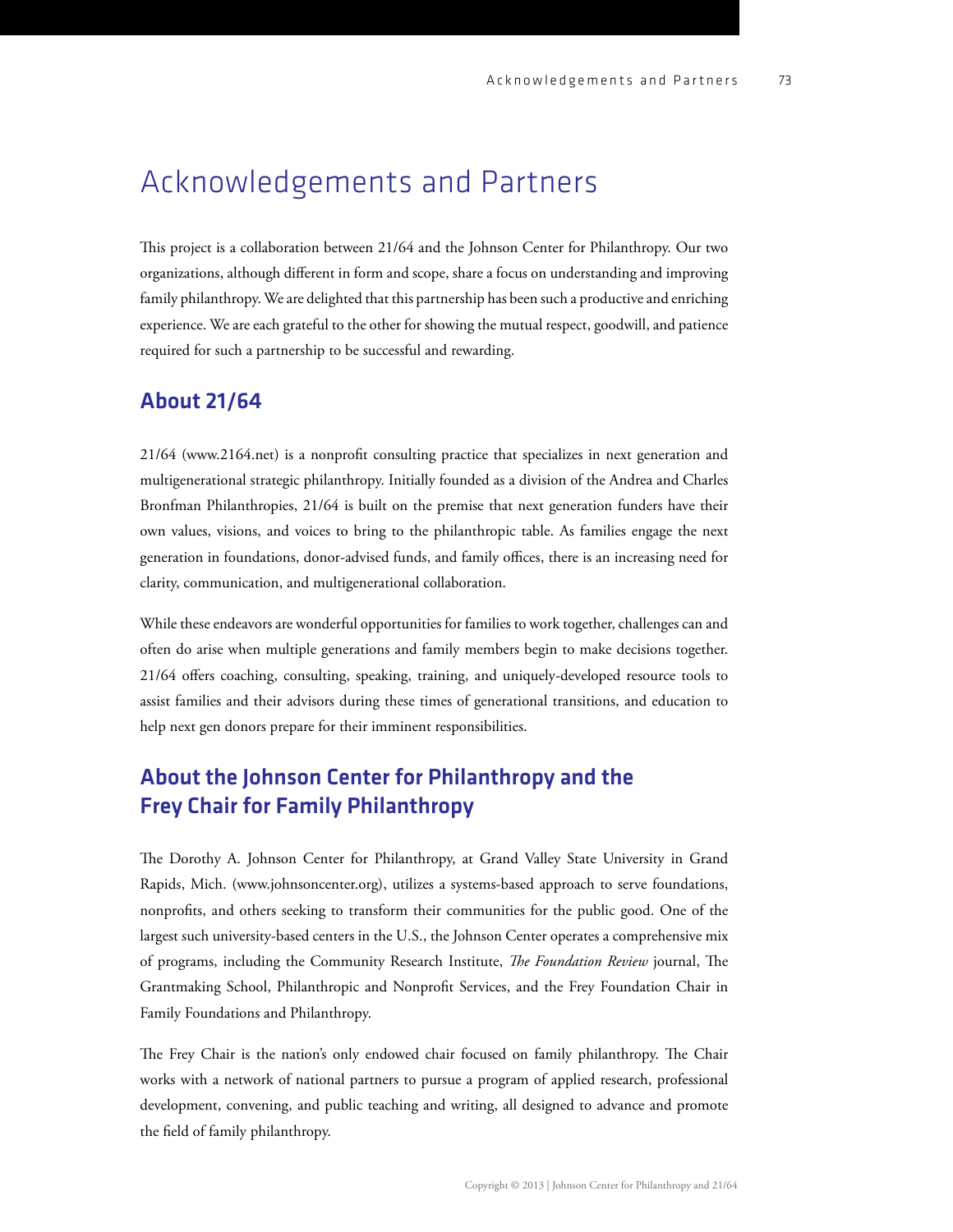# Acknowledgements and Partners

This project is a collaboration between 21/64 and the Johnson Center for Philanthropy. Our two organizations, although different in form and scope, share a focus on understanding and improving family philanthropy. We are delighted that this partnership has been such a productive and enriching experience. We are each grateful to the other for showing the mutual respect, goodwill, and patience required for such a partnership to be successful and rewarding.

#### About 21/64

[21/64 \(www.2164.net](http://www.2164.net)) is a nonprofit consulting practice that specializes in next generation and multigenerational strategic philanthropy. Initially founded as a division of the Andrea and Charles Bronfman Philanthropies, 21/64 is built on the premise that next generation funders have their own values, visions, and voices to bring to the philanthropic table. As families engage the next generation in foundations, donor-advised funds, and family offices, there is an increasing need for clarity, communication, and multigenerational collaboration.

While these endeavors are wonderful opportunities for families to work together, challenges can and often do arise when multiple generations and family members begin to make decisions together. 21/64 offers coaching, consulting, speaking, training, and uniquely-developed resource tools to assist families and their advisors during these times of generational transitions, and education to help next gen donors prepare for their imminent responsibilities.

## About the Johnson Center for Philanthropy and the Frey Chair for Family Philanthropy

e Dorothy A. Johnson Center for Philanthropy, at Grand Valley State University in Grand Rapids, Mich. [\(www.johnsoncenter.org\)](http://www.johnsoncenter.org)), utilizes a systems-based approach to serve foundations, nonprots, and others seeking to transform their communities for the public good. One of the largest such university-based centers in the U.S., the Johnson Center operates a comprehensive mix of programs, including the Community Research Institute, *The Foundation Review* journal, The Grantmaking School, Philanthropic and Nonprofit Services, and the Frey Foundation Chair in Family Foundations and Philanthropy.

The Frey Chair is the nation's only endowed chair focused on family philanthropy. The Chair works with a network of national partners to pursue a program of applied research, professional development, convening, and public teaching and writing, all designed to advance and promote the field of family philanthropy.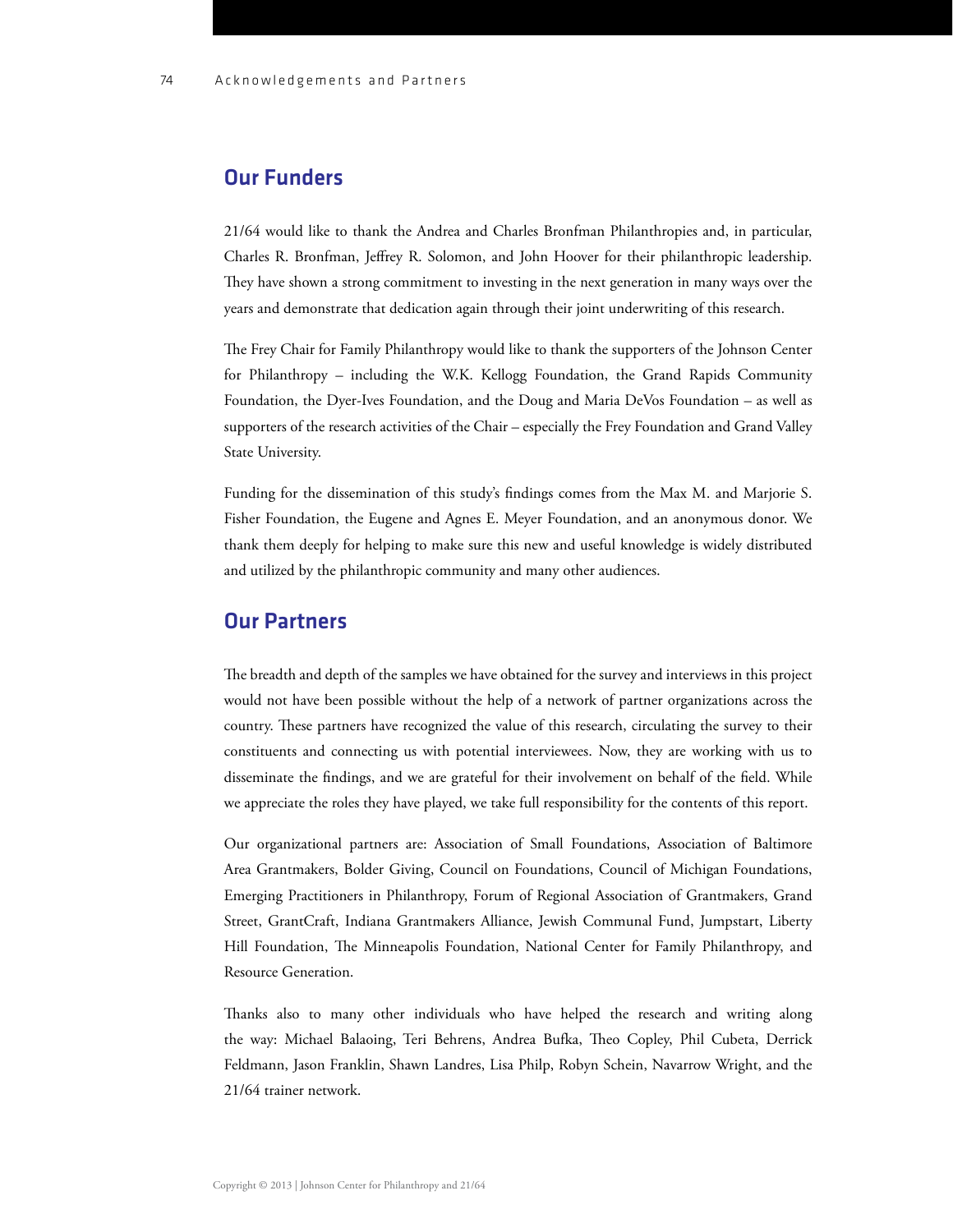#### Our Funders

21/64 would like to thank the Andrea and Charles Bronfman Philanthropies and, in particular, Charles R. Bronfman, Jeffrey R. Solomon, and John Hoover for their philanthropic leadership. They have shown a strong commitment to investing in the next generation in many ways over the years and demonstrate that dedication again through their joint underwriting of this research.

The Frey Chair for Family Philanthropy would like to thank the supporters of the Johnson Center for Philanthropy – including the W.K. Kellogg Foundation, the Grand Rapids Community Foundation, the Dyer-Ives Foundation, and the Doug and Maria DeVos Foundation – as well as supporters of the research activities of the Chair – especially the Frey Foundation and Grand Valley State University.

Funding for the dissemination of this study's findings comes from the Max M. and Marjorie S. Fisher Foundation, the Eugene and Agnes E. Meyer Foundation, and an anonymous donor. We thank them deeply for helping to make sure this new and useful knowledge is widely distributed and utilized by the philanthropic community and many other audiences.

#### Our Partners

The breadth and depth of the samples we have obtained for the survey and interviews in this project would not have been possible without the help of a network of partner organizations across the country. These partners have recognized the value of this research, circulating the survey to their constituents and connecting us with potential interviewees. Now, they are working with us to disseminate the findings, and we are grateful for their involvement on behalf of the field. While we appreciate the roles they have played, we take full responsibility for the contents of this report.

Our organizational partners are: Association of Small Foundations, Association of Baltimore Area Grantmakers, Bolder Giving, Council on Foundations, Council of Michigan Foundations, Emerging Practitioners in Philanthropy, Forum of Regional Association of Grantmakers, Grand Street, GrantCraft, Indiana Grantmakers Alliance, Jewish Communal Fund, Jumpstart, Liberty Hill Foundation, The Minneapolis Foundation, National Center for Family Philanthropy, and Resource Generation.

Thanks also to many other individuals who have helped the research and writing along the way: Michael Balaoing, Teri Behrens, Andrea Bufka, Theo Copley, Phil Cubeta, Derrick Feldmann, Jason Franklin, Shawn Landres, Lisa Philp, Robyn Schein, Navarrow Wright, and the 21/64 trainer network.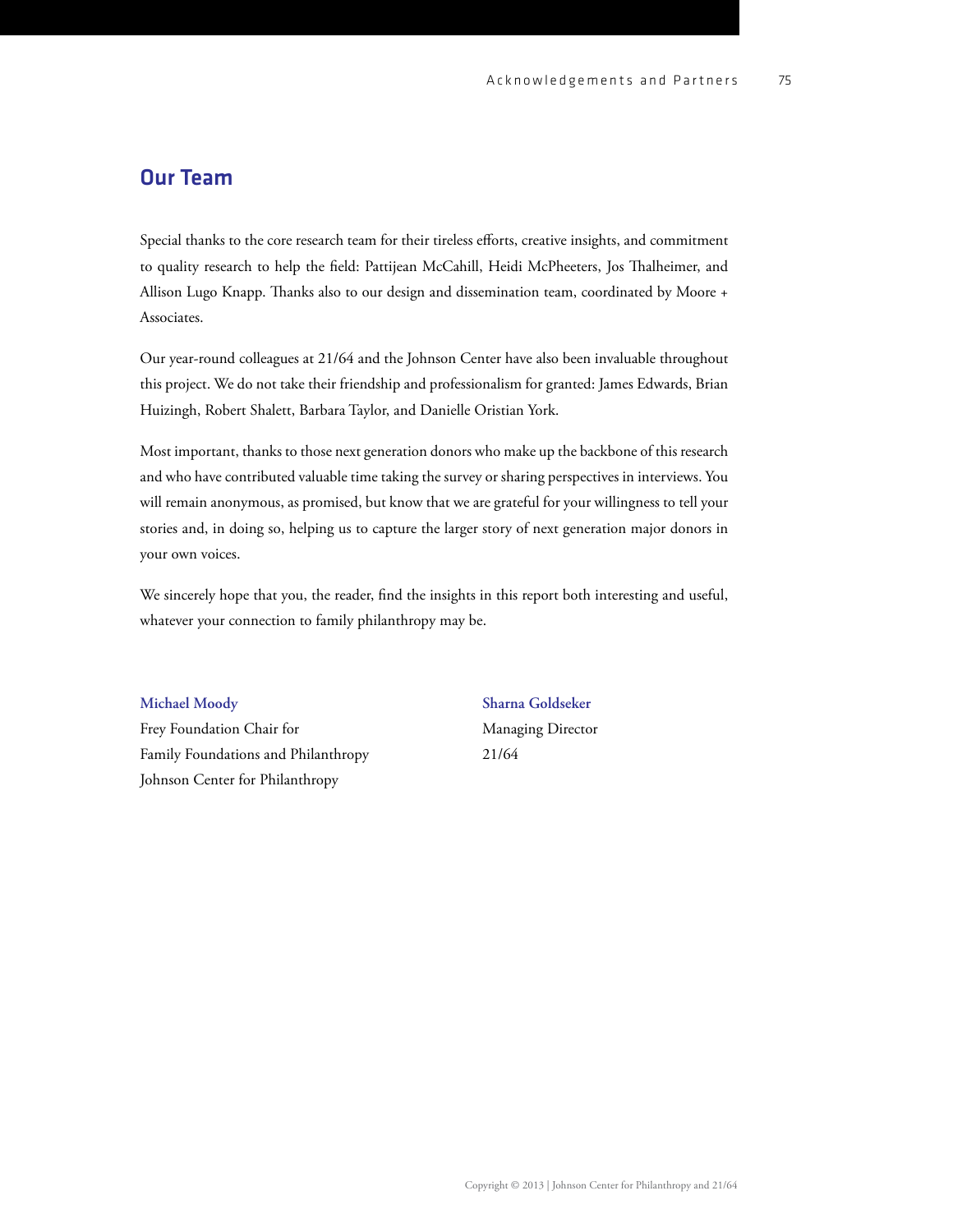### Our Team

Special thanks to the core research team for their tireless efforts, creative insights, and commitment to quality research to help the field: Pattijean McCahill, Heidi McPheeters, Jos Thalheimer, and Allison Lugo Knapp. Thanks also to our design and dissemination team, coordinated by Moore  $+$ Associates.

Our year-round colleagues at 21/64 and the Johnson Center have also been invaluable throughout this project. We do not take their friendship and professionalism for granted: James Edwards, Brian Huizingh, Robert Shalett, Barbara Taylor, and Danielle Oristian York.

Most important, thanks to those next generation donors who make up the backbone of this research and who have contributed valuable time taking the survey or sharing perspectives in interviews. You will remain anonymous, as promised, but know that we are grateful for your willingness to tell your stories and, in doing so, helping us to capture the larger story of next generation major donors in your own voices.

We sincerely hope that you, the reader, find the insights in this report both interesting and useful, whatever your connection to family philanthropy may be.

Frey Foundation Chair for Managing Director Family Foundations and Philanthropy 21/64 Johnson Center for Philanthropy

**Michael Moody Sharna Goldseker**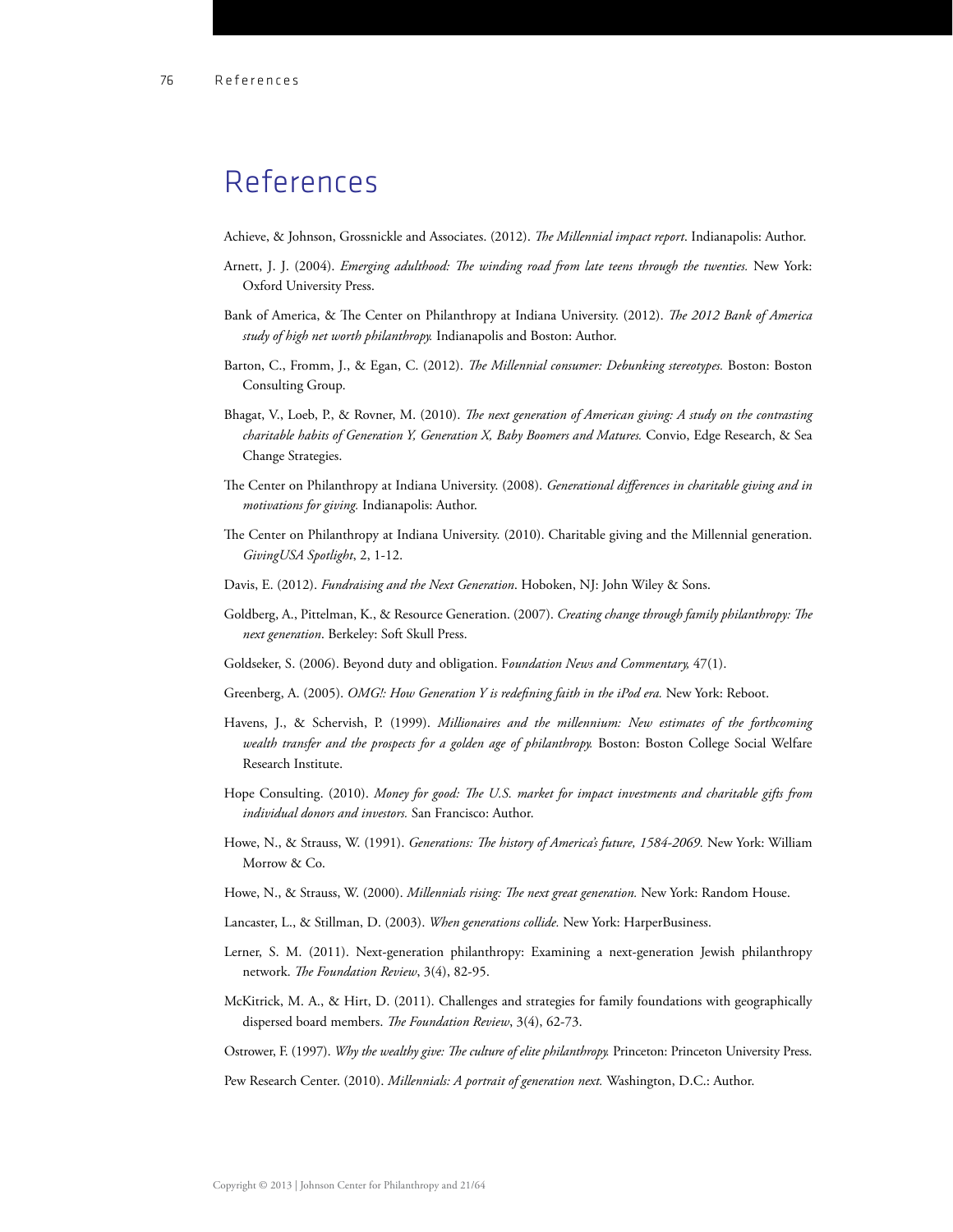# References

- Achieve, & Johnson, Grossnickle and Associates. (2012). *The Millennial impact report*. Indianapolis: Author.
- Arnett, J. J. (2004). *Emerging adulthood: The winding road from late teens through the twenties*. New York: Oxford University Press.
- Bank of America, & The Center on Philanthropy at Indiana University. (2012). *The 2012 Bank of America study of high net worth philanthropy.* Indianapolis and Boston: Author.
- Barton, C., Fromm, J., & Egan, C. (2012). *The Millennial consumer: Debunking stereotypes*. Boston: Boston Consulting Group.
- Bhagat, V., Loeb, P., & Rovner, M. (2010). *The next generation of American giving: A study on the contrasting charitable habits of Generation Y, Generation X, Baby Boomers and Matures.* Convio, Edge Research, & Sea Change Strategies.
- The Center on Philanthropy at Indiana University. (2008). *Generational differences in charitable giving and in motivations for giving.* Indianapolis: Author.
- The Center on Philanthropy at Indiana University. (2010). Charitable giving and the Millennial generation. *GivingUSA Spotlight*, 2, 1-12.
- Davis, E. (2012). *Fundraising and the Next Generation*. Hoboken, NJ: John Wiley & Sons.
- Goldberg, A., Pittelman, K., & Resource Generation. (2007). *Creating change through family philanthropy: The next generation*. Berkeley: Soft Skull Press.
- Goldseker, S. (2006). Beyond duty and obligation. F*oundation News and Commentary,* 47(1).
- Greenberg, A. (2005). *OMG!: How Generation Y is redening faith in the iPod era.* New York: Reboot.
- Havens, J., & Schervish, P. (1999). *Millionaires and the millennium: New estimates of the forthcoming*  wealth transfer and the prospects for a golden age of philanthropy. Boston: Boston College Social Welfare Research Institute.
- Hope Consulting. (2010). *Money for good: The U.S. market for impact investments and charitable gifts from individual donors and investors.* San Francisco: Author.
- Howe, N., & Strauss, W. (1991). *Generations: The history of America's future, 1584-2069*. New York: William Morrow & Co.
- Howe, N., & Strauss, W. (2000). *Millennials rising: The next great generation*. New York: Random House.
- Lancaster, L., & Stillman, D. (2003). *When generations collide.* New York: HarperBusiness.
- Lerner, S. M. (2011). Next-generation philanthropy: Examining a next-generation Jewish philanthropy network. The Foundation Review, 3(4), 82-95.
- McKitrick, M. A., & Hirt, D. (2011). Challenges and strategies for family foundations with geographically dispersed board members. *The Foundation Review*, 3(4), 62-73.

Ostrower, F. (1997). *Why the wealthy give: The culture of elite philanthropy.* Princeton: Princeton University Press.

Pew Research Center. (2010). *Millennials: A portrait of generation next.* Washington, D.C.: Author.